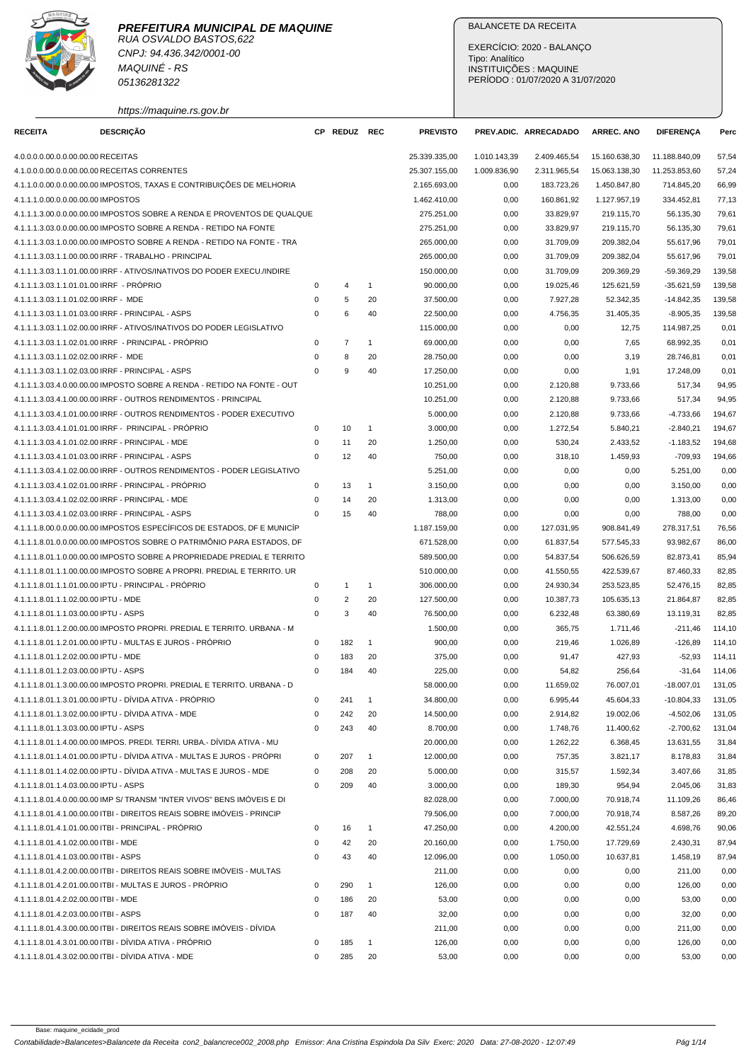

CNPJ: 94.436.342/0001-00 MAQUINÉ - RS 05136281322

https://maquine.rs.gov.br

## BALANCETE DA RECEITA

EXERCÍCIO: 2020 - BALANÇO Tipo: Analítico INSTITUIÇÕES : MAQUINE PERÍODO : 01/07/2020 A 31/07/2020

| <b>RECEITA</b>                           | <b>DESCRIÇÃO</b>                                                        |             | CP REDUZ REC     |                    | <b>PREVISTO</b>          |              | PREV.ADIC. ARRECADADO  | <b>ARREC. ANO</b> | <b>DIFERENÇA</b> | Perc           |
|------------------------------------------|-------------------------------------------------------------------------|-------------|------------------|--------------------|--------------------------|--------------|------------------------|-------------------|------------------|----------------|
| 4.0.0.0.0.00.0.0.00.00.00 RECEITAS       |                                                                         |             |                  |                    | 25.339.335,00            | 1.010.143,39 | 2.409.465,54           | 15.160.638,30     | 11.188.840,09    | 57,54          |
|                                          | 4.1.0.0.0.00.0.0.00.00.00 RECEITAS CORRENTES                            |             |                  |                    | 25.307.155,00            | 1.009.836,90 | 2.311.965,54           | 15.063.138,30     | 11.253.853,60    | 57,24          |
|                                          | 4.1.1.0.0.00.0.00.00.00.00 IMPOSTOS, TAXAS E CONTRIBUIÇÕES DE MELHORIA  |             |                  |                    | 2.165.693,00             | 0,00         | 183.723,26             | 1.450.847,80      | 714.845,20       | 66,99          |
| 4.1.1.1.0.00.0.0.00.00.00 IMPOSTOS       |                                                                         |             |                  |                    | 1.462.410,00             | 0,00         | 160.861,92             | 1.127.957,19      | 334.452,81       | 77,13          |
|                                          | 4.1.1.1.3.00.0.0.00.00.00 IMPOSTOS SOBRE A RENDA E PROVENTOS DE QUALQUE |             |                  |                    | 275.251,00               | 0,00         | 33.829,97              | 219.115,70        | 56.135,30        | 79,61          |
|                                          | 4.1.1.1.3.03.0.0.00.00.00 IMPOSTO SOBRE A RENDA - RETIDO NA FONTE       |             |                  |                    | 275.251,00               | 0,00         | 33.829,97              | 219.115,70        | 56.135,30        | 79,61          |
|                                          | 4.1.1.1.3.03.1.0.00.00.00 IMPOSTO SOBRE A RENDA - RETIDO NA FONTE - TRA |             |                  |                    | 265.000,00               | 0,00         | 31.709,09              | 209.382,04        | 55.617,96        | 79,01          |
|                                          | 4.1.1.1.3.03.1.1.00.00.00 IRRF - TRABALHO - PRINCIPAL                   |             |                  |                    | 265.000,00               | 0,00         | 31.709,09              | 209.382,04        | 55.617,96        | 79,01          |
|                                          | 4.1.1.1.3.03.1.1.01.00.00 IRRF - ATIVOS/INATIVOS DO PODER EXECU./INDIRE |             |                  |                    | 150.000,00               | 0,00         | 31.709,09              | 209.369,29        | $-59.369.29$     | 139,58         |
| 4.1.1.1.3.03.1.1.01.01.00 IRRF - PRÓPRIO |                                                                         | 0           | 4                | $\mathbf{1}$       | 90.000,00                | 0,00         | 19.025,46              | 125.621,59        | $-35.621,59$     | 139,58         |
| 4.1.1.1.3.03.1.1.01.02.00 IRRF - MDE     |                                                                         | $\mathbf 0$ | 5                | 20                 | 37.500,00                | 0,00         | 7.927,28               | 52.342,35         | $-14.842,35$     | 139,58         |
|                                          | 4.1.1.1.3.03.1.1.01.03.00 IRRF - PRINCIPAL - ASPS                       | $\mathbf 0$ | 6                | 40                 | 22.500,00                | 0,00         | 4.756,35               | 31.405,35         | $-8.905,35$      | 139,58         |
|                                          | 4.1.1.1.3.03.1.1.02.00.00 IRRF - ATIVOS/INATIVOS DO PODER LEGISLATIVO   |             |                  |                    | 115.000,00               | 0,00         | 0,00                   | 12,75             | 114.987,25       | 0,01           |
|                                          | 4.1.1.1.3.03.1.1.02.01.00 IRRF - PRINCIPAL - PRÓPRIO                    | 0           | $\overline{7}$   | $\mathbf{1}$       | 69.000,00                | 0,00         | 0,00                   | 7,65              | 68.992,35        | 0,01           |
| 4.1.1.1.3.03.1.1.02.02.00 IRRF - MDE     |                                                                         | 0           | 8                | 20                 | 28.750,00                | 0,00         | 0,00                   | 3,19              | 28.746,81        | 0,01           |
|                                          | 4.1.1.1.3.03.1.1.02.03.00 IRRF - PRINCIPAL - ASPS                       | $\Omega$    | $\boldsymbol{9}$ | 40                 | 17.250,00                | 0,00         | 0,00                   | 1,91              | 17.248,09        | 0,01           |
|                                          | 4.1.1.1.3.03.4.0.00.00.00 IMPOSTO SOBRE A RENDA - RETIDO NA FONTE - OUT |             |                  |                    | 10.251,00                | 0,00         | 2.120,88               | 9.733,66          | 517,34           | 94,95          |
|                                          | 4.1.1.1.3.03.4.1.00.00.00 IRRF - OUTROS RENDIMENTOS - PRINCIPAL         |             |                  |                    | 10.251,00                | 0,00         | 2.120,88               | 9.733,66          | 517,34           | 94,95          |
|                                          | 4.1.1.1.3.03.4.1.01.00.00 IRRF - OUTROS RENDIMENTOS - PODER EXECUTIVO   |             |                  |                    | 5.000,00                 | 0,00         | 2.120,88               | 9.733,66          | $-4.733,66$      | 194,67         |
|                                          | 4.1.1.1.3.03.4.1.01.01.00 IRRF - PRINCIPAL - PRÓPRIO                    | 0           | 10               | $\mathbf{1}$       | 3.000,00                 | 0,00         | 1.272,54               | 5.840,21          | $-2.840.21$      | 194,67         |
|                                          | 4.1.1.1.3.03.4.1.01.02.00 IRRF - PRINCIPAL - MDE                        | $\mathbf 0$ | 11               | 20                 | 1.250,00                 | 0,00         | 530,24                 | 2.433,52          | $-1.183,52$      | 194,68         |
|                                          | 4.1.1.1.3.03.4.1.01.03.00 IRRF - PRINCIPAL - ASPS                       | $\Omega$    | 12               | 40                 | 750,00                   | 0,00         | 318,10                 | 1.459,93          | $-709,93$        | 194,66         |
|                                          | 4.1.1.1.3.03.4.1.02.00.00 IRRF - OUTROS RENDIMENTOS - PODER LEGISLATIVO |             |                  |                    | 5.251,00                 | 0,00         | 0,00                   | 0,00              | 5.251,00         | 0,00           |
|                                          | 4.1.1.1.3.03.4.1.02.01.00 IRRF - PRINCIPAL - PRÓPRIO                    | 0           | 13               | $\mathbf{1}$       | 3.150,00                 | 0,00         | 0,00                   | 0,00              | 3.150,00         | 0,00           |
|                                          | 4.1.1.1.3.03.4.1.02.02.00 IRRF - PRINCIPAL - MDE                        | 0           | 14               | 20                 | 1.313,00                 | 0,00         | 0,00                   | 0,00              | 1.313,00         | 0,00           |
|                                          | 4.1.1.1.3.03.4.1.02.03.00 IRRF - PRINCIPAL - ASPS                       | $\Omega$    | 15               | 40                 | 788,00                   | 0,00         | 0,00                   | 0,00              | 788,00           | 0,00           |
|                                          | 4.1.1.1.8.00.0.0.00.00.00 IMPOSTOS ESPECÍFICOS DE ESTADOS, DF E MUNICÍP |             |                  |                    | 1.187.159,00             | 0,00         | 127.031,95             | 908.841,49        | 278.317,51       | 76,56          |
|                                          | 4.1.1.1.8.01.0.0.00.00.00 IMPOSTOS SOBRE O PATRIMÔNIO PARA ESTADOS, DF  |             |                  |                    | 671.528,00               | 0,00         | 61.837,54              | 577.545,33        | 93.982,67        | 86,00          |
|                                          | 4.1.1.1.8.01.1.0.00.00.00 IMPOSTO SOBRE A PROPRIEDADE PREDIAL E TERRITO |             |                  |                    | 589.500,00               | 0,00         | 54.837,54              | 506.626,59        | 82.873,41        | 85,94          |
|                                          | 4.1.1.1.8.01.1.1.00.00.00 IMPOSTO SOBRE A PROPRI. PREDIAL E TERRITO. UR |             |                  |                    | 510.000,00               | 0,00         | 41.550,55              | 422.539,67        | 87.460,33        | 82,85          |
|                                          | 4.1.1.1.8.01.1.1.01.00.00 IPTU - PRINCIPAL - PRÓPRIO                    | 0           | $\mathbf{1}$     | $\mathbf{1}$       |                          | 0,00         |                        |                   |                  |                |
| 4.1.1.1.8.01.1.1.02.00.00 IPTU - MDE     |                                                                         | $\mathbf 0$ | $\overline{c}$   | 20                 | 306.000,00<br>127.500,00 |              | 24.930,34<br>10.387,73 | 253.523,85        | 52.476,15        | 82,85          |
|                                          |                                                                         | $\mathbf 0$ | 3                | 40                 |                          | 0,00         |                        | 105.635,13        | 21.864,87        | 82,85<br>82,85 |
| 4.1.1.1.8.01.1.1.03.00.00 IPTU - ASPS    |                                                                         |             |                  |                    | 76.500,00                | 0,00         | 6.232,48               | 63.380,69         | 13.119,31        |                |
|                                          | 4.1.1.1.8.01.1.2.00.00.00 IMPOSTO PROPRI. PREDIAL E TERRITO. URBANA - M |             |                  |                    | 1.500,00                 | 0,00         | 365,75                 | 1.711,46          | $-211,46$        | 114,10         |
| 4.1.1.1.8.01.1.2.02.00.00 IPTU - MDE     | 4.1.1.1.8.01.1.2.01.00.00 IPTU - MULTAS E JUROS - PRÓPRIO               | 0<br>0      | 182<br>183       | $\mathbf{1}$<br>20 | 900,00                   | 0,00         | 219,46                 | 1.026,89          | $-126,89$        | 114,10         |
|                                          |                                                                         | $\Omega$    |                  |                    | 375,00                   | 0,00         | 91,47                  | 427,93            | $-52,93$         | 114,11         |
| 4.1.1.1.8.01.1.2.03.00.00 IPTU - ASPS    |                                                                         |             | 184              | 40                 | 225,00                   | 0,00         | 54,82                  | 256,64            | $-31,64$         | 114,06         |
|                                          | 4.1.1.1.8.01.1.3.00.00.00 IMPOSTO PROPRI. PREDIAL E TERRITO. URBANA - D |             |                  |                    | 58.000,00                | 0,00         | 11.659,02              | 76.007,01         | $-18.007,01$     | 131,05         |
|                                          | 4.1.1.1.8.01.1.3.01.00.00 IPTU - DIVIDA ATIVA - PROPRIO                 | 0           | 241              | $\mathbf{1}$       | 34.800,00                | 0,00         | 6.995,44               | 45.604,33         | $-10.804,33$     | 131,05         |
|                                          | 4.1.1.1.8.01.1.3.02.00.00 IPTU - DÍVIDA ATIVA - MDE                     | $\mathsf 0$ | 242              | 20                 | 14.500,00                | 0,00         | 2.914,82               | 19.002,06         | $-4.502,06$      | 131,05         |
| 4.1.1.1.8.01.1.3.03.00.00 IPTU - ASPS    |                                                                         | $\mathbf 0$ | 243              | 40                 | 8.700,00                 | 0,00         | 1.748,76               | 11.400,62         | $-2.700,62$      | 131,04         |
|                                          | 4.1.1.1.8.01.1.4.00.00.00 IMPOS. PREDI. TERRI. URBA.- DÍVIDA ATIVA - MU |             |                  |                    | 20.000,00                | 0,00         | 1.262,22               | 6.368,45          | 13.631,55        | 31,84          |
|                                          | 4.1.1.1.8.01.1.4.01.00.00 IPTU - DÍVIDA ATIVA - MULTAS E JUROS - PRÓPRI | 0           | 207              | $\mathbf{1}$       | 12.000,00                | 0,00         | 757,35                 | 3.821,17          | 8.178,83         | 31,84          |
|                                          | 4.1.1.1.8.01.1.4.02.00.00 IPTU - DÍVIDA ATIVA - MULTAS E JUROS - MDE    | 0           | 208              | 20                 | 5.000,00                 | 0,00         | 315,57                 | 1.592,34          | 3.407,66         | 31,85          |
| 4.1.1.1.8.01.1.4.03.00.00 IPTU - ASPS    |                                                                         | $\mathsf 0$ | 209              | 40                 | 3.000,00                 | 0,00         | 189,30                 | 954,94            | 2.045,06         | 31,83          |
|                                          | 4.1.1.1.8.01.4.0.00.00.00 IMP S/ TRANSM "INTER VIVOS" BENS IMÓVEIS E DI |             |                  |                    | 82.028,00                | 0,00         | 7.000,00               | 70.918,74         | 11.109,26        | 86,46          |
|                                          | 4.1.1.1.8.01.4.1.00.00.00 ITBI - DIREITOS REAIS SOBRE IMÓVEIS - PRINCIP |             |                  |                    | 79.506,00                | 0,00         | 7.000,00               | 70.918,74         | 8.587,26         | 89,20          |
|                                          | 4.1.1.1.8.01.4.1.01.00.00 ITBI - PRINCIPAL - PRÓPRIO                    | 0           | 16               | $\mathbf{1}$       | 47.250,00                | 0,00         | 4.200,00               | 42.551,24         | 4.698,76         | 90,06          |
| 4.1.1.1.8.01.4.1.02.00.00 ITBI - MDE     |                                                                         | $\mathbf 0$ | 42               | 20                 | 20.160,00                | 0,00         | 1.750,00               | 17.729,69         | 2.430,31         | 87,94          |
| 4.1.1.1.8.01.4.1.03.00.00 ITBI - ASPS    |                                                                         | $\mathbf 0$ | 43               | 40                 | 12.096,00                | 0,00         | 1.050,00               | 10.637,81         | 1.458,19         | 87,94          |
|                                          | 4.1.1.1.8.01.4.2.00.00.00 ITBI - DIREITOS REAIS SOBRE IMÓVEIS - MULTAS  |             |                  |                    | 211,00                   | 0,00         | 0,00                   | 0,00              | 211,00           | 0,00           |
|                                          | 4.1.1.1.8.01.4.2.01.00.00 ITBI - MULTAS E JUROS - PROPRIO               | 0           | 290              | $\mathbf{1}$       | 126,00                   | 0,00         | 0,00                   | 0,00              | 126,00           | 0,00           |
| 4.1.1.1.8.01.4.2.02.00.00 ITBI - MDE     |                                                                         | 0           | 186              | 20                 | 53,00                    | 0,00         | 0,00                   | 0,00              | 53,00            | 0,00           |
| 4.1.1.1.8.01.4.2.03.00.00 ITBI - ASPS    |                                                                         | $\mathbf 0$ | 187              | 40                 | 32,00                    | 0,00         | 0,00                   | 0,00              | 32,00            | 0,00           |
|                                          | 4.1.1.1.8.01.4.3.00.00.00 ITBI - DIREITOS REAIS SOBRE IMÓVEIS - DÍVIDA  |             |                  |                    | 211,00                   | 0,00         | 0,00                   | 0,00              | 211,00           | 0,00           |
|                                          | 4.1.1.1.8.01.4.3.01.00.00 ITBI - DÍVIDA ATIVA - PRÓPRIO                 | 0           | 185              | $\mathbf{1}$       | 126,00                   | 0,00         | 0,00                   | 0,00              | 126,00           | 0,00           |
|                                          | 4.1.1.1.8.01.4.3.02.00.00 ITBI - DÍVIDA ATIVA - MDE                     | 0           | 285              | 20                 | 53,00                    | 0,00         | 0,00                   | 0,00              | 53,00            | 0,00           |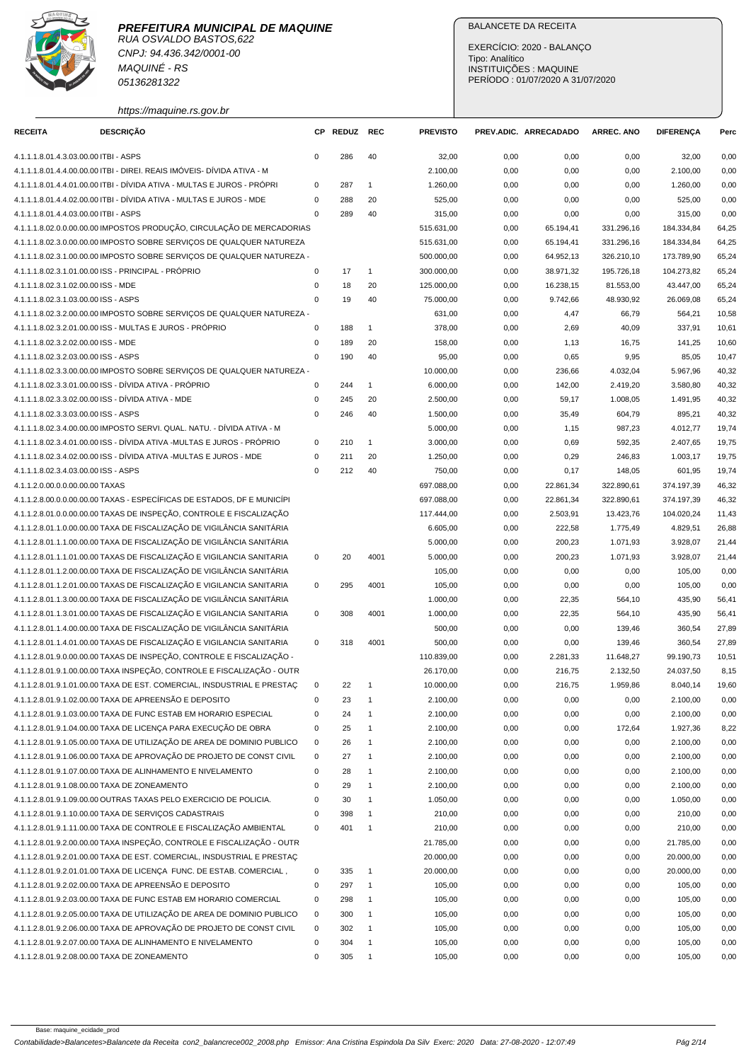

RUA OSVALDO BASTOS,622 CNPJ: 94.436.342/0001-00 MAQUINÉ - RS 05136281322

## BALANCETE DA RECEITA

EXERCÍCIO: 2020 - BALANÇO Tipo: Analítico INSTITUIÇÕES : MAQUINE PERÍODO : 01/07/2020 A 31/07/2020

## https://maquine.rs.gov.br

| <b>RECEITA</b>                        | <b>DESCRIÇÃO</b>                                                                                                                                |             | CP REDUZ | <b>REC</b>     | <b>PREVISTO</b> |      | PREV.ADIC. ARRECADADO | ARREC. ANO | <b>DIFERENÇA</b> | Perc  |
|---------------------------------------|-------------------------------------------------------------------------------------------------------------------------------------------------|-------------|----------|----------------|-----------------|------|-----------------------|------------|------------------|-------|
|                                       |                                                                                                                                                 | $\mathbf 0$ |          |                |                 |      |                       |            |                  |       |
| 4.1.1.1.8.01.4.3.03.00.00 ITBI - ASPS |                                                                                                                                                 |             | 286      | 40             | 32,00           | 0,00 | 0,00                  | 0,00       | 32,00            | 0,00  |
|                                       | 4.1.1.1.8.01.4.4.00.00.00 ITBI - DIREI. REAIS IMÓVEIS- DÍVIDA ATIVA - M                                                                         |             |          |                | 2.100,00        | 0,00 | 0,00                  | 0,00       | 2.100,00         | 0,00  |
|                                       | 4.1.1.1.8.01.4.4.01.00.00 ITBI - DÍVIDA ATIVA - MULTAS E JUROS - PRÓPRI<br>4.1.1.1.8.01.4.4.02.00.00 ITBI - DÍVIDA ATIVA - MULTAS E JUROS - MDE | $\mathbf 0$ | 287      | $\mathbf{1}$   | 1.260,00        | 0,00 | 0,00                  | 0,00       | 1.260,00         | 0,00  |
|                                       |                                                                                                                                                 | 0           | 288      | 20             | 525,00          | 0,00 | 0,00                  | 0,00       | 525,00           | 0,00  |
| 4.1.1.1.8.01.4.4.03.00.00 ITBI - ASPS |                                                                                                                                                 | $\Omega$    | 289      | 40             | 315,00          | 0,00 | 0,00                  | 0,00       | 315,00           | 0,00  |
|                                       | 4.1.1.1.8.02.0.0.00.00.00 IMPOSTOS PRODUÇÃO, CIRCULAÇÃO DE MERCADORIAS                                                                          |             |          |                | 515.631,00      | 0,00 | 65.194,41             | 331.296,16 | 184.334,84       | 64,25 |
|                                       | 4.1.1.1.8.02.3.0.00.00.00 IMPOSTO SOBRE SERVIÇOS DE QUALQUER NATUREZA                                                                           |             |          |                | 515.631,00      | 0,00 | 65.194,41             | 331.296,16 | 184.334,84       | 64,25 |
|                                       | 4.1.1.1.8.02.3.1.00.00.00 IMPOSTO SOBRE SERVICOS DE QUALQUER NATUREZA -                                                                         |             |          |                | 500.000,00      | 0,00 | 64.952,13             | 326.210,10 | 173.789,90       | 65,24 |
|                                       | 4.1.1.1.8.02.3.1.01.00.00 ISS - PRINCIPAL - PRÓPRIO                                                                                             | $\mathsf 0$ | 17       | $\mathbf{1}$   | 300.000,00      | 0,00 | 38.971,32             | 195.726,18 | 104.273,82       | 65,24 |
| 4.1.1.1.8.02.3.1.02.00.00 ISS - MDE   |                                                                                                                                                 | $\mathsf 0$ | 18       | 20             | 125.000,00      | 0,00 | 16.238,15             | 81.553,00  | 43.447,00        | 65,24 |
| 4.1.1.1.8.02.3.1.03.00.00 ISS - ASPS  |                                                                                                                                                 | 0           | 19       | 40             | 75.000,00       | 0,00 | 9.742,66              | 48.930,92  | 26.069,08        | 65,24 |
|                                       | 4.1.1.1.8.02.3.2.00.00.00 IMPOSTO SOBRE SERVIÇOS DE QUALQUER NATUREZA -                                                                         |             |          |                | 631,00          | 0,00 | 4,47                  | 66,79      | 564,21           | 10,58 |
|                                       | 4.1.1.1.8.02.3.2.01.00.00 ISS - MULTAS E JUROS - PRÓPRIO                                                                                        | 0           | 188      | $\overline{1}$ | 378,00          | 0,00 | 2,69                  | 40,09      | 337,91           | 10,61 |
| 4.1.1.1.8.02.3.2.02.00.00 ISS - MDE   |                                                                                                                                                 | $\mathbf 0$ | 189      | 20             | 158,00          | 0,00 | 1,13                  | 16,75      | 141,25           | 10,60 |
| 4.1.1.1.8.02.3.2.03.00.00 ISS - ASPS  |                                                                                                                                                 | $\mathbf 0$ | 190      | 40             | 95,00           | 0,00 | 0,65                  | 9,95       | 85,05            | 10,47 |
|                                       | 4.1.1.1.8.02.3.3.00.00.00 IMPOSTO SOBRE SERVIÇOS DE QUALQUER NATUREZA -                                                                         |             |          |                | 10.000,00       | 0,00 | 236,66                | 4.032,04   | 5.967,96         | 40,32 |
|                                       | 4.1.1.1.8.02.3.3.01.00.00 ISS - DÍVIDA ATIVA - PRÓPRIO                                                                                          | $\mathbf 0$ | 244      | $\mathbf{1}$   | 6.000,00        | 0,00 | 142,00                | 2.419,20   | 3.580,80         | 40,32 |
|                                       | 4.1.1.1.8.02.3.3.02.00.00 ISS - DÍVIDA ATIVA - MDE                                                                                              | $\mathbf 0$ | 245      | 20             | 2.500,00        | 0,00 | 59,17                 | 1.008,05   | 1.491,95         | 40,32 |
| 4.1.1.1.8.02.3.3.03.00.00 ISS - ASPS  |                                                                                                                                                 | $\mathbf 0$ | 246      | 40             | 1.500,00        | 0,00 | 35,49                 | 604,79     | 895,21           | 40,32 |
|                                       | 4.1.1.1.8.02.3.4.00.00.00 IMPOSTO SERVI. QUAL. NATU. - DÍVIDA ATIVA - M                                                                         |             |          |                | 5.000,00        | 0,00 | 1,15                  | 987,23     | 4.012,77         | 19,74 |
|                                       | 4.1.1.1.8.02.3.4.01.00.00 ISS - DÍVIDA ATIVA -MULTAS E JUROS - PRÓPRIO                                                                          | $\mathbf 0$ | 210      | $\mathbf{1}$   | 3.000,00        | 0,00 | 0,69                  | 592,35     | 2.407,65         | 19,75 |
|                                       | 4.1.1.1.8.02.3.4.02.00.00 ISS - DÍVIDA ATIVA -MULTAS E JUROS - MDE                                                                              | 0           | 211      | 20             | 1.250,00        | 0,00 | 0,29                  | 246,83     | 1.003,17         | 19,75 |
| 4.1.1.1.8.02.3.4.03.00.00 ISS - ASPS  |                                                                                                                                                 | $\mathbf 0$ | 212      | 40             | 750,00          | 0,00 | 0,17                  | 148,05     | 601,95           | 19,74 |
| 4.1.1.2.0.00.0.0.00.00.00 TAXAS       |                                                                                                                                                 |             |          |                | 697.088,00      | 0,00 | 22.861,34             | 322.890,61 | 374.197,39       | 46,32 |
|                                       | 4.1.1.2.8.00.0.0.00.00.00 TAXAS - ESPECÍFICAS DE ESTADOS, DF E MUNICÍPI                                                                         |             |          |                | 697.088,00      | 0,00 | 22.861,34             | 322.890,61 | 374.197,39       | 46,32 |
|                                       | 4.1.1.2.8.01.0.0.00.00.00 TAXAS DE INSPEÇÃO, CONTROLE E FISCALIZAÇÃO                                                                            |             |          |                | 117.444,00      | 0,00 | 2.503,91              | 13.423,76  | 104.020,24       | 11,43 |
|                                       | 4.1.1.2.8.01.1.0.00.00.00 TAXA DE FISCALIZAÇÃO DE VIGILÂNCIA SANITÁRIA                                                                          |             |          |                | 6.605,00        | 0,00 | 222,58                | 1.775,49   | 4.829,51         | 26,88 |
|                                       | 4.1.1.2.8.01.1.1.00.00.00 TAXA DE FISCALIZAÇÃO DE VIGILÂNCIA SANITÁRIA                                                                          |             |          |                | 5.000,00        | 0,00 | 200,23                | 1.071,93   | 3.928,07         | 21,44 |
|                                       | 4.1.1.2.8.01.1.1.01.00.00 TAXAS DE FISCALIZAÇÃO E VIGILANCIA SANITARIA                                                                          | 0           | 20       | 4001           | 5.000,00        | 0,00 | 200,23                | 1.071,93   | 3.928,07         | 21,44 |
|                                       | 4.1.1.2.8.01.1.2.00.00.00 TAXA DE FISCALIZAÇÃO DE VIGILÂNCIA SANITÁRIA                                                                          |             |          |                | 105,00          | 0,00 | 0,00                  | 0,00       | 105,00           | 0,00  |
|                                       | 4.1.1.2.8.01.1.2.01.00.00 TAXAS DE FISCALIZAÇÃO E VIGILANCIA SANITARIA                                                                          | $\mathbf 0$ | 295      | 4001           | 105,00          | 0,00 | 0,00                  | 0,00       | 105,00           | 0,00  |
|                                       | 4.1.1.2.8.01.1.3.00.00.00 TAXA DE FISCALIZAÇÃO DE VIGILÂNCIA SANITÁRIA                                                                          |             |          |                | 1.000,00        | 0,00 | 22,35                 | 564,10     | 435,90           | 56,41 |
|                                       | 4.1.1.2.8.01.1.3.01.00.00 TAXAS DE FISCALIZAÇÃO E VIGILANCIA SANITARIA                                                                          | $\mathbf 0$ | 308      | 4001           | 1.000,00        | 0,00 | 22,35                 | 564,10     | 435,90           | 56,41 |
|                                       | 4.1.1.2.8.01.1.4.00.00.00 TAXA DE FISCALIZAÇÃO DE VIGILÂNCIA SANITÁRIA                                                                          |             |          |                | 500,00          | 0,00 | 0,00                  | 139,46     | 360,54           | 27,89 |
|                                       | 4.1.1.2.8.01.1.4.01.00.00 TAXAS DE FISCALIZAÇÃO E VIGILANCIA SANITARIA                                                                          | $\mathsf 0$ | 318      | 4001           | 500,00          | 0,00 | 0,00                  | 139,46     | 360,54           | 27,89 |
|                                       | 4.1.1.2.8.01.9.0.00.00.00 TAXAS DE INSPEÇÃO, CONTROLE E FISCALIZAÇÃO -                                                                          |             |          |                | 110.839,00      | 0,00 | 2.281,33              | 11.648,27  | 99.190,73        | 10,51 |
|                                       | 4.1.1.2.8.01.9.1.00.00.00 TAXA INSPEÇÃO, CONTROLE E FISCALIZAÇÃO - OUTR                                                                         |             |          |                | 26.170.00       | 0,00 | 216,75                | 2.132,50   | 24.037,50        | 8,15  |
|                                       | 4.1.1.2.8.01.9.1.01.00.00 TAXA DE EST. COMERCIAL, INSDUSTRIAL E PRESTAÇ                                                                         | $\Omega$    | 22       | $\overline{1}$ | 10.000,00       | 0,00 | 216,75                | 1.959,86   | 8.040,14         | 19,60 |
|                                       | 4.1.1.2.8.01.9.1.02.00.00 TAXA DE APREENSÃO E DEPOSITO                                                                                          | $\mathsf 0$ | 23       | $\overline{1}$ | 2.100,00        | 0,00 | 0,00                  | 0,00       | 2.100,00         | 0,00  |
|                                       | 4.1.1.2.8.01.9.1.03.00.00 TAXA DE FUNC ESTAB EM HORARIO ESPECIAL                                                                                | 0           | 24       | $\overline{1}$ | 2.100,00        | 0,00 | 0,00                  | 0,00       | 2.100,00         | 0,00  |
|                                       | 4.1.1.2.8.01.9.1.04.00.00 TAXA DE LICENÇA PARA EXECUÇÃO DE OBRA                                                                                 | 0           | 25       | $\overline{1}$ | 2.100,00        | 0,00 | 0,00                  | 172,64     | 1.927,36         | 8,22  |
|                                       | 4.1.1.2.8.01.9.1.05.00.00 TAXA DE UTILIZAÇÃO DE AREA DE DOMINIO PUBLICO                                                                         | $\mathbf 0$ | 26       | $\overline{1}$ | 2.100,00        | 0,00 | 0,00                  | 0,00       | 2.100,00         | 0,00  |
|                                       | 4.1.1.2.8.01.9.1.06.00.00 TAXA DE APROVAÇÃO DE PROJETO DE CONST CIVIL                                                                           | $\mathsf 0$ | 27       | $\overline{1}$ | 2.100,00        | 0,00 | 0,00                  | 0,00       | 2.100,00         | 0,00  |
|                                       | 4.1.1.2.8.01.9.1.07.00.00 TAXA DE ALINHAMENTO E NIVELAMENTO                                                                                     | $\mathsf 0$ | 28       | $\overline{1}$ | 2.100,00        | 0,00 | 0,00                  | 0,00       | 2.100,00         | 0,00  |
|                                       | 4.1.1.2.8.01.9.1.08.00.00 TAXA DE ZONEAMENTO                                                                                                    | $\mathsf 0$ | 29       | $\overline{1}$ | 2.100,00        | 0,00 | 0,00                  | 0,00       | 2.100,00         | 0,00  |
|                                       | 4.1.1.2.8.01.9.1.09.00.00 OUTRAS TAXAS PELO EXERCICIO DE POLICIA.                                                                               | $\mathbf 0$ | 30       | -1             | 1.050,00        | 0,00 | 0,00                  | 0,00       | 1.050,00         | 0,00  |
|                                       | 4.1.1.2.8.01.9.1.10.00.00 TAXA DE SERVIÇOS CADASTRAIS                                                                                           | 0           | 398      | $\overline{1}$ | 210,00          | 0,00 | 0,00                  | 0,00       | 210,00           | 0,00  |
|                                       | 4.1.1.2.8.01.9.1.11.00.00 TAXA DE CONTROLE E FISCALIZAÇÃO AMBIENTAL                                                                             | $\mathbf 0$ | 401      | $\overline{1}$ | 210,00          | 0,00 | 0,00                  | 0,00       | 210,00           | 0,00  |
|                                       | 4.1.1.2.8.01.9.2.00.00.00 TAXA INSPECÃO, CONTROLE E FISCALIZAÇÃO - OUTR                                                                         |             |          |                | 21.785,00       | 0,00 | 0,00                  | 0,00       | 21.785,00        | 0,00  |
|                                       | 4.1.1.2.8.01.9.2.01.00.00 TAXA DE EST. COMERCIAL, INSDUSTRIAL E PRESTAÇ                                                                         |             |          |                | 20.000,00       | 0,00 | 0,00                  | 0,00       | 20.000,00        | 0,00  |
|                                       | 4.1.1.2.8.01.9.2.01.01.00 TAXA DE LICENÇA FUNC. DE ESTAB. COMERCIAL,                                                                            | 0           | 335      | $\overline{1}$ | 20.000,00       | 0,00 | 0,00                  | 0,00       | 20.000,00        | 0,00  |
|                                       | 4.1.1.2.8.01.9.2.02.00.00 TAXA DE APREENSÃO E DEPOSITO                                                                                          | 0           | 297      | $\mathbf{1}$   | 105,00          | 0,00 | 0,00                  | 0,00       | 105,00           | 0,00  |
|                                       | 4.1.1.2.8.01.9.2.03.00.00 TAXA DE FUNC ESTAB EM HORARIO COMERCIAL                                                                               | $\mathbf 0$ | 298      | $\overline{1}$ | 105,00          | 0,00 | 0,00                  | 0,00       | 105,00           | 0,00  |
|                                       | 4.1.1.2.8.01.9.2.05.00.00 TAXA DE UTILIZAÇÃO DE AREA DE DOMINIO PUBLICO                                                                         | 0           | 300      | $\overline{1}$ | 105,00          | 0,00 | 0,00                  | 0,00       | 105,00           | 0,00  |
|                                       | 4.1.1.2.8.01.9.2.06.00.00 TAXA DE APROVAÇÃO DE PROJETO DE CONST CIVIL                                                                           | $\mathbf 0$ | 302      | $\overline{1}$ | 105,00          | 0,00 | 0,00                  | 0,00       | 105,00           | 0,00  |
|                                       | 4.1.1.2.8.01.9.2.07.00.00 TAXA DE ALINHAMENTO E NIVELAMENTO                                                                                     | $\mathsf 0$ | 304      | $\overline{1}$ | 105,00          | 0,00 | 0,00                  | 0,00       | 105,00           | 0,00  |
|                                       | 4.1.1.2.8.01.9.2.08.00.00 TAXA DE ZONEAMENTO                                                                                                    | 0           | 305      | $\overline{1}$ | 105,00          | 0,00 | 0,00                  | 0,00       | 105,00           | 0,00  |
|                                       |                                                                                                                                                 |             |          |                |                 |      |                       |            |                  |       |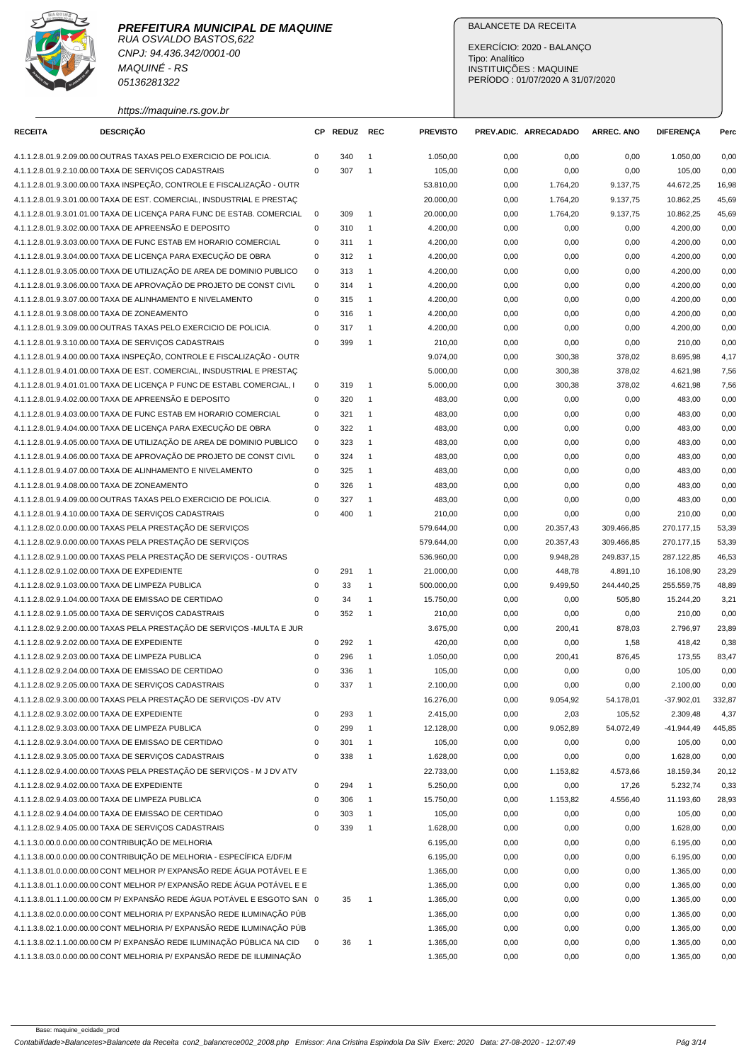

RUA OSVALDO BASTOS,622 CNPJ: 94.436.342/0001-00 MAQUINÉ - RS 05136281322

## BALANCETE DA RECEITA

EXERCÍCIO: 2020 - BALANÇO Tipo: Analítico INSTITUIÇÕES : MAQUINE PERÍODO : 01/07/2020 A 31/07/2020

https://maquine.rs.gov.br

| <b>RECEITA</b> | DESCRIÇÃO                                                                                                                    | СP                         | REDUZ REC |                | <b>PREVISTO</b>      |              | PREV.ADIC. ARRECADADO | <b>ARREC. ANO</b> | <b>DIFERENÇA</b>     | Perc         |
|----------------|------------------------------------------------------------------------------------------------------------------------------|----------------------------|-----------|----------------|----------------------|--------------|-----------------------|-------------------|----------------------|--------------|
|                | 4.1.1.2.8.01.9.2.09.00.00 OUTRAS TAXAS PELO EXERCICIO DE POLICIA.                                                            | $\mathbf 0$                | 340       | $\overline{1}$ | 1.050,00             | 0,00         | 0,00                  | 0,00              | 1.050,00             | 0,00         |
|                | 4.1.1.2.8.01.9.2.10.00.00 TAXA DE SERVIÇOS CADASTRAIS                                                                        | $\mathbf 0$                | 307       | $\overline{1}$ | 105,00               | 0,00         | 0,00                  | 0,00              | 105,00               | 0,00         |
|                | 4.1.1.2.8.01.9.3.00.00.00 TAXA INSPEÇÃO, CONTROLE E FISCALIZAÇÃO - OUTR                                                      |                            |           |                | 53.810,00            | 0,00         | 1.764,20              | 9.137,75          | 44.672,25            | 16,98        |
|                | 4.1.1.2.8.01.9.3.01.00.00 TAXA DE EST. COMERCIAL, INSDUSTRIAL E PRESTAC                                                      |                            |           |                | 20.000,00            | 0,00         | 1.764,20              | 9.137,75          | 10.862,25            | 45,69        |
|                | 4.1.1.2.8.01.9.3.01.01.00 TAXA DE LICENÇA PARA FUNC DE ESTAB. COMERCIAL                                                      | $\mathbf 0$                | 309       | $\overline{1}$ | 20.000,00            | 0,00         | 1.764,20              | 9.137,75          | 10.862,25            | 45,69        |
|                | 4.1.1.2.8.01.9.3.02.00.00 TAXA DE APREENSÃO E DEPOSITO                                                                       | 0                          | 310       | $\overline{1}$ | 4.200,00             | 0,00         | 0,00                  | 0,00              | 4.200,00             | 0,00         |
|                | 4.1.1.2.8.01.9.3.03.00.00 TAXA DE FUNC ESTAB EM HORARIO COMERCIAL                                                            | 0                          | 311       | $\overline{1}$ | 4.200,00             | 0,00         | 0,00                  | 0,00              | 4.200,00             | 0,00         |
|                | 4.1.1.2.8.01.9.3.04.00.00 TAXA DE LICENCA PARA EXECUÇÃO DE OBRA                                                              | $\mathbf 0$                | 312       | $\overline{1}$ | 4.200,00             | 0,00         | 0,00                  | 0,00              | 4.200,00             | 0,00         |
|                | 4.1.1.2.8.01.9.3.05.00.00 TAXA DE UTILIZAÇÃO DE AREA DE DOMINIO PUBLICO                                                      | $\mathbf 0$                | 313       | $\overline{1}$ | 4.200,00             | 0,00         | 0,00                  | 0,00              | 4.200,00             | 0,00         |
|                | 4.1.1.2.8.01.9.3.06.00.00 TAXA DE APROVAÇÃO DE PROJETO DE CONST CIVIL                                                        | $\mathbf 0$                | 314       | $\overline{1}$ | 4.200,00             | 0,00         | 0,00                  | 0,00              | 4.200.00             | 0,00         |
|                | 4.1.1.2.8.01.9.3.07.00.00 TAXA DE ALINHAMENTO E NIVELAMENTO                                                                  | $\mathbf 0$                | 315       | $\overline{1}$ | 4.200,00             | 0,00         | 0,00                  | 0,00              | 4.200,00             | 0,00         |
|                | 4.1.1.2.8.01.9.3.08.00.00 TAXA DE ZONEAMENTO                                                                                 | $\mathbf 0$                | 316       | $\overline{1}$ | 4.200,00             | 0,00         | 0,00                  | 0,00              | 4.200,00             | 0,00         |
|                | 4.1.1.2.8.01.9.3.09.00.00 OUTRAS TAXAS PELO EXERCICIO DE POLICIA.                                                            | $\mathbf 0$                | 317       | $\overline{1}$ | 4.200,00             | 0,00         | 0,00                  | 0,00              | 4.200,00             | 0,00         |
|                | 4.1.1.2.8.01.9.3.10.00.00 TAXA DE SERVIÇOS CADASTRAIS                                                                        | $\mathbf 0$                | 399       | $\overline{1}$ | 210,00               | 0,00         | 0,00                  | 0,00              | 210,00               | 0,00         |
|                | 4.1.1.2.8.01.9.4.00.00.00 TAXA INSPEÇÃO, CONTROLE E FISCALIZAÇÃO - OUTR                                                      |                            |           |                | 9.074,00             | 0,00         | 300,38                | 378,02            | 8.695,98             | 4,17         |
|                | 4.1.1.2.8.01.9.4.01.00.00 TAXA DE EST. COMERCIAL, INSDUSTRIAL E PRESTAÇ                                                      |                            |           |                | 5.000,00             | 0,00         | 300,38                | 378,02            | 4.621,98             | 7,56         |
|                | 4.1.1.2.8.01.9.4.01.01.00 TAXA DE LICENÇA P FUNC DE ESTABL COMERCIAL, I                                                      | 0                          | 319       | $\overline{1}$ | 5.000,00             | 0,00         | 300,38                | 378,02            | 4.621,98             | 7,56         |
|                | 4.1.1.2.8.01.9.4.02.00.00 TAXA DE APREENSÃO E DEPOSITO                                                                       | 0                          | 320       | $\overline{1}$ | 483,00               | 0,00         | 0,00                  | 0,00              | 483,00               | 0,00         |
|                | 4.1.1.2.8.01.9.4.03.00.00 TAXA DE FUNC ESTAB EM HORARIO COMERCIAL                                                            | $\mathbf 0$                | 321       | $\overline{1}$ | 483,00               | 0,00         | 0,00                  | 0,00              | 483,00               | 0,00         |
|                | 4.1.1.2.8.01.9.4.04.00.00 TAXA DE LICENÇA PARA EXECUÇÃO DE OBRA                                                              | $\mathbf 0$                | 322       | $\overline{1}$ | 483,00               | 0,00         | 0,00                  | 0,00              | 483,00               | 0,00         |
|                | 4.1.1.2.8.01.9.4.05.00.00 TAXA DE UTILIZAÇÃO DE AREA DE DOMINIO PUBLICO                                                      | $\mathbf 0$                | 323       | $\overline{1}$ | 483,00               | 0,00         | 0,00                  | 0,00              | 483,00               | 0,00         |
|                | 4.1.1.2.8.01.9.4.06.00.00 TAXA DE APROVAÇÃO DE PROJETO DE CONST CIVIL                                                        | $\mathbf 0$                | 324       | $\overline{1}$ | 483,00               | 0,00         | 0,00                  | 0,00              | 483,00               | 0,00         |
|                | 4.1.1.2.8.01.9.4.07.00.00 TAXA DE ALINHAMENTO E NIVELAMENTO                                                                  | 0                          | 325       | $\overline{1}$ | 483,00               | 0,00         | 0,00                  | 0,00              | 483,00               | 0,00         |
|                | 4.1.1.2.8.01.9.4.08.00.00 TAXA DE ZONEAMENTO                                                                                 | $\mathbf 0$                | 326       | $\overline{1}$ | 483,00               | 0,00         | 0,00                  | 0,00              | 483,00               | 0,00         |
|                | 4.1.1.2.8.01.9.4.09.00.00 OUTRAS TAXAS PELO EXERCICIO DE POLICIA.                                                            | $\mathbf 0$                | 327       | $\overline{1}$ | 483,00               | 0,00         | 0,00                  | 0,00              | 483,00               | 0,00         |
|                | 4.1.1.2.8.01.9.4.10.00.00 TAXA DE SERVIÇOS CADASTRAIS                                                                        | $\mathbf 0$                | 400       | $\overline{1}$ | 210,00               | 0,00         | 0,00                  | 0,00              | 210,00               | 0,00         |
|                | 4.1.1.2.8.02.0.0.00.00.00 TAXAS PELA PRESTAÇÃO DE SERVIÇOS                                                                   |                            |           |                | 579.644,00           | 0,00         | 20.357,43             | 309.466,85        | 270.177,15           | 53,39        |
|                | 4.1.1.2.8.02.9.0.00.00.00 TAXAS PELA PRESTAÇÃO DE SERVIÇOS                                                                   |                            |           |                | 579.644,00           | 0,00         | 20.357,43             | 309.466,85        | 270.177,15           | 53,39        |
|                | 4.1.1.2.8.02.9.1.00.00.00 TAXAS PELA PRESTAÇÃO DE SERVIÇOS - OUTRAS                                                          |                            |           |                | 536.960,00           | 0,00         | 9.948,28              | 249.837,15        | 287.122,85           | 46,53        |
|                | 4.1.1.2.8.02.9.1.02.00.00 TAXA DE EXPEDIENTE                                                                                 | $\mathbf 0$                | 291       | $\overline{1}$ | 21.000,00            | 0,00         | 448,78                | 4.891,10          | 16.108,90            | 23,29        |
|                | 4.1.1.2.8.02.9.1.03.00.00 TAXA DE LIMPEZA PUBLICA                                                                            | $\mathbf 0$                | 33        | $\mathbf{1}$   | 500.000,00           | 0,00         | 9.499,50              | 244.440,25        | 255.559,75           | 48,89        |
|                | 4.1.1.2.8.02.9.1.04.00.00 TAXA DE EMISSAO DE CERTIDAO                                                                        | $\mathsf 0$                | 34        | $\mathbf{1}$   | 15.750,00            | 0,00         | 0,00                  | 505,80            | 15.244,20            | 3,21         |
|                | 4.1.1.2.8.02.9.1.05.00.00 TAXA DE SERVIÇOS CADASTRAIS                                                                        | $\mathbf 0$                | 352       | $\overline{1}$ | 210,00               | 0,00         | 0,00                  | 0,00              | 210,00               | 0,00         |
|                | 4.1.1.2.8.02.9.2.00.00.00 TAXAS PELA PRESTAÇÃO DE SERVIÇOS -MULTA E JUR                                                      |                            |           |                | 3.675,00             | 0,00         | 200,41                | 878,03            | 2.796,97             | 23,89        |
|                | 4.1.1.2.8.02.9.2.02.00.00 TAXA DE EXPEDIENTE                                                                                 | 0                          | 292       | $\overline{1}$ | 420,00               | 0,00         | 0,00                  | 1,58              | 418,42               | 0,38         |
|                | 4.1.1.2.8.02.9.2.03.00.00 TAXA DE LIMPEZA PUBLICA                                                                            | 0                          | 296       | $\overline{1}$ | 1.050,00             | 0,00         | 200,41                | 876,45            | 173,55               | 83,47        |
|                | 4.1.1.2.8.02.9.2.04.00.00 TAXA DE EMISSAO DE CERTIDAO                                                                        | $\mathbf 0$                | 336       | $\overline{1}$ | 105,00               | 0,00         | 0,00                  | 0,00              | 105,00               | 0,00         |
|                | 4.1.1.2.8.02.9.2.05.00.00 TAXA DE SERVIÇOS CADASTRAIS                                                                        | $\mathbf 0$                | 337       | $\overline{1}$ | 2.100,00             | 0,00         | 0,00                  | 0,00              | 2.100,00             | 0,00         |
|                | 4.1.1.2.8.02.9.3.00.00.00 TAXAS PELA PRESTAÇÃO DE SERVIÇOS -DV ATV                                                           |                            |           |                | 16.276,00            | 0,00         | 9.054,92              | 54.178,01         | $-37.902,01$         | 332,87       |
|                | 4.1.1.2.8.02.9.3.02.00.00 TAXA DE EXPEDIENTE                                                                                 | $\pmb{0}$                  | 293       | $\overline{1}$ | 2.415,00             | 0,00         | 2,03                  | 105,52            | 2.309,48             | 4,37         |
|                | 4.1.1.2.8.02.9.3.03.00.00 TAXA DE LIMPEZA PUBLICA                                                                            | $\mathbf 0$                | 299       | $\mathbf{1}$   | 12.128,00            | 0,00         | 9.052,89              | 54.072,49         | $-41.944,49$         | 445,85       |
|                | 4.1.1.2.8.02.9.3.04.00.00 TAXA DE EMISSAO DE CERTIDAO                                                                        | 0                          | 301       | $\mathbf{1}$   | 105,00               | 0,00         | 0,00                  | 0,00              | 105,00               | 0,00         |
|                | 4.1.1.2.8.02.9.3.05.00.00 TAXA DE SERVIÇOS CADASTRAIS                                                                        | $\mathbf 0$                | 338       | $\overline{1}$ | 1.628,00             | 0,00         | 0,00                  | 0,00              | 1.628,00             | 0,00         |
|                | 4.1.1.2.8.02.9.4.00.00.00 TAXAS PELA PRESTAÇÃO DE SERVIÇOS - M J DV ATV                                                      |                            |           |                | 22.733,00            | 0,00         | 1.153,82              | 4.573,66          | 18.159,34            | 20,12        |
|                | 4.1.1.2.8.02.9.4.02.00.00 TAXA DE EXPEDIENTE                                                                                 | 0                          | 294       | $\overline{1}$ | 5.250,00             | 0,00         | 0,00                  | 17,26             | 5.232,74             | 0,33         |
|                | 4.1.1.2.8.02.9.4.03.00.00 TAXA DE LIMPEZA PUBLICA                                                                            | $\mathbf 0$                | 306       | $\overline{1}$ | 15.750,00            | 0,00         | 1.153,82              | 4.556,40          | 11.193,60            | 28,93        |
|                | 4.1.1.2.8.02.9.4.04.00.00 TAXA DE EMISSAO DE CERTIDAO                                                                        | $\mathbf 0$<br>$\mathbf 0$ | 303       | $\overline{1}$ | 105,00               | 0,00         | 0,00                  | 0,00              | 105,00               | 0,00         |
|                | 4.1.1.2.8.02.9.4.05.00.00 TAXA DE SERVIÇOS CADASTRAIS                                                                        |                            | 339       | $\overline{1}$ | 1.628,00             | 0,00         | 0,00                  | 0,00              | 1.628,00             | 0,00         |
|                | 4.1.1.3.0.00.0.0.00.00.00 CONTRIBUIÇÃO DE MELHORIA<br>4.1.1.3.8.00.0.0.00.00.00 CONTRIBUICÃO DE MELHORIA - ESPECÍFICA E/DF/M |                            |           |                | 6.195,00             | 0,00         | 0,00                  | 0,00              | 6.195,00             | 0,00         |
|                | 4.1.1.3.8.01.0.0.00.00.00 CONT MELHOR P/ EXPANSÃO REDE ÁGUA POTÁVEL E E                                                      |                            |           |                | 6.195,00<br>1.365,00 | 0,00<br>0,00 | 0,00<br>0,00          | 0,00<br>0,00      | 6.195,00<br>1.365,00 | 0,00<br>0,00 |
|                | 4.1.1.3.8.01.1.0.00.00.00 CONT MELHOR P/ EXPANSÃO REDE ÁGUA POTÁVEL E E                                                      |                            |           |                | 1.365,00             | 0,00         | 0,00                  | 0,00              | 1.365,00             | 0,00         |
|                | 4.1.1.3.8.01.1.1.00.00.00 CM P/ EXPANSÃO REDE ÁGUA POTÁVEL E ESGOTO SAN 0                                                    |                            | 35        | $\overline{1}$ | 1.365,00             | 0,00         | 0,00                  | 0,00              | 1.365,00             | 0,00         |
|                | 4.1.1.3.8.02.0.0.00.00.00 CONT MELHORIA P/ EXPANSÃO REDE ILUMINAÇÃO PÚB                                                      |                            |           |                | 1.365,00             | 0,00         | 0,00                  | 0,00              | 1.365,00             | 0,00         |
|                | 4.1.1.3.8.02.1.0.00.00.00 CONT MELHORIA P/ EXPANSÃO REDE ILUMINAÇÃO PÚB                                                      |                            |           |                | 1.365,00             | 0,00         | 0,00                  | 0,00              | 1.365,00             | 0,00         |
|                | 4.1.1.3.8.02.1.1.00.00.00 CM P/ EXPANSÃO REDE ILUMINAÇÃO PÚBLICA NA CID                                                      | $\mathbf 0$                | 36        | $\overline{1}$ | 1.365,00             | 0,00         | 0,00                  | 0,00              | 1.365,00             | 0,00         |
|                | 4.1.1.3.8.03.0.0.00.00.00 CONT MELHORIA P/ EXPANSÃO REDE DE ILUMINAÇÃO                                                       |                            |           |                | 1.365,00             | 0,00         | 0,00                  | 0,00              | 1.365,00             | 0,00         |
|                |                                                                                                                              |                            |           |                |                      |              |                       |                   |                      |              |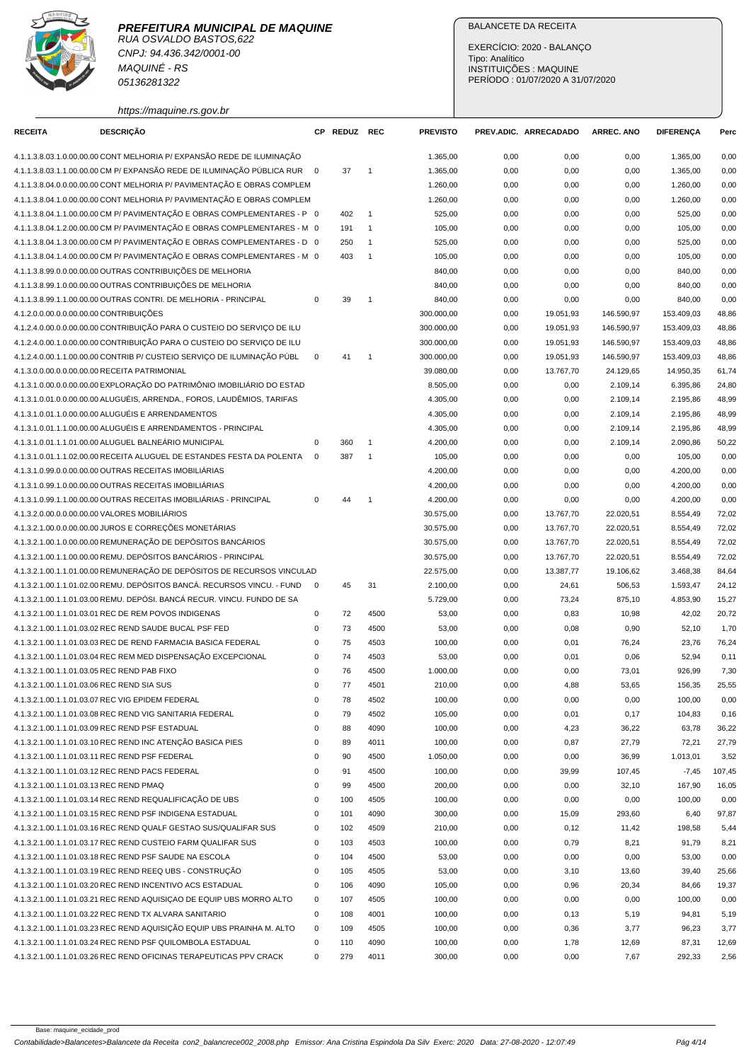

CNPJ: 94.436.342/0001-00 MAQUINÉ - RS 05136281322

https://maquine.rs.gov.br

## BALANCETE DA RECEITA

EXERCÍCIO: 2020 - BALANÇO Tipo: Analítico INSTITUIÇÕES : MAQUINE PERÍODO : 01/07/2020 A 31/07/2020

| <b>RECEITA</b>                          | <b>DESCRIÇÃO</b>                                                                                                               |             | CP REDUZ REC |                | <b>PREVISTO</b> |      | PREV.ADIC. ARRECADADO | <b>ARREC. ANO</b> | <b>DIFERENÇA</b> | Perc   |
|-----------------------------------------|--------------------------------------------------------------------------------------------------------------------------------|-------------|--------------|----------------|-----------------|------|-----------------------|-------------------|------------------|--------|
|                                         | 4.1.1.3.8.03.1.0.00.00.00 CONT MELHORIA P/ EXPANSÃO REDE DE ILUMINAÇÃO                                                         |             |              |                | 1.365,00        | 0,00 | 0,00                  | 0,00              | 1.365,00         | 0,00   |
|                                         | 4.1.1.3.8.03.1.1.00.00.00 CM P/ EXPANSÃO REDE DE ILUMINAÇÃO PÚBLICA RUR 0                                                      |             | 37           | $\overline{1}$ | 1.365,00        | 0,00 | 0,00                  | 0,00              | 1.365,00         | 0,00   |
|                                         | 4.1.1.3.8.04.0.0.00.00.00 CONT MELHORIA P/ PAVIMENTAÇÃO E OBRAS COMPLEM                                                        |             |              |                | 1.260,00        | 0,00 | 0,00                  | 0,00              | 1.260,00         | 0,00   |
|                                         | 4.1.1.3.8.04.1.0.00.00.00 CONT MELHORIA P/ PAVIMENTAÇÃO E OBRAS COMPLEM                                                        |             |              |                | 1.260,00        | 0,00 | 0,00                  | 0,00              | 1.260,00         | 0,00   |
|                                         | 4.1.1.3.8.04.1.1.00.00.00 CM P/ PAVIMENTAÇÃO E OBRAS COMPLEMENTARES - P 0                                                      |             | 402          | $\overline{1}$ | 525,00          | 0,00 | 0,00                  | 0,00              | 525,00           | 0,00   |
|                                         | 4.1.1.3.8.04.1.2.00.00.00 CM P/ PAVIMENTAÇÃO E OBRAS COMPLEMENTARES - M 0                                                      |             | 191          | $\mathbf{1}$   | 105,00          | 0,00 | 0,00                  | 0,00              | 105,00           | 0,00   |
|                                         | 4.1.1.3.8.04.1.3.00.00.00 CM P/ PAVIMENTAÇÃO E OBRAS COMPLEMENTARES - D 0                                                      |             | 250          | $\overline{1}$ | 525,00          | 0,00 | 0,00                  | 0,00              | 525,00           | 0,00   |
|                                         | 4.1.1.3.8.04.1.4.00.00.00 CM P/ PAVIMENTAÇÃO E OBRAS COMPLEMENTARES - M 0                                                      |             | 403          | $\overline{1}$ | 105,00          | 0,00 | 0,00                  | 0,00              | 105,00           | 0,00   |
|                                         | 4.1.1.3.8.99.0.0.00.00.00 OUTRAS CONTRIBUICÕES DE MELHORIA                                                                     |             |              |                | 840,00          | 0,00 | 0,00                  | 0,00              | 840,00           | 0,00   |
|                                         | 4.1.1.3.8.99.1.0.00.00.00 OUTRAS CONTRIBUIÇÕES DE MELHORIA                                                                     |             |              |                | 840,00          | 0,00 | 0,00                  | 0,00              | 840,00           | 0,00   |
|                                         | 4.1.1.3.8.99.1.1.00.00.00 OUTRAS CONTRI. DE MELHORIA - PRINCIPAL                                                               | $\mathsf 0$ | 39           | $\overline{1}$ | 840,00          | 0,00 | 0,00                  | 0,00              | 840,00           | 0,00   |
| 4.1.2.0.0.00.0.0.00.00.00 CONTRIBUIÇÕES |                                                                                                                                |             |              |                | 300.000,00      | 0,00 | 19.051,93             | 146.590,97        | 153.409,03       | 48,86  |
|                                         | 4.1.2.4.0.00.0.0.00.00.00 CONTRIBUIÇÃO PARA O CUSTEIO DO SERVIÇO DE ILU                                                        |             |              |                | 300.000,00      | 0,00 | 19.051,93             | 146.590,97        | 153.409,03       | 48,86  |
|                                         | 4.1.2.4.0.00.1.0.00.00.00 CONTRIBUIÇÃO PARA O CUSTEIO DO SERVIÇO DE ILU                                                        |             |              |                | 300.000,00      | 0,00 | 19.051,93             | 146.590,97        | 153.409,03       | 48,86  |
|                                         | 4.1.2.4.0.00.1.1.00.00.00 CONTRIB P/ CUSTEIO SERVIÇO DE ILUMINAÇÃO PÚBL                                                        | 0           | 41           | $\overline{1}$ | 300.000,00      | 0,00 | 19.051,93             | 146.590,97        | 153.409,03       | 48,86  |
|                                         | 4.1.3.0.0.00.0.0.00.00.00 RECEITA PATRIMONIAL                                                                                  |             |              |                | 39.080,00       | 0,00 | 13.767,70             | 24.129,65         | 14.950,35        | 61,74  |
|                                         | 4.1.3.1.0.00.0.0.00.00.00 EXPLORAÇÃO DO PATRIMÔNIO IMOBILIÁRIO DO ESTAD                                                        |             |              |                | 8.505,00        | 0,00 | 0,00                  | 2.109,14          | 6.395,86         | 24,80  |
|                                         | 4.1.3.1.0.01.0.0.00.00.00 ALUGUÉIS, ARRENDA., FOROS, LAUDÊMIOS, TARIFAS                                                        |             |              |                | 4.305,00        | 0,00 | 0,00                  | 2.109,14          | 2.195,86         | 48,99  |
|                                         | 4.1.3.1.0.01.1.0.00.00.00 ALUGUÉIS E ARRENDAMENTOS                                                                             |             |              |                | 4.305,00        | 0,00 | 0,00                  | 2.109,14          | 2.195,86         | 48,99  |
|                                         | 4.1.3.1.0.01.1.1.00.00.00 ALUGUÉIS E ARRENDAMENTOS - PRINCIPAL                                                                 |             |              |                | 4.305.00        | 0,00 | 0,00                  | 2.109,14          | 2.195,86         | 48,99  |
|                                         | 4.1.3.1.0.01.1.1.01.00.00 ALUGUEL BALNEÁRIO MUNICIPAL                                                                          | 0           | 360          | $\overline{1}$ | 4.200,00        | 0,00 | 0,00                  | 2.109,14          | 2.090,86         | 50,22  |
|                                         | 4.1.3.1.0.01.1.1.02.00.00 RECEITA ALUGUEL DE ESTANDES FESTA DA POLENTA                                                         | $\mathbf 0$ | 387          | $\overline{1}$ | 105,00          | 0,00 | 0,00                  | 0,00              | 105,00           | 0,00   |
|                                         | 4.1.3.1.0.99.0.0.00.00.00 OUTRAS RECEITAS IMOBILIÁRIAS                                                                         |             |              |                | 4.200,00        | 0,00 | 0,00                  | 0,00              | 4.200,00         | 0,00   |
|                                         | 4.1.3.1.0.99.1.0.00.00.00 OUTRAS RECEITAS IMOBILIÁRIAS                                                                         |             |              |                | 4.200,00        | 0,00 | 0,00                  | 0,00              | 4.200,00         | 0,00   |
|                                         | 4.1.3.1.0.99.1.1.00.00.00 OUTRAS RECEITAS IMOBILIÁRIAS - PRINCIPAL                                                             | 0           | 44           | $\overline{1}$ | 4.200,00        | 0,00 | 0,00                  | 0,00              | 4.200,00         | 0,00   |
|                                         | 4.1.3.2.0.00.0.0.00.00.00 VALORES MOBILIÁRIOS                                                                                  |             |              |                | 30.575,00       | 0,00 | 13.767,70             | 22.020,51         | 8.554,49         | 72,02  |
|                                         | 4.1.3.2.1.00.0.0.00.00.00 JUROS E CORREÇÕES MONETÁRIAS                                                                         |             |              |                | 30.575,00       | 0,00 | 13.767,70             | 22.020,51         | 8.554,49         | 72,02  |
|                                         | 4.1.3.2.1.00.1.0.00.00.00 REMUNERAÇÃO DE DEPÓSITOS BANCÁRIOS                                                                   |             |              |                | 30.575,00       | 0,00 | 13.767,70             | 22.020,51         | 8.554,49         | 72,02  |
|                                         | 4.1.3.2.1.00.1.1.00.00.00 REMU. DEPÓSITOS BANCÁRIOS - PRINCIPAL                                                                |             |              |                | 30.575,00       | 0,00 | 13.767,70             | 22.020,51         | 8.554,49         | 72,02  |
|                                         | 4.1.3.2.1.00.1.1.01.00.00 REMUNERAÇÃO DE DEPÓSITOS DE RECURSOS VINCULAD                                                        |             |              |                | 22.575,00       | 0,00 | 13.387,77             | 19.106,62         | 3.468,38         | 84,64  |
|                                         | 4.1.3.2.1.00.1.1.01.02.00 REMU. DEPÓSITOS BANCÁ. RECURSOS VINCU. - FUND                                                        | $\mathbf 0$ | 45           | 31             | 2.100,00        | 0,00 | 24,61                 | 506,53            | 1.593,47         | 24,12  |
|                                         | 4.1.3.2.1.00.1.1.01.03.00 REMU. DEPÓSI. BANCÁ RECUR. VINCU. FUNDO DE SA                                                        |             |              |                | 5.729,00        | 0,00 | 73,24                 | 875,10            | 4.853,90         | 15,27  |
|                                         | 4.1.3.2.1.00.1.1.01.03.01 REC DE REM POVOS INDIGENAS                                                                           | 0           | 72           |                |                 |      |                       |                   |                  |        |
|                                         | 4.1.3.2.1.00.1.1.01.03.02 REC REND SAUDE BUCAL PSF FED                                                                         |             | 73           | 4500           | 53,00           | 0,00 | 0,83                  | 10,98             | 42,02            | 20,72  |
|                                         |                                                                                                                                | 0           |              | 4500           | 53,00           | 0,00 | 0,08                  | 0,90              | 52,10            | 1,70   |
|                                         | 4.1.3.2.1.00.1.1.01.03.03 REC DE REND FARMACIA BASICA FEDERAL<br>4.1.3.2.1.00.1.1.01.03.04 REC REM MED DISPENSAÇÃO EXCEPCIONAL | 0           | 75           | 4503           | 100,00          | 0,00 | 0,01                  | 76,24             | 23,76            | 76,24  |
|                                         |                                                                                                                                | 0           | 74           | 4503           | 53,00           | 0,00 | 0,01                  | 0,06              | 52,94            | 0,11   |
|                                         | 4.1.3.2.1.00.1.1.01.03.05 REC REND PAB FIXO                                                                                    | 0           | 76           | 4500           | 1.000,00        | 0,00 | 0,00                  | 73,01             | 926,99           | 7,30   |
|                                         | 4.1.3.2.1.00.1.1.01.03.06 REC REND SIA SUS                                                                                     | $\Omega$    | 77           | 4501           | 210,00          | 0,00 | 4,88                  | 53,65             | 156,35           | 25,55  |
|                                         | 4.1.3.2.1.00.1.1.01.03.07 REC VIG EPIDEM FEDERAL                                                                               | 0           | 78           | 4502           | 100,00          | 0,00 | 0,00                  | 0,00              | 100,00           | 0,00   |
|                                         | 4.1.3.2.1.00.1.1.01.03.08 REC REND VIG SANITARIA FEDERAL                                                                       | 0           | 79           | 4502           | 105,00          | 0,00 | 0,01                  | 0,17              | 104,83           | 0,16   |
|                                         | 4.1.3.2.1.00.1.1.01.03.09 REC REND PSF ESTADUAL                                                                                | 0           | 88           | 4090           | 100,00          | 0,00 | 4,23                  | 36,22             | 63,78            | 36,22  |
|                                         | 4.1.3.2.1.00.1.1.01.03.10 REC REND INC ATENÇÃO BASICA PIES                                                                     | 0           | 89           | 4011           | 100,00          | 0,00 | 0,87                  | 27,79             | 72,21            | 27,79  |
|                                         | 4.1.3.2.1.00.1.1.01.03.11 REC REND PSF FEDERAL                                                                                 | 0           | 90           | 4500           | 1.050,00        | 0,00 | 0,00                  | 36,99             | 1.013,01         | 3,52   |
|                                         | 4.1.3.2.1.00.1.1.01.03.12 REC REND PACS FEDERAL                                                                                | 0           | 91           | 4500           | 100,00          | 0,00 | 39,99                 | 107,45            | $-7,45$          | 107,45 |
| 4.1.3.2.1.00.1.1.01.03.13 REC REND PMAQ |                                                                                                                                | 0           | 99           | 4500           | 200,00          | 0,00 | 0,00                  | 32,10             | 167,90           | 16,05  |
|                                         | 4.1.3.2.1.00.1.1.01.03.14 REC REND REQUALIFICAÇÃO DE UBS                                                                       | 0           | 100          | 4505           | 100,00          | 0,00 | 0,00                  | 0,00              | 100,00           | 0,00   |
|                                         | 4.1.3.2.1.00.1.1.01.03.15 REC REND PSF INDIGENA ESTADUAL                                                                       | 0           | 101          | 4090           | 300,00          | 0,00 | 15,09                 | 293,60            | 6,40             | 97,87  |
|                                         | 4.1.3.2.1.00.1.1.01.03.16 REC REND QUALF GESTAO SUS/QUALIFAR SUS                                                               | 0           | 102          | 4509           | 210,00          | 0,00 | 0,12                  | 11,42             | 198,58           | 5,44   |
|                                         | 4.1.3.2.1.00.1.1.01.03.17 REC REND CUSTEIO FARM QUALIFAR SUS                                                                   | 0           | 103          | 4503           | 100,00          | 0,00 | 0,79                  | 8,21              | 91,79            | 8,21   |
|                                         | 4.1.3.2.1.00.1.1.01.03.18 REC REND PSF SAUDE NA ESCOLA                                                                         | 0           | 104          | 4500           | 53,00           | 0,00 | 0,00                  | 0,00              | 53,00            | 0,00   |
|                                         | 4.1.3.2.1.00.1.1.01.03.19 REC REND REEQ UBS - CONSTRUÇÃO                                                                       | 0           | 105          | 4505           | 53,00           | 0,00 | 3,10                  | 13,60             | 39,40            | 25,66  |
|                                         | 4.1.3.2.1.00.1.1.01.03.20 REC REND INCENTIVO ACS ESTADUAL                                                                      | 0           | 106          | 4090           | 105,00          | 0,00 | 0,96                  | 20,34             | 84,66            | 19,37  |
|                                         | 4.1.3.2.1.00.1.1.01.03.21 REC REND AQUISIÇAO DE EQUIP UBS MORRO ALTO                                                           | 0           | 107          | 4505           | 100,00          | 0,00 | 0,00                  | 0,00              | 100,00           | 0,00   |
|                                         | 4.1.3.2.1.00.1.1.01.03.22 REC REND TX ALVARA SANITARIO                                                                         | 0           | 108          | 4001           | 100,00          | 0,00 | 0,13                  | 5,19              | 94,81            | 5,19   |
|                                         | 4.1.3.2.1.00.1.1.01.03.23 REC REND AQUISIÇÃO EQUIP UBS PRAINHA M. ALTO                                                         | $\mathsf 0$ | 109          | 4505           | 100,00          | 0,00 | 0,36                  | 3,77              | 96,23            | 3,77   |
|                                         | 4.1.3.2.1.00.1.1.01.03.24 REC REND PSF QUILOMBOLA ESTADUAL                                                                     | 0           | 110          | 4090           | 100,00          | 0,00 | 1,78                  | 12,69             | 87,31            | 12,69  |
|                                         | 4.1.3.2.1.00.1.1.01.03.26 REC REND OFICINAS TERAPEUTICAS PPV CRACK                                                             | 0           | 279          | 4011           | 300,00          | 0,00 | 0,00                  | 7,67              | 292,33           | 2,56   |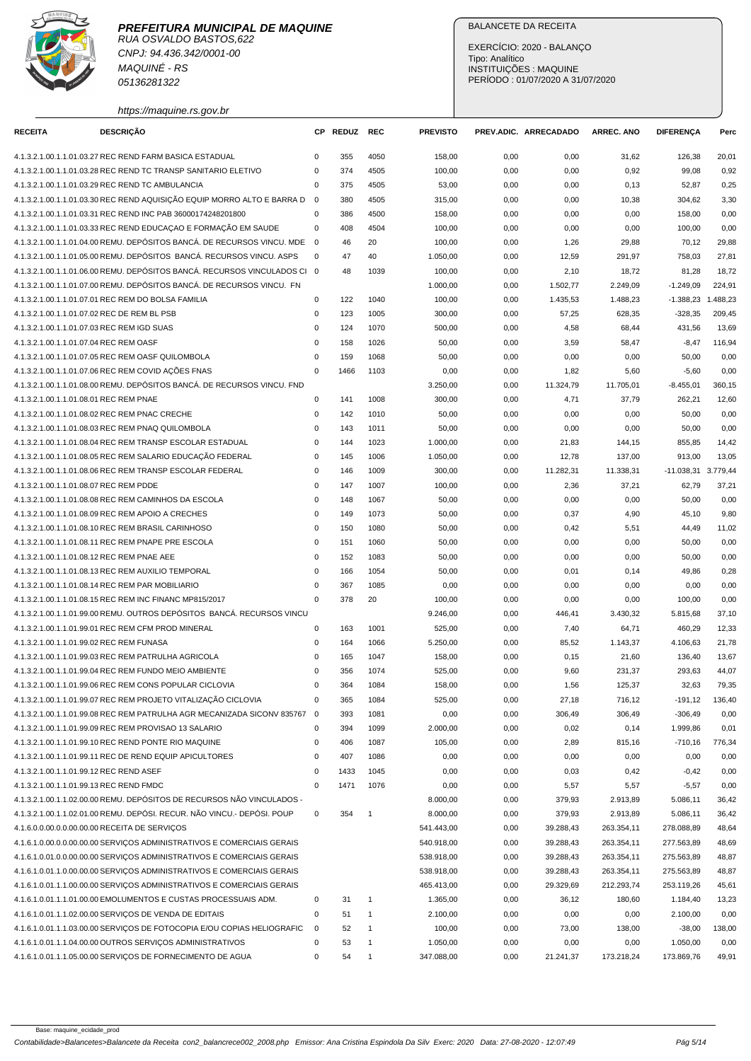

CNPJ: 94.436.342/0001-00 MAQUINÉ - RS 05136281322

https://maquine.rs.gov.br

## BALANCETE DA RECEITA

EXERCÍCIO: 2020 - BALANÇO Tipo: Analítico INSTITUIÇÕES : MAQUINE PERÍODO : 01/07/2020 A 31/07/2020

| <b>RECEITA</b>                              | <b>DESCRIÇÃO</b>                                                                                                            |                          | CP REDUZ   | <b>REC</b>   | <b>PREVISTO</b> |              | PREV.ADIC. ARRECADADO | <b>ARREC. ANO</b> | <b>DIFERENÇA</b>    | Perc         |
|---------------------------------------------|-----------------------------------------------------------------------------------------------------------------------------|--------------------------|------------|--------------|-----------------|--------------|-----------------------|-------------------|---------------------|--------------|
|                                             |                                                                                                                             |                          |            |              |                 |              |                       |                   |                     |              |
|                                             | 4.1.3.2.1.00.1.1.01.03.27 REC REND FARM BASICA ESTADUAL                                                                     | 0<br>$\mathbf 0$         | 355        | 4050         | 158,00          | 0,00         | 0,00                  | 31,62             | 126,38              | 20,01        |
|                                             | 4.1.3.2.1.00.1.1.01.03.28 REC REND TC TRANSP SANITARIO ELETIVO                                                              | 0                        | 374<br>375 | 4505<br>4505 | 100,00          | 0,00         | 0,00                  | 0,92              | 99,08               | 0,92         |
|                                             | 4.1.3.2.1.00.1.1.01.03.29 REC REND TC AMBULANCIA<br>4.1.3.2.1.00.1.1.01.03.30 REC REND AQUISIÇÃO EQUIP MORRO ALTO E BARRA D | $\mathbf{0}$             | 380        | 4505         | 53,00<br>315,00 | 0,00<br>0,00 | 0,00<br>0,00          | 0,13<br>10,38     | 52,87<br>304,62     | 0,25<br>3,30 |
|                                             |                                                                                                                             | $\mathbf 0$              |            |              |                 |              |                       |                   |                     |              |
|                                             | 4.1.3.2.1.00.1.1.01.03.31 REC REND INC PAB 36000174248201800                                                                |                          | 386        | 4500         | 158,00          | 0,00         | 0,00                  | 0,00              | 158,00              | 0,00         |
|                                             | 4.1.3.2.1.00.1.1.01.03.33 REC REND EDUCAÇÃO E FORMAÇÃO EM SAUDE                                                             | $\mathbf 0$              | 408        | 4504         | 100,00          | 0,00         | 0,00                  | 0,00              | 100,00              | 0,00         |
|                                             | 4.1.3.2.1.00.1.1.01.04.00 REMU. DEPÓSITOS BANCÁ. DE RECURSOS VINCU. MDE                                                     | $\overline{\phantom{0}}$ | 46         | 20           | 100,00          | 0,00         | 1,26                  | 29,88             | 70,12               | 29,88        |
|                                             | 4.1.3.2.1.00.1.1.01.05.00 REMU. DEPÓSITOS BANCÁ. RECURSOS VINCU. ASPS                                                       | 0                        | 47         | 40           | 1.050,00        | 0,00         | 12,59                 | 291,97            | 758,03              | 27,81        |
|                                             | 4.1.3.2.1.00.1.1.01.06.00 REMU, DEPÓSITOS BANCÁ, RECURSOS VINCULADOS CI 0                                                   |                          | 48         | 1039         | 100,00          | 0,00         | 2,10                  | 18,72             | 81,28               | 18,72        |
|                                             | 4.1.3.2.1.00.1.1.01.07.00 REMU. DEPÓSITOS BANCÁ. DE RECURSOS VINCU. FN                                                      |                          |            |              | 1.000,00        | 0,00         | 1.502,77              | 2.249,09          | $-1.249,09$         | 224,91       |
|                                             | 4.1.3.2.1.00.1.1.01.07.01 REC REM DO BOLSA FAMILIA                                                                          | $\mathsf 0$              | 122        | 1040         | 100,00          | 0,00         | 1.435,53              | 1.488,23          | $-1.388,23$         | 1.488,23     |
| 4.1.3.2.1.00.1.1.01.07.02 REC DE REM BL PSB |                                                                                                                             | $\pmb{0}$                | 123        | 1005         | 300,00          | 0,00         | 57,25                 | 628,35            | $-328,35$           | 209,45       |
| 4.1.3.2.1.00.1.1.01.07.03 REC REM IGD SUAS  |                                                                                                                             | $\mathbf 0$              | 124        | 1070         | 500,00          | 0,00         | 4,58                  | 68,44             | 431,56              | 13,69        |
| 4.1.3.2.1.00.1.1.01.07.04 REC REM OASF      |                                                                                                                             | $\mathbf 0$              | 158        | 1026         | 50,00           | 0,00         | 3,59                  | 58,47             | $-8,47$             | 116,94       |
|                                             | 4.1.3.2.1.00.1.1.01.07.05 REC REM OASF QUILOMBOLA                                                                           | $\mathbf 0$              | 159        | 1068         | 50,00           | 0,00         | 0,00                  | 0,00              | 50,00               | 0,00         |
|                                             | 4.1.3.2.1.00.1.1.01.07.06 REC REM COVID AÇÕES FNAS                                                                          | $\mathbf 0$              | 1466       | 1103         | 0,00            | 0,00         | 1,82                  | 5,60              | $-5,60$             | 0,00         |
|                                             | 4.1.3.2.1.00.1.1.01.08.00 REMU. DEPÓSITOS BANCÁ. DE RECURSOS VINCU. FND                                                     |                          |            |              | 3.250,00        | 0,00         | 11.324,79             | 11.705,01         | $-8.455,01$         | 360,15       |
| 4.1.3.2.1.00.1.1.01.08.01 REC REM PNAE      |                                                                                                                             | $\mathsf 0$              | 141        | 1008         | 300,00          | 0,00         | 4,71                  | 37,79             | 262,21              | 12,60        |
|                                             | 4.1.3.2.1.00.1.1.01.08.02 REC REM PNAC CRECHE                                                                               | 0                        | 142        | 1010         | 50,00           | 0,00         | 0,00                  | 0,00              | 50,00               | 0,00         |
|                                             | 4.1.3.2.1.00.1.1.01.08.03 REC REM PNAQ QUILOMBOLA                                                                           | $\pmb{0}$                | 143        | 1011         | 50,00           | 0,00         | 0,00                  | 0,00              | 50,00               | 0,00         |
|                                             | 4.1.3.2.1.00.1.1.01.08.04 REC REM TRANSP ESCOLAR ESTADUAL                                                                   | $\mathbf 0$              | 144        | 1023         | 1.000,00        | 0,00         | 21,83                 | 144,15            | 855,85              | 14,42        |
|                                             | 4.1.3.2.1.00.1.1.01.08.05 REC REM SALARIO EDUCAÇÃO FEDERAL                                                                  | $\mathbf 0$              | 145        | 1006         | 1.050,00        | 0,00         | 12,78                 | 137,00            | 913,00              | 13,05        |
|                                             | 4.1.3.2.1.00.1.1.01.08.06 REC REM TRANSP ESCOLAR FEDERAL                                                                    | $\mathbf 0$              | 146        | 1009         | 300,00          | 0,00         | 11.282,31             | 11.338,31         | -11.038,31 3.779,44 |              |
| 4.1.3.2.1.00.1.1.01.08.07 REC REM PDDE      |                                                                                                                             | $\mathbf 0$              | 147        | 1007         | 100,00          | 0,00         | 2,36                  | 37,21             | 62,79               | 37,21        |
|                                             | 4.1.3.2.1.00.1.1.01.08.08 REC REM CAMINHOS DA ESCOLA                                                                        | $\mathbf 0$              | 148        | 1067         | 50,00           | 0,00         | 0,00                  | 0,00              | 50,00               | 0,00         |
|                                             | 4.1.3.2.1.00.1.1.01.08.09 REC REM APOIO A CRECHES                                                                           | $\mathbf 0$              | 149        | 1073         | 50,00           | 0,00         | 0,37                  | 4,90              | 45,10               | 9,80         |
|                                             | 4.1.3.2.1.00.1.1.01.08.10 REC REM BRASIL CARINHOSO                                                                          | $\pmb{0}$                | 150        | 1080         | 50,00           | 0,00         | 0,42                  | 5,51              | 44,49               | 11,02        |
|                                             | 4.1.3.2.1.00.1.1.01.08.11 REC REM PNAPE PRE ESCOLA                                                                          | 0                        | 151        | 1060         | 50,00           | 0,00         | 0,00                  | 0,00              | 50,00               | 0,00         |
| 4.1.3.2.1.00.1.1.01.08.12 REC REM PNAE AEE  |                                                                                                                             | $\mathbf 0$              | 152        | 1083         | 50,00           | 0,00         | 0,00                  | 0,00              | 50,00               | 0,00         |
|                                             | 4.1.3.2.1.00.1.1.01.08.13 REC REM AUXILIO TEMPORAL                                                                          | $\mathbf 0$              | 166        | 1054         | 50,00           | 0,00         | 0,01                  | 0,14              | 49,86               | 0,28         |
|                                             | 4.1.3.2.1.00.1.1.01.08.14 REC REM PAR MOBILIARIO                                                                            | $\mathbf 0$              | 367        | 1085         | 0,00            | 0,00         | 0,00                  | 0,00              | 0,00                | 0,00         |
|                                             | 4.1.3.2.1.00.1.1.01.08.15 REC REM INC FINANC MP815/2017                                                                     | $\mathbf 0$              | 378        | 20           | 100,00          | 0,00         | 0,00                  | 0,00              | 100,00              | 0,00         |
|                                             | 4.1.3.2.1.00.1.1.01.99.00 REMU. OUTROS DEPÓSITOS BANCÁ. RECURSOS VINCU                                                      |                          |            |              | 9.246,00        | 0,00         | 446,41                | 3.430,32          | 5.815,68            | 37,10        |
|                                             | 4.1.3.2.1.00.1.1.01.99.01 REC REM CFM PROD MINERAL                                                                          | $\mathbf 0$              | 163        | 1001         | 525,00          | 0,00         | 7,40                  | 64,71             | 460,29              | 12,33        |
| 4.1.3.2.1.00.1.1.01.99.02 REC REM FUNASA    |                                                                                                                             | $\mathbf 0$              | 164        | 1066         | 5.250,00        | 0,00         | 85,52                 | 1.143,37          | 4.106,63            | 21,78        |
|                                             | 4.1.3.2.1.00.1.1.01.99.03 REC REM PATRULHA AGRICOLA                                                                         | $\pmb{0}$                | 165        | 1047         | 158,00          | 0,00         | 0, 15                 | 21,60             | 136,40              | 13,67        |
|                                             | 4.1.3.2.1.00.1.1.01.99.04 REC REM FUNDO MEIO AMBIENTE                                                                       | 0                        | 356        | 1074         | 525,00          | 0,00         | 9,60                  | 231,37            | 293,63              | 44,07        |
|                                             | 4.1.3.2.1.00.1.1.01.99.06 REC REM CONS POPULAR CICLOVIA                                                                     | $\mathbf 0$              | 364        | 1084         | 158,00          | 0,00         | 1,56                  | 125,37            | 32,63               | 79,35        |
|                                             | 4.1.3.2.1.00.1.1.01.99.07 REC REM PROJETO VITALIZAÇÃO CICLOVIA                                                              | $\mathsf 0$              | 365        | 1084         | 525,00          | 0,00         | 27,18                 | 716,12            | $-191, 12$          | 136,40       |
|                                             | 4.1.3.2.1.00.1.1.01.99.08 REC REM PATRULHA AGR MECANIZADA SICONV 835767                                                     | $\overline{\mathbf{0}}$  | 393        | 1081         | 0,00            | 0,00         | 306,49                | 306,49            | $-306,49$           | 0,00         |
|                                             | 4.1.3.2.1.00.1.1.01.99.09 REC REM PROVISAO 13 SALARIO                                                                       | $\mathsf 0$              | 394        | 1099         | 2.000,00        | 0,00         | 0,02                  | 0,14              | 1.999,86            | 0,01         |
|                                             | 4.1.3.2.1.00.1.1.01.99.10 REC REND PONTE RIO MAQUINE                                                                        | $\pmb{0}$                | 406        | 1087         | 105,00          | 0,00         | 2,89                  | 815,16            | $-710,16$           | 776,34       |
|                                             | 4.1.3.2.1.00.1.1.01.99.11 REC DE REND EQUIP APICULTORES                                                                     | $\pmb{0}$                | 407        | 1086         | 0,00            | 0,00         | 0,00                  | 0,00              | 0,00                | 0,00         |
| 4.1.3.2.1.00.1.1.01.99.12 REC REND ASEF     |                                                                                                                             | $\pmb{0}$                | 1433       | 1045         | 0,00            | 0,00         | 0,03                  | 0,42              | $-0,42$             | 0,00         |
| 4.1.3.2.1.00.1.1.01.99.13 REC REND FMDC     |                                                                                                                             | $\mathbf 0$              | 1471       | 1076         | 0,00            | 0,00         | 5,57                  | 5,57              | $-5,57$             | 0,00         |
|                                             | 4.1.3.2.1.00.1.1.02.00.00 REMU. DEPÓSITOS DE RECURSOS NÃO VINCULADOS -                                                      |                          |            |              | 8.000,00        | 0,00         | 379,93                | 2.913,89          | 5.086,11            | 36,42        |
|                                             | 4.1.3.2.1.00.1.1.02.01.00 REMU. DEPÓSI. RECUR. NÃO VINCU.- DEPÓSI. POUP                                                     | $\mathbf 0$              | 354        | $\mathbf{1}$ | 8.000,00        | 0,00         | 379,93                | 2.913,89          | 5.086,11            | 36,42        |
|                                             | 4.1.6.0.0.00.0.0.00.00.00 RECEITA DE SERVIÇOS                                                                               |                          |            |              | 541.443,00      | 0,00         | 39.288,43             | 263.354,11        | 278.088,89          | 48,64        |
|                                             | 4.1.6.1.0.00.0.0.00.00.00 SERVICOS ADMINISTRATIVOS E COMERCIAIS GERAIS                                                      |                          |            |              |                 |              |                       |                   |                     |              |
|                                             |                                                                                                                             |                          |            |              | 540.918,00      | 0,00         | 39.288,43             | 263.354,11        | 277.563,89          | 48,69        |
|                                             | 4.1.6.1.0.01.0.00.00.00.00 SERVIÇOS ADMINISTRATIVOS E COMERCIAIS GERAIS                                                     |                          |            |              | 538.918,00      | 0,00         | 39.288,43             | 263.354,11        | 275.563,89          | 48,87        |
|                                             | 4.1.6.1.0.01.1.0.00.00.00 SERVIÇOS ADMINISTRATIVOS E COMERCIAIS GERAIS                                                      |                          |            |              | 538.918,00      | 0,00         | 39.288,43             | 263.354,11        | 275.563,89          | 48,87        |
|                                             | 4.1.6.1.0.01.1.1.00.00.00 SERVIÇOS ADMINISTRATIVOS E COMERCIAIS GERAIS                                                      |                          |            |              | 465.413,00      | 0,00         | 29.329,69             | 212.293,74        | 253.119,26          | 45,61        |
|                                             | 4.1.6.1.0.01.1.1.01.00.00 EMOLUMENTOS E CUSTAS PROCESSUAIS ADM.                                                             | 0                        | 31         | $\mathbf{1}$ | 1.365,00        | 0,00         | 36,12                 | 180,60            | 1.184,40            | 13,23        |
|                                             | 4.1.6.1.0.01.1.1.02.00.00 SERVIÇOS DE VENDA DE EDITAIS                                                                      | 0                        | 51         | $\mathbf{1}$ | 2.100,00        | 0,00         | 0,00                  | 0,00              | 2.100,00            | 0,00         |
|                                             | 4.1.6.1.0.01.1.1.03.00.00 SERVIÇOS DE FOTOCOPIA E/OU COPIAS HELIOGRAFIC                                                     | $\mathbf 0$              | 52         | $\mathbf{1}$ | 100,00          | 0,00         | 73,00                 | 138,00            | $-38,00$            | 138,00       |
|                                             | 4.1.6.1.0.01.1.1.04.00.00 OUTROS SERVIÇOS ADMINISTRATIVOS                                                                   | 0                        | 53         | $\mathbf{1}$ | 1.050,00        | 0,00         | 0,00                  | 0,00              | 1.050,00            | 0,00         |
|                                             | 4.1.6.1.0.01.1.1.05.00.00 SERVIÇOS DE FORNECIMENTO DE AGUA                                                                  | $\pmb{0}$                | 54         | $\mathbf{1}$ | 347.088,00      | 0,00         | 21.241,37             | 173.218,24        | 173.869,76          | 49,91        |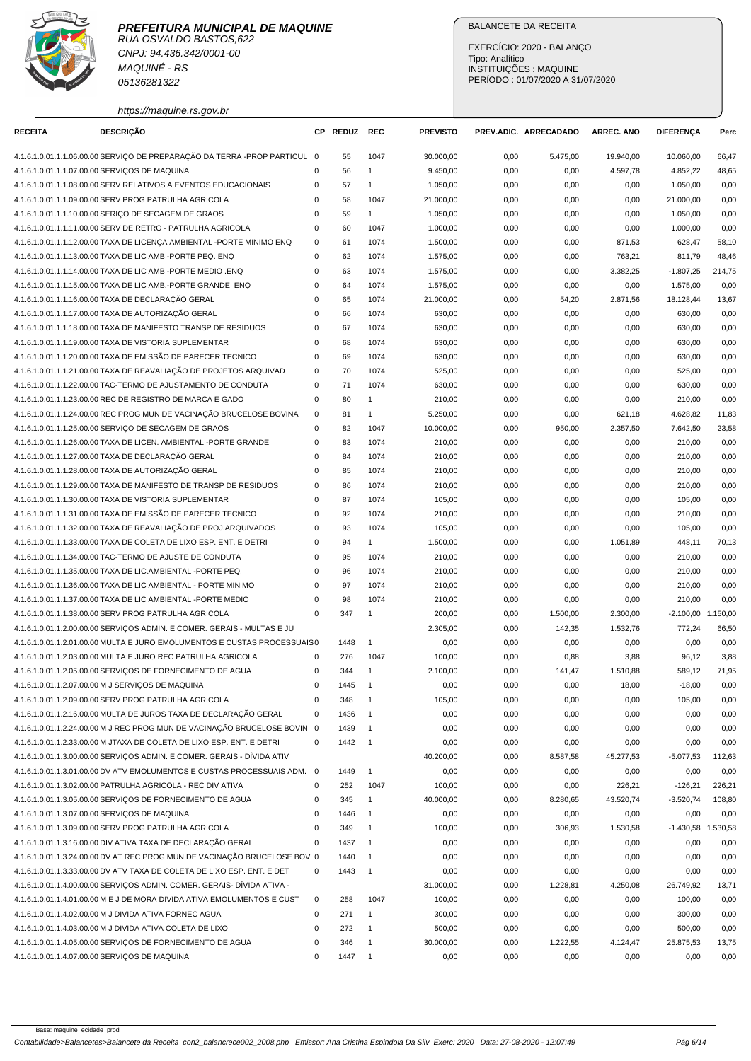

CNPJ: 94.436.342/0001-00 MAQUINÉ - RS 05136281322

https://maquine.rs.gov.br

## BALANCETE DA RECEITA

EXERCÍCIO: 2020 - BALANÇO Tipo: Analítico INSTITUIÇÕES : MAQUINE PERÍODO : 01/07/2020 A 31/07/2020

| <b>RECEITA</b> | <b>DESCRIÇÃO</b>                                                          |             | CP REDUZ | <b>REC</b>               | <b>PREVISTO</b> |      | PREV.ADIC. ARRECADADO | <b>ARREC. ANO</b> | <b>DIFERENÇA</b>     | Perc   |
|----------------|---------------------------------------------------------------------------|-------------|----------|--------------------------|-----------------|------|-----------------------|-------------------|----------------------|--------|
|                | 4.1.6.1.0.01.1.1.06.00.00 SERVIÇO DE PREPARAÇÃO DA TERRA -PROP PARTICUL 0 |             | 55       | 1047                     | 30.000,00       | 0,00 | 5.475,00              | 19.940,00         | 10.060,00            | 66,47  |
|                | 4.1.6.1.0.01.1.1.07.00.00 SERVIÇOS DE MAQUINA                             | 0           | 56       | $\mathbf{1}$             | 9.450,00        | 0,00 | 0,00                  | 4.597,78          | 4.852,22             | 48,65  |
|                | 4.1.6.1.0.01.1.1.08.00.00 SERV RELATIVOS A EVENTOS EDUCACIONAIS           | 0           | 57       | $\mathbf{1}$             | 1.050,00        | 0,00 | 0,00                  | 0,00              | 1.050,00             | 0,00   |
|                | 4.1.6.1.0.01.1.1.09.00.00 SERV PROG PATRULHA AGRICOLA                     | 0           | 58       | 1047                     | 21.000,00       | 0,00 | 0,00                  | 0,00              | 21.000,00            | 0,00   |
|                | 4.1.6.1.0.01.1.1.10.00.00 SERIÇO DE SECAGEM DE GRAOS                      | $\mathbf 0$ | 59       | $\mathbf{1}$             | 1.050,00        | 0,00 | 0,00                  | 0,00              | 1.050.00             | 0,00   |
|                | 4.1.6.1.0.01.1.1.11.00.00 SERV DE RETRO - PATRULHA AGRICOLA               | $\mathbf 0$ | 60       | 1047                     | 1.000,00        | 0,00 | 0,00                  | 0,00              | 1.000,00             | 0,00   |
|                | 4.1.6.1.0.01.1.1.12.00.00 TAXA DE LICENÇA AMBIENTAL -PORTE MINIMO ENQ     | 0           | 61       | 1074                     | 1.500,00        | 0,00 | 0,00                  | 871,53            | 628,47               | 58,10  |
|                | 4.1.6.1.0.01.1.1.13.00.00 TAXA DE LIC AMB -PORTE PEQ. ENQ                 | $\mathbf 0$ | 62       | 1074                     | 1.575,00        | 0,00 | 0,00                  | 763,21            | 811,79               | 48,46  |
|                | 4.1.6.1.0.01.1.1.14.00.00 TAXA DE LIC AMB -PORTE MEDIO .ENQ               | $\mathbf 0$ | 63       | 1074                     | 1.575,00        | 0,00 | 0,00                  | 3.382,25          | $-1.807,25$          | 214,75 |
|                | 4.1.6.1.0.01.1.1.15.00.00 TAXA DE LIC AMB.-PORTE GRANDE ENQ               | 0           | 64       | 1074                     | 1.575,00        | 0,00 | 0,00                  | 0,00              | 1.575,00             | 0,00   |
|                | 4.1.6.1.0.01.1.1.16.00.00 TAXA DE DECLARAÇÃO GERAL                        | $\mathbf 0$ | 65       | 1074                     | 21.000,00       | 0,00 | 54,20                 | 2.871,56          | 18.128,44            | 13,67  |
|                | 4.1.6.1.0.01.1.1.17.00.00 TAXA DE AUTORIZAÇÃO GERAL                       | $\mathbf 0$ | 66       | 1074                     | 630,00          | 0,00 | 0,00                  | 0,00              | 630,00               | 0,00   |
|                | 4.1.6.1.0.01.1.1.18.00.00 TAXA DE MANIFESTO TRANSP DE RESIDUOS            | $\mathbf 0$ | 67       | 1074                     | 630,00          | 0,00 | 0,00                  | 0,00              | 630,00               | 0,00   |
|                | 4.1.6.1.0.01.1.1.19.00.00 TAXA DE VISTORIA SUPLEMENTAR                    | $\mathbf 0$ | 68       | 1074                     | 630,00          | 0,00 | 0,00                  | 0,00              | 630,00               | 0,00   |
|                | 4.1.6.1.0.01.1.1.20.00.00 TAXA DE EMISSÃO DE PARECER TECNICO              | $\mathbf 0$ | 69       | 1074                     | 630,00          | 0,00 | 0,00                  | 0,00              | 630,00               | 0,00   |
|                | 4.1.6.1.0.01.1.1.21.00.00 TAXA DE REAVALIAÇÃO DE PROJETOS ARQUIVAD        | $\mathbf 0$ | 70       | 1074                     | 525,00          | 0,00 | 0,00                  | 0,00              | 525,00               | 0,00   |
|                | 4.1.6.1.0.01.1.1.22.00.00 TAC-TERMO DE AJUSTAMENTO DE CONDUTA             | $\mathbf 0$ | 71       | 1074                     | 630,00          | 0,00 | 0,00                  | 0,00              | 630,00               | 0,00   |
|                | 4.1.6.1.0.01.1.1.23.00.00 REC DE REGISTRO DE MARCA E GADO                 | $\mathbf 0$ | 80       | $\mathbf{1}$             | 210,00          | 0,00 | 0,00                  | 0,00              | 210,00               | 0,00   |
|                | 4.1.6.1.0.01.1.1.24.00.00 REC PROG MUN DE VACINAÇÃO BRUCELOSE BOVINA      | 0           | 81       | $\mathbf{1}$             | 5.250,00        | 0,00 | 0,00                  | 621,18            | 4.628,82             | 11,83  |
|                | 4.1.6.1.0.01.1.1.25.00.00 SERVIÇO DE SECAGEM DE GRAOS                     | 0           | 82       | 1047                     | 10.000,00       | 0,00 | 950,00                | 2.357,50          | 7.642,50             | 23,58  |
|                | 4.1.6.1.0.01.1.1.26.00.00 TAXA DE LICEN. AMBIENTAL -PORTE GRANDE          | $\mathbf 0$ | 83       | 1074                     | 210,00          | 0,00 | 0,00                  | 0,00              | 210,00               | 0,00   |
|                | 4.1.6.1.0.01.1.1.27.00.00 TAXA DE DECLARAÇÃO GERAL                        | $\mathbf 0$ | 84       | 1074                     | 210,00          | 0,00 | 0,00                  | 0,00              | 210,00               | 0,00   |
|                | 4.1.6.1.0.01.1.1.28.00.00 TAXA DE AUTORIZAÇÃO GERAL                       | $\mathbf 0$ | 85       | 1074                     | 210,00          | 0,00 | 0,00                  | 0,00              | 210,00               | 0,00   |
|                | 4.1.6.1.0.01.1.1.29.00.00 TAXA DE MANIFESTO DE TRANSP DE RESIDUOS         | $\mathbf 0$ | 86       | 1074                     | 210,00          | 0,00 | 0,00                  | 0,00              | 210,00               | 0,00   |
|                | 4.1.6.1.0.01.1.1.30.00.00 TAXA DE VISTORIA SUPLEMENTAR                    | $\mathbf 0$ | 87       | 1074                     | 105,00          | 0,00 | 0,00                  | 0,00              | 105,00               | 0,00   |
|                | 4.1.6.1.0.01.1.1.31.00.00 TAXA DE EMISSÃO DE PARECER TECNICO              | $\mathbf 0$ | 92       | 1074                     | 210,00          | 0,00 | 0,00                  | 0,00              | 210,00               | 0,00   |
|                | 4.1.6.1.0.01.1.1.32.00.00 TAXA DE REAVALIAÇÃO DE PROJ.ARQUIVADOS          | $\mathbf 0$ | 93       | 1074                     | 105,00          | 0,00 | 0,00                  | 0,00              | 105,00               | 0,00   |
|                | 4.1.6.1.0.01.1.1.33.00.00 TAXA DE COLETA DE LIXO ESP. ENT. E DETRI        | $\mathbf 0$ | 94       | 1                        | 1.500,00        | 0,00 | 0,00                  | 1.051,89          | 448,11               | 70,13  |
|                | 4.1.6.1.0.01.1.1.34.00.00 TAC-TERMO DE AJUSTE DE CONDUTA                  | $\mathbf 0$ | 95       | 1074                     | 210,00          | 0,00 | 0,00                  | 0,00              | 210,00               | 0,00   |
|                | 4.1.6.1.0.01.1.1.35.00.00 TAXA DE LIC.AMBIENTAL -PORTE PEQ.               | $\mathbf 0$ | 96       | 1074                     | 210,00          | 0,00 | 0,00                  | 0,00              | 210,00               | 0,00   |
|                | 4.1.6.1.0.01.1.1.36.00.00 TAXA DE LIC AMBIENTAL - PORTE MINIMO            | $\mathbf 0$ | 97       | 1074                     | 210,00          | 0,00 | 0,00                  | 0,00              | 210,00               | 0,00   |
|                | 4.1.6.1.0.01.1.1.37.00.00 TAXA DE LIC AMBIENTAL -PORTE MEDIO              | $\mathbf 0$ | 98       | 1074                     | 210,00          | 0,00 | 0,00                  | 0,00              | 210,00               | 0,00   |
|                | 4.1.6.1.0.01.1.1.38.00.00 SERV PROG PATRULHA AGRICOLA                     | $\mathbf 0$ | 347      | $\mathbf{1}$             | 200,00          | 0,00 | 1.500,00              | 2.300,00          | $-2.100,00$ 1.150,00 |        |
|                | 4.1.6.1.0.01.1.2.00.00.00 SERVICOS ADMIN. E COMER. GERAIS - MULTAS E JU   |             |          |                          | 2.305,00        | 0,00 | 142,35                | 1.532,76          | 772,24               | 66,50  |
|                | 4.1.6.1.0.01.1.2.01.00.00 MULTA E JURO EMOLUMENTOS E CUSTAS PROCESSUAIS 0 |             | 1448     | $\mathbf{1}$             | 0,00            | 0,00 | 0,00                  | 0,00              | 0,00                 | 0,00   |
|                | 4.1.6.1.0.01.1.2.03.00.00 MULTA E JURO REC PATRULHA AGRICOLA              | $\mathbf 0$ | 276      | 1047                     | 100,00          | 0,00 | 0,88                  | 3,88              | 96,12                | 3,88   |
|                | 4.1.6.1.0.01.1.2.05.00.00 SERVIÇOS DE FORNECIMENTO DE AGUA                | 0           | 344      | $\mathbf{1}$             | 2.100,00        | 0,00 | 141,47                | 1.510,88          | 589,12               | 71,95  |
|                | 4.1.6.1.0.01.1.2.07.00.00 M J SERVICOS DE MAQUINA                         | $\mathbf 0$ | 1445     | $\overline{1}$           | 0,00            | 0,00 | 0,00                  | 18,00             | $-18,00$             | 0,00   |
|                | 4.1.6.1.0.01.1.2.09.00.00 SERV PROG PATRULHA AGRICOLA                     | 0           | 348      | $\overline{1}$           | 105,00          | 0,00 | 0,00                  | 0,00              | 105,00               | 0,00   |
|                | 4.1.6.1.0.01.1.2.16.00.00 MULTA DE JUROS TAXA DE DECLARAÇÃO GERAL         | 0           | 1436     | $\overline{1}$           | 0,00            | 0,00 | 0,00                  | 0,00              | 0,00                 | 0,00   |
|                | 4.1.6.1.0.01.1.2.24.00.00 M J REC PROG MUN DE VACINAÇÃO BRUCELOSE BOVIN 0 |             | 1439     | $\overline{1}$           | 0,00            | 0,00 | 0,00                  | 0,00              | 0,00                 | 0,00   |
|                | 4.1.6.1.0.01.1.2.33.00.00 M JTAXA DE COLETA DE LIXO ESP. ENT. E DETRI     | $\mathbf 0$ | 1442     | $\overline{\phantom{0}}$ | 0,00            | 0,00 | 0,00                  | 0,00              | 0,00                 | 0,00   |
|                | 4.1.6.1.0.01.1.3.00.00.00 SERVIÇOS ADMIN. E COMER. GERAIS - DÍVIDA ATIV   |             |          |                          | 40.200,00       | 0,00 | 8.587,58              | 45.277,53         | $-5.077,53$          | 112,63 |
|                | 4.1.6.1.0.01.1.3.01.00.00 DV ATV EMOLUMENTOS E CUSTAS PROCESSUAIS ADM. 0  |             | 1449     | $\overline{1}$           | 0,00            | 0,00 | 0,00                  | 0,00              | 0,00                 | 0,00   |
|                | 4.1.6.1.0.01.1.3.02.00.00 PATRULHA AGRICOLA - REC DIV ATIVA               | 0           | 252      | 1047                     | 100,00          | 0,00 | 0,00                  | 226,21            | $-126,21$            | 226,21 |
|                | 4.1.6.1.0.01.1.3.05.00.00 SERVICOS DE FORNECIMENTO DE AGUA                | 0           | 345      | $\mathbf{1}$             | 40.000,00       | 0,00 | 8.280,65              | 43.520,74         | $-3.520,74$          | 108,80 |
|                | 4.1.6.1.0.01.1.3.07.00.00 SERVIÇOS DE MAQUINA                             | 0           | 1446     | $\mathbf{1}$             | 0,00            | 0,00 | 0,00                  | 0,00              | 0,00                 | 0,00   |
|                | 4.1.6.1.0.01.1.3.09.00.00 SERV PROG PATRULHA AGRICOLA                     | $\mathbf 0$ | 349      | $\mathbf{1}$             | 100,00          | 0,00 | 306,93                | 1.530,58          | -1.430,58 1.530,58   |        |
|                | 4.1.6.1.0.01.1.3.16.00.00 DIV ATIVA TAXA DE DECLARAÇÃO GERAL              | $\mathbf 0$ | 1437     | $\overline{1}$           | 0,00            | 0,00 | 0,00                  | 0,00              | 0,00                 | 0,00   |
|                | 4.1.6.1.0.01.1.3.24.00.00 DV AT REC PROG MUN DE VACINAÇÃO BRUCELOSE BOV 0 |             | 1440     | $\overline{1}$           | 0,00            | 0,00 | 0,00                  | 0,00              | 0,00                 | 0,00   |
|                | 4.1.6.1.0.01.1.3.33.00.00 DV ATV TAXA DE COLETA DE LIXO ESP. ENT. E DET   | 0           | 1443     | $\overline{1}$           | 0,00            | 0,00 |                       |                   | 0,00                 | 0,00   |
|                | 4.1.6.1.0.01.1.4.00.00.00 SERVIÇOS ADMIN. COMER. GERAIS- DÍVIDA ATIVA -   |             |          |                          | 31.000,00       | 0,00 | 0,00<br>1.228,81      | 0,00<br>4.250,08  | 26.749,92            | 13,71  |
|                | 4.1.6.1.0.01.1.4.01.00.00 M E J DE MORA DIVIDA ATIVA EMOLUMENTOS E CUST   | 0           | 258      | 1047                     | 100,00          | 0,00 | 0,00                  | 0,00              | 100,00               | 0,00   |
|                |                                                                           |             |          |                          |                 |      |                       |                   |                      |        |
|                | 4.1.6.1.0.01.1.4.02.00.00 M J DIVIDA ATIVA FORNEC AGUA                    | 0           | 271      | $\mathbf{1}$             | 300,00          | 0,00 | 0,00                  | 0,00              | 300,00               | 0,00   |
|                | 4.1.6.1.0.01.1.4.03.00.00 M J DIVIDA ATIVA COLETA DE LIXO                 | 0           | 272      | $\mathbf{1}$<br>-1       | 500,00          | 0,00 | 0,00                  | 0,00              | 500,00               | 0,00   |
|                | 4.1.6.1.0.01.1.4.05.00.00 SERVIÇOS DE FORNECIMENTO DE AGUA                | 0           | 346      |                          | 30.000,00       | 0,00 | 1.222,55              | 4.124,47          | 25.875,53            | 13,75  |
|                | 4.1.6.1.0.01.1.4.07.00.00 SERVIÇOS DE MAQUINA                             | $\mathbf 0$ | 1447     | $\overline{1}$           | 0,00            | 0,00 | 0,00                  | 0,00              | 0,00                 | 0,00   |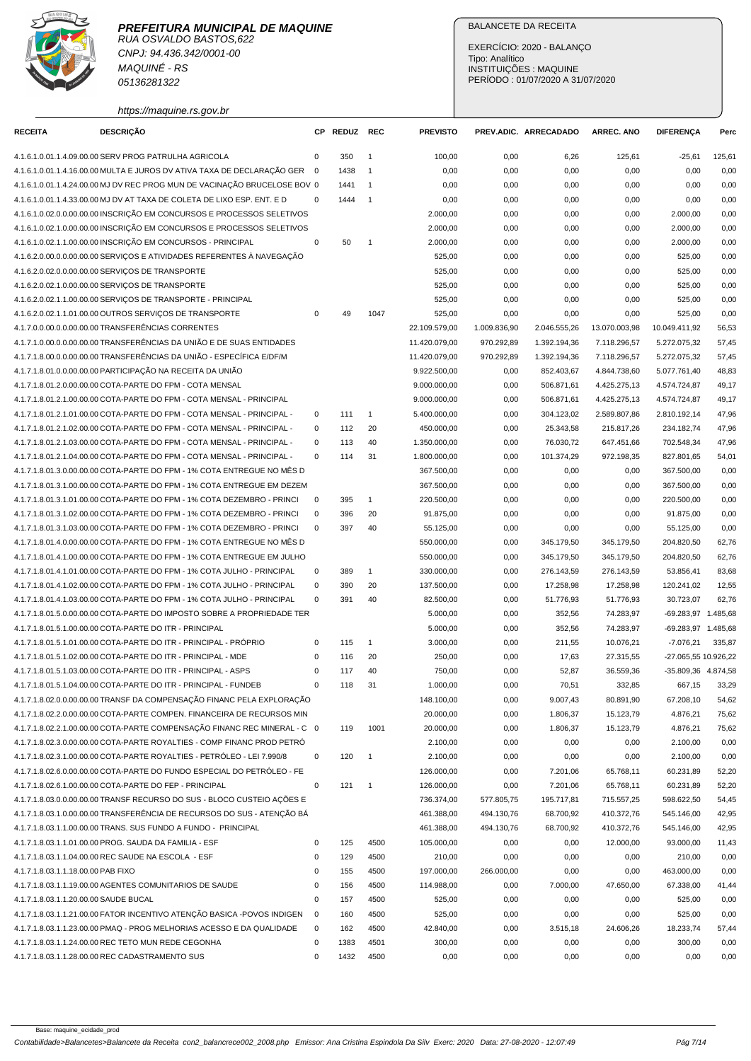

CNPJ: 94.436.342/0001-00 MAQUINÉ - RS 05136281322

https://maquine.rs.gov.br

## BALANCETE DA RECEITA

EXERCÍCIO: 2020 - BALANÇO Tipo: Analítico INSTITUIÇÕES : MAQUINE PERÍODO : 01/07/2020 A 31/07/2020

| <b>RECEITA</b>                        | DESCRIÇÃO                                                                 |             | CP REDUZ | <b>REC</b>     | <b>PREVISTO</b> |              | PREV.ADIC. ARRECADADO | <b>ARREC. ANO</b> | <b>DIFERENCA</b>     | Perc   |
|---------------------------------------|---------------------------------------------------------------------------|-------------|----------|----------------|-----------------|--------------|-----------------------|-------------------|----------------------|--------|
|                                       | 4.1.6.1.0.01.1.4.09.00.00 SERV PROG PATRULHA AGRICOLA                     | 0           | 350      | $\overline{1}$ | 100,00          | 0,00         | 6,26                  | 125,61            | $-25,61$             | 125,61 |
|                                       | 4.1.6.1.0.01.1.4.16.00.00 MULTA E JUROS DV ATIVA TAXA DE DECLARAÇÃO GER 0 |             | 1438     | $\overline{1}$ | 0,00            | 0,00         | 0,00                  | 0,00              | 0,00                 | 0,00   |
|                                       | 4.1.6.1.0.01.1.4.24.00.00 MJ DV REC PROG MUN DE VACINAÇÃO BRUCELOSE BOV 0 |             | 1441     | $\overline{1}$ | 0,00            | 0,00         | 0,00                  | 0,00              | 0,00                 | 0,00   |
|                                       | 4.1.6.1.0.01.1.4.33.00.00 MJ DV AT TAXA DE COLETA DE LIXO ESP. ENT. E D   | $\mathbf 0$ | 1444     | $\overline{1}$ | 0,00            | 0,00         | 0,00                  | 0,00              | 0,00                 | 0,00   |
|                                       | 4.1.6.1.0.02.0.0.00.00.00 INSCRIÇÃO EM CONCURSOS E PROCESSOS SELETIVOS    |             |          |                | 2.000,00        | 0,00         | 0,00                  | 0,00              | 2.000,00             | 0,00   |
|                                       | 4.1.6.1.0.02.1.0.00.00.00 INSCRIÇÃO EM CONCURSOS E PROCESSOS SELETIVOS    |             |          |                | 2.000,00        | 0,00         | 0,00                  | 0,00              | 2.000,00             | 0,00   |
|                                       | 4.1.6.1.0.02.1.1.00.00.00 INSCRIÇÃO EM CONCURSOS - PRINCIPAL              | $\pmb{0}$   | 50       | $\overline{1}$ | 2.000,00        | 0,00         | 0,00                  | 0,00              | 2.000,00             | 0,00   |
|                                       | 4.1.6.2.0.00.0.0.00.00.00 SERVICOS E ATIVIDADES REFERENTES À NAVEGAÇÃO    |             |          |                | 525,00          | 0,00         | 0,00                  | 0,00              | 525,00               | 0,00   |
|                                       | 4.1.6.2.0.02.0.0.00.00.00 SERVIÇOS DE TRANSPORTE                          |             |          |                | 525,00          | 0,00         | 0,00                  | 0,00              | 525,00               | 0,00   |
|                                       | 4.1.6.2.0.02.1.0.00.00.00 SERVICOS DE TRANSPORTE                          |             |          |                | 525,00          | 0,00         | 0,00                  | 0,00              | 525,00               | 0,00   |
|                                       | 4.1.6.2.0.02.1.1.00.00.00 SERVIÇOS DE TRANSPORTE - PRINCIPAL              |             |          |                | 525,00          | 0,00         |                       | 0,00              | 525,00               | 0,00   |
|                                       | 4.1.6.2.0.02.1.1.01.00.00 OUTROS SERVIÇOS DE TRANSPORTE                   | $\mathsf 0$ | 49       | 1047           | 525,00          |              | 0,00                  |                   | 525,00               | 0,00   |
|                                       | 4.1.7.0.0.00.0.0.00.00.00 TRANSFERÊNCIAS CORRENTES                        |             |          |                |                 | 0,00         | 0,00                  | 0,00              |                      |        |
|                                       | 4.1.7.1.0.00.0.0.00.00.00 TRANSFERÊNCIAS DA UNIÃO E DE SUAS ENTIDADES     |             |          |                | 22.109.579,00   | 1.009.836,90 | 2.046.555,26          | 13.070.003,98     | 10.049.411,92        | 56,53  |
|                                       | 4.1.7.1.8.00.0.0.00.00.00 TRANSFERÊNCIAS DA UNIÃO - ESPECÍFICA E/DF/M     |             |          |                | 11.420.079,00   | 970.292,89   | 1.392.194,36          | 7.118.296,57      | 5.272.075,32         | 57,45  |
|                                       |                                                                           |             |          |                | 11.420.079,00   | 970.292,89   | 1.392.194,36          | 7.118.296,57      | 5.272.075,32         | 57,45  |
|                                       | 4.1.7.1.8.01.0.0.00.00.00 PARTICIPAÇÃO NA RECEITA DA UNIÃO                |             |          |                | 9.922.500,00    | 0,00         | 852.403,67            | 4.844.738,60      | 5.077.761,40         | 48,83  |
|                                       | 4.1.7.1.8.01.2.0.00.00.00 COTA-PARTE DO FPM - COTA MENSAL                 |             |          |                | 9.000.000,00    | 0,00         | 506.871,61            | 4.425.275,13      | 4.574.724,87         | 49,17  |
|                                       | 4.1.7.1.8.01.2.1.00.00.00 COTA-PARTE DO FPM - COTA MENSAL - PRINCIPAL     |             |          |                | 9.000.000,00    | 0,00         | 506.871,61            | 4.425.275,13      | 4.574.724,87         | 49,17  |
|                                       | 4.1.7.1.8.01.2.1.01.00.00 COTA-PARTE DO FPM - COTA MENSAL - PRINCIPAL -   | 0           | 111      | $\overline{1}$ | 5.400.000,00    | 0,00         | 304.123,02            | 2.589.807,86      | 2.810.192,14         | 47,96  |
|                                       | 4.1.7.1.8.01.2.1.02.00.00 COTA-PARTE DO FPM - COTA MENSAL - PRINCIPAL -   | 0           | 112      | 20             | 450.000,00      | 0,00         | 25.343,58             | 215.817,26        | 234.182,74           | 47,96  |
|                                       | 4.1.7.1.8.01.2.1.03.00.00 COTA-PARTE DO FPM - COTA MENSAL - PRINCIPAL -   | 0           | 113      | 40             | 1.350.000,00    | 0,00         | 76.030,72             | 647.451,66        | 702.548,34           | 47,96  |
|                                       | 4.1.7.1.8.01.2.1.04.00.00 COTA-PARTE DO FPM - COTA MENSAL - PRINCIPAL -   | $\mathbf 0$ | 114      | 31             | 1.800.000,00    | 0,00         | 101.374,29            | 972.198,35        | 827.801,65           | 54,01  |
|                                       | 4.1.7.1.8.01.3.0.00.00.00 COTA-PARTE DO FPM - 1% COTA ENTREGUE NO MÊS D   |             |          |                | 367.500,00      | 0,00         | 0,00                  | 0,00              | 367.500,00           | 0,00   |
|                                       | 4.1.7.1.8.01.3.1.00.00.00 COTA-PARTE DO FPM - 1% COTA ENTREGUE EM DEZEM   |             |          |                | 367.500,00      | 0,00         | 0,00                  | 0,00              | 367.500,00           | 0,00   |
|                                       | 4.1.7.1.8.01.3.1.01.00.00 COTA-PARTE DO FPM - 1% COTA DEZEMBRO - PRINCI   | $\pmb{0}$   | 395      | $\overline{1}$ | 220.500,00      | 0,00         | 0,00                  | 0,00              | 220.500,00           | 0,00   |
|                                       | 4.1.7.1.8.01.3.1.02.00.00 COTA-PARTE DO FPM - 1% COTA DEZEMBRO - PRINCI   | 0           | 396      | 20             | 91.875,00       | 0,00         | 0,00                  | 0,00              | 91.875,00            | 0,00   |
|                                       | 4.1.7.1.8.01.3.1.03.00.00 COTA-PARTE DO FPM - 1% COTA DEZEMBRO - PRINCI   | 0           | 397      | 40             | 55.125,00       | 0,00         | 0,00                  | 0,00              | 55.125,00            | 0,00   |
|                                       | 4.1.7.1.8.01.4.0.00.00.00 COTA-PARTE DO FPM - 1% COTA ENTREGUE NO MÊS D   |             |          |                | 550.000,00      | 0,00         | 345.179,50            | 345.179,50        | 204.820,50           | 62,76  |
|                                       | 4.1.7.1.8.01.4.1.00.00.00 COTA-PARTE DO FPM - 1% COTA ENTREGUE EM JULHO   |             |          |                | 550.000,00      | 0,00         | 345.179,50            | 345.179,50        | 204.820,50           | 62,76  |
|                                       | 4.1.7.1.8.01.4.1.01.00.00 COTA-PARTE DO FPM - 1% COTA JULHO - PRINCIPAL   | 0           | 389      | $\mathbf{1}$   | 330.000,00      | 0,00         | 276.143,59            | 276.143,59        | 53.856,41            | 83,68  |
|                                       | 4.1.7.1.8.01.4.1.02.00.00 COTA-PARTE DO FPM - 1% COTA JULHO - PRINCIPAL   | $\mathbf 0$ | 390      | 20             | 137.500,00      | 0,00         | 17.258,98             | 17.258,98         | 120.241,02           | 12,55  |
|                                       | 4.1.7.1.8.01.4.1.03.00.00 COTA-PARTE DO FPM - 1% COTA JULHO - PRINCIPAL   | $\mathbf 0$ | 391      | 40             | 82.500,00       | 0,00         | 51.776,93             | 51.776,93         | 30.723,07            | 62,76  |
|                                       | 4.1.7.1.8.01.5.0.00.00.00 COTA-PARTE DO IMPOSTO SOBRE A PROPRIEDADE TER   |             |          |                | 5.000,00        | 0,00         | 352,56                | 74.283,97         | -69.283,97 1.485,68  |        |
|                                       | 4.1.7.1.8.01.5.1.00.00.00 COTA-PARTE DO ITR - PRINCIPAL                   |             |          |                | 5.000,00        | 0,00         | 352,56                | 74.283,97         | -69.283,97 1.485,68  |        |
|                                       | 4.1.7.1.8.01.5.1.01.00.00 COTA-PARTE DO ITR - PRINCIPAL - PRÓPRIO         | 0           | 115      | $\mathbf{1}$   | 3.000,00        | 0,00         | 211,55                | 10.076,21         | $-7.076,21$          | 335,87 |
|                                       | 4.1.7.1.8.01.5.1.02.00.00 COTA-PARTE DO ITR - PRINCIPAL - MDE             | 0           | 116      | 20             | 250,00          | 0,00         | 17,63                 | 27.315,55         | -27.065,55 10.926,22 |        |
|                                       | 4.1.7.1.8.01.5.1.03.00.00 COTA-PARTE DO ITR - PRINCIPAL - ASPS            | 0           | 117      | 40             | 750,00          | 0,00         | 52,87                 | 36.559,36         | -35.809,36 4.874,58  |        |
|                                       | 4.1.7.1.8.01.5.1.04.00.00 COTA-PARTE DO ITR - PRINCIPAL - FUNDEB          | $\mathbf 0$ | 118      | 31             | 1.000,00        | 0,00         | 70,51                 | 332,85            | 667,15               | 33,29  |
|                                       | 4.1.7.1.8.02.0.0.00.00.00 TRANSF DA COMPENSAÇÃO FINANC PELA EXPLORAÇÃO    |             |          |                | 148.100,00      | 0,00         | 9.007,43              | 80.891,90         | 67.208,10            | 54,62  |
|                                       | 4.1.7.1.8.02.2.0.00.00.00 COTA-PARTE COMPEN. FINANCEIRA DE RECURSOS MIN   |             |          |                | 20.000,00       | 0,00         | 1.806,37              | 15.123,79         | 4.876,21             | 75,62  |
|                                       | 4.1.7.1.8.02.2.1.00.00.00 COTA-PARTE COMPENSAÇÃO FINANC REC MINERAL - C 0 |             | 119      | 1001           | 20.000,00       | 0,00         | 1.806,37              | 15.123,79         | 4.876,21             | 75,62  |
|                                       | 4.1.7.1.8.02.3.0.00.00.00 COTA-PARTE ROYALTIES - COMP FINANC PROD PETRÓ   |             |          |                | 2.100,00        | 0,00         | 0,00                  | 0,00              | 2.100,00             | 0,00   |
|                                       | 4.1.7.1.8.02.3.1.00.00.00 COTA-PARTE ROYALTIES - PETRÓLEO - LEI 7.990/8   | 0           | 120      | $\overline{1}$ | 2.100,00        | 0,00         | 0,00                  | 0,00              | 2.100,00             | 0,00   |
|                                       | 4.1.7.1.8.02.6.0.00.00.00 COTA-PARTE DO FUNDO ESPECIAL DO PETRÓLEO - FE   |             |          |                | 126.000,00      | 0,00         | 7.201,06              | 65.768,11         | 60.231,89            | 52,20  |
|                                       | 4.1.7.1.8.02.6.1.00.00.00 COTA-PARTE DO FEP - PRINCIPAL                   | 0           | 121      | $\overline{1}$ | 126.000,00      | 0,00         | 7.201,06              | 65.768,11         | 60.231,89            | 52,20  |
|                                       | 4.1.7.1.8.03.0.0.00.00.00 TRANSF RECURSO DO SUS - BLOCO CUSTEIO AÇÕES E   |             |          |                | 736.374,00      | 577.805,75   | 195.717,81            | 715.557,25        | 598.622,50           | 54,45  |
|                                       | 4.1.7.1.8.03.1.0.00.00.00 TRANSFERÊNCIA DE RECURSOS DO SUS - ATENÇÃO BÁ   |             |          |                | 461.388,00      | 494.130,76   | 68.700,92             | 410.372,76        | 545.146,00           | 42,95  |
|                                       | 4.1.7.1.8.03.1.1.00.00.00 TRANS. SUS FUNDO A FUNDO - PRINCIPAL            |             |          |                | 461.388,00      | 494.130,76   | 68.700,92             | 410.372,76        | 545.146,00           | 42,95  |
|                                       | 4.1.7.1.8.03.1.1.01.00.00 PROG. SAUDA DA FAMILIA - ESF                    | 0           | 125      | 4500           | 105.000,00      | 0,00         | 0,00                  | 12.000,00         | 93.000,00            | 11,43  |
|                                       | 4.1.7.1.8.03.1.1.04.00.00 REC SAUDE NA ESCOLA - ESF                       | $\mathbf 0$ | 129      | 4500           | 210,00          | 0,00         | 0,00                  | 0,00              | 210,00               | 0,00   |
| 4.1.7.1.8.03.1.1.18.00.00 PAB FIXO    |                                                                           | $\pmb{0}$   | 155      | 4500           | 197.000,00      | 266.000,00   | 0,00                  | 0,00              | 463.000,00           | 0,00   |
|                                       | 4.1.7.1.8.03.1.1.19.00.00 AGENTES COMUNITARIOS DE SAUDE                   | $\pmb{0}$   | 156      | 4500           | 114.988,00      | 0,00         | 7.000,00              | 47.650,00         | 67.338,00            | 41,44  |
| 4.1.7.1.8.03.1.1.20.00.00 SAUDE BUCAL |                                                                           | 0           | 157      | 4500           | 525,00          | 0,00         | 0,00                  | 0,00              | 525,00               | 0,00   |
|                                       | 4.1.7.1.8.03.1.1.21.00.00 FATOR INCENTIVO ATENÇÃO BASICA -POVOS INDIGEN   | 0           | 160      | 4500           | 525,00          | 0,00         | 0,00                  | 0,00              | 525,00               | 0,00   |
|                                       | 4.1.7.1.8.03.1.1.23.00.00 PMAQ - PROG MELHORIAS ACESSO E DA QUALIDADE     | 0           | 162      | 4500           | 42.840,00       | 0,00         | 3.515,18              | 24.606,26         | 18.233,74            | 57,44  |
|                                       | 4.1.7.1.8.03.1.1.24.00.00 REC TETO MUN REDE CEGONHA                       | 0           | 1383     | 4501           | 300,00          | 0,00         | 0,00                  | 0,00              | 300,00               | 0,00   |
|                                       | 4.1.7.1.8.03.1.1.28.00.00 REC CADASTRAMENTO SUS                           | 0           | 1432     | 4500           | 0,00            | 0,00         | 0,00                  | 0,00              | 0,00                 | 0,00   |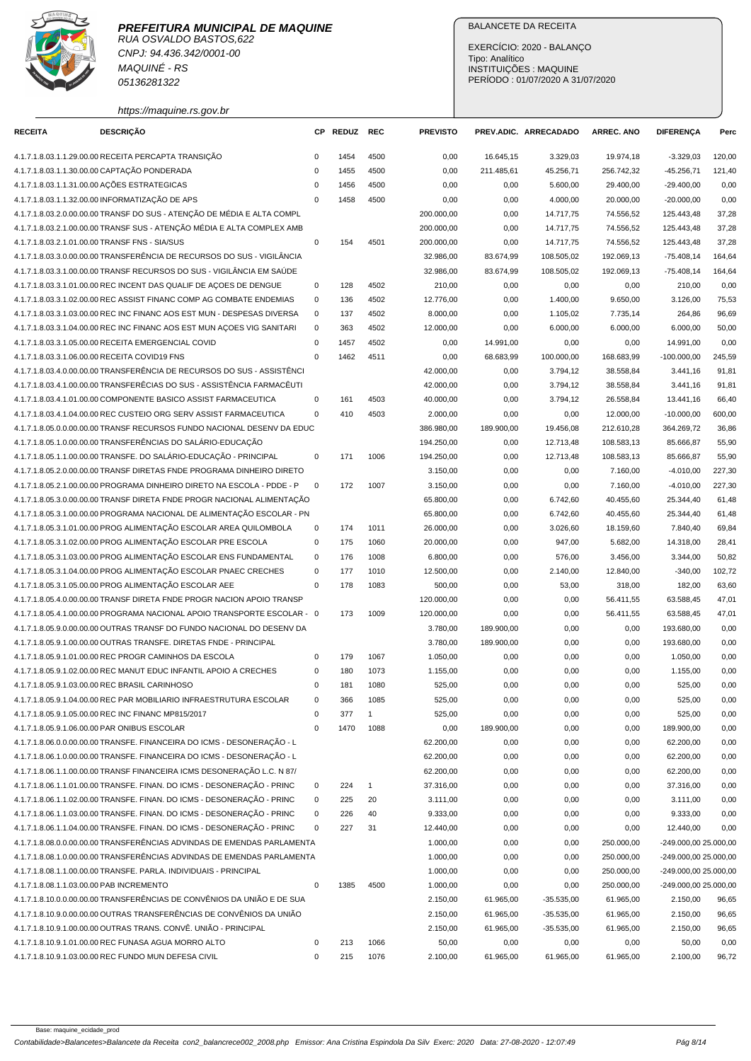

CNPJ: 94.436.342/0001-00 MAQUINÉ - RS 05136281322

# BALANCETE DA RECEITA

EXERCÍCIO: 2020 - BALANÇO Tipo: Analítico INSTITUIÇÕES : MAQUINE PERÍODO : 01/07/2020 A 31/07/2020

| https://maquine.rs.gov.br |  |
|---------------------------|--|

| <b>RECEITA</b>                           | <b>DESCRIÇÃO</b>                                                         |             | CP REDUZ | <b>REC</b>     | <b>PREVISTO</b> |            | PREV.ADIC. ARRECADADO | <b>ARREC. ANO</b> | <b>DIFERENÇA</b>      | Perc   |
|------------------------------------------|--------------------------------------------------------------------------|-------------|----------|----------------|-----------------|------------|-----------------------|-------------------|-----------------------|--------|
|                                          | 4.1.7.1.8.03.1.1.29.00.00 RECEITA PERCAPTA TRANSIÇÃO                     | 0           | 1454     | 4500           | 0,00            | 16.645,15  | 3.329,03              | 19.974,18         | $-3.329,03$           | 120,00 |
|                                          | 4.1.7.1.8.03.1.1.30.00.00 CAPTAÇÃO PONDERADA                             | 0           | 1455     | 4500           | 0,00            | 211.485,61 | 45.256,71             | 256.742,32        | $-45.256,71$          | 121,40 |
|                                          | 4.1.7.1.8.03.1.1.31.00.00 AÇÕES ESTRATEGICAS                             | $\mathbf 0$ | 1456     | 4500           | 0,00            | 0,00       | 5.600,00              | 29.400,00         | $-29.400,00$          | 0,00   |
|                                          | 4.1.7.1.8.03.1.1.32.00.00 INFORMATIZAÇÃO DE APS                          | $\mathbf 0$ | 1458     | 4500           | 0,00            | 0,00       | 4.000,00              | 20.000,00         | $-20.000,00$          | 0,00   |
|                                          | 4.1.7.1.8.03.2.0.00.00.00 TRANSF DO SUS - ATENÇÃO DE MÉDIA E ALTA COMPL  |             |          |                | 200.000,00      | 0,00       | 14.717,75             | 74.556,52         | 125.443,48            | 37,28  |
|                                          | 4.1.7.1.8.03.2.1.00.00.00 TRANSF SUS - ATENÇÃO MÉDIA E ALTA COMPLEX AMB  |             |          |                | 200.000,00      | 0,00       | 14.717,75             | 74.556,52         | 125.443,48            | 37,28  |
|                                          | 4.1.7.1.8.03.2.1.01.00.00 TRANSF FNS - SIA/SUS                           | $\pmb{0}$   | 154      | 4501           | 200.000,00      | 0,00       | 14.717,75             | 74.556,52         | 125.443,48            | 37,28  |
|                                          | 4.1.7.1.8.03.3.0.00.00.00 TRANSFERÊNCIA DE RECURSOS DO SUS - VIGILÂNCIA  |             |          |                | 32.986,00       | 83.674,99  | 108.505,02            | 192.069,13        | $-75.408,14$          | 164,64 |
|                                          | 4.1.7.1.8.03.3.1.00.00.00 TRANSF RECURSOS DO SUS - VIGILÂNCIA EM SAÚDE   |             |          |                | 32.986,00       | 83.674,99  | 108.505,02            | 192.069,13        | $-75.408,14$          | 164,64 |
|                                          | 4.1.7.1.8.03.3.1.01.00.00 REC INCENT DAS QUALIF DE AÇOES DE DENGUE       | $\mathsf 0$ | 128      | 4502           | 210,00          | 0,00       | 0,00                  | 0,00              | 210,00                | 0,00   |
|                                          | 4.1.7.1.8.03.3.1.02.00.00 REC ASSIST FINANC COMP AG COMBATE ENDEMIAS     | 0           | 136      | 4502           | 12.776,00       | 0,00       | 1.400,00              | 9.650,00          | 3.126,00              | 75,53  |
|                                          | 4.1.7.1.8.03.3.1.03.00.00 REC INC FINANC AOS EST MUN - DESPESAS DIVERSA  | 0           | 137      | 4502           | 8.000,00        | 0,00       | 1.105,02              | 7.735,14          | 264,86                | 96,69  |
|                                          | 4.1.7.1.8.03.3.1.04.00.00 REC INC FINANC AOS EST MUN AÇOES VIG SANITARI  | $\mathbf 0$ | 363      | 4502           | 12.000,00       | 0,00       | 6.000,00              | 6.000,00          | 6.000,00              | 50,00  |
|                                          | 4.1.7.1.8.03.3.1.05.00.00 RECEITA EMERGENCIAL COVID                      | $\mathbf 0$ | 1457     | 4502           | 0,00            | 14.991,00  | 0,00                  | 0,00              | 14.991,00             | 0,00   |
|                                          | 4.1.7.1.8.03.3.1.06.00.00 RECEITA COVID19 FNS                            | $\Omega$    | 1462     | 4511           | 0,00            | 68.683,99  | 100.000,00            | 168.683,99        | $-100.000,00$         | 245,59 |
|                                          | 4.1.7.1.8.03.4.0.00.00.00 TRANSFERÊNCIA DE RECURSOS DO SUS - ASSISTÊNCI  |             |          |                | 42.000,00       | 0,00       | 3.794,12              | 38.558,84         | 3.441.16              | 91,81  |
|                                          | 4.1.7.1.8.03.4.1.00.00.00 TRANSFERÊCIAS DO SUS - ASSISTÊNCIA FARMACÊUTI  |             |          |                | 42.000,00       | 0,00       | 3.794,12              | 38.558,84         | 3.441,16              | 91,81  |
|                                          | 4.1.7.1.8.03.4.1.01.00.00 COMPONENTE BASICO ASSIST FARMACEUTICA          | $\mathbf 0$ | 161      | 4503           | 40.000,00       | 0,00       | 3.794,12              | 26.558,84         | 13.441,16             | 66,40  |
|                                          | 4.1.7.1.8.03.4.1.04.00.00 REC CUSTEIO ORG SERV ASSIST FARMACEUTICA       | $\mathbf 0$ | 410      | 4503           | 2.000,00        | 0,00       | 0,00                  | 12.000,00         | $-10.000,00$          | 600,00 |
|                                          | 4.1.7.1.8.05.0.0.00.00.00 TRANSF RECURSOS FUNDO NACIONAL DESENV DA EDUC  |             |          |                | 386.980,00      | 189.900,00 | 19.456,08             | 212.610,28        | 364.269,72            | 36,86  |
|                                          | 4.1.7.1.8.05.1.0.00.00.00 TRANSFERÊNCIAS DO SALÁRIO-EDUCAÇÃO             |             |          |                | 194.250,00      | 0,00       | 12.713,48             | 108.583,13        | 85.666,87             | 55,90  |
|                                          | 4.1.7.1.8.05.1.1.00.00.00 TRANSFE. DO SALÁRIO-EDUCAÇÃO - PRINCIPAL       | 0           | 171      | 1006           | 194.250,00      | 0,00       | 12.713,48             | 108.583,13        | 85.666,87             | 55,90  |
|                                          | 4.1.7.1.8.05.2.0.00.00.00 TRANSF DIRETAS FNDE PROGRAMA DINHEIRO DIRETO   |             |          |                | 3.150,00        | 0,00       | 0,00                  | 7.160,00          | $-4.010,00$           | 227,30 |
|                                          | 4.1.7.1.8.05.2.1.00.00.00 PROGRAMA DINHEIRO DIRETO NA ESCOLA - PDDE - P  | $\mathbf 0$ | 172      | 1007           | 3.150,00        | 0,00       | 0,00                  | 7.160,00          | $-4.010,00$           | 227,30 |
|                                          | 4.1.7.1.8.05.3.0.00.00.00 TRANSF DIRETA FNDE PROGR NACIONAL ALIMENTAÇÃO  |             |          |                | 65.800,00       | 0,00       | 6.742,60              | 40.455,60         | 25.344,40             | 61,48  |
|                                          | 4.1.7.1.8.05.3.1.00.00.00 PROGRAMA NACIONAL DE ALIMENTAÇÃO ESCOLAR - PN  |             |          |                | 65.800,00       | 0,00       | 6.742,60              | 40.455,60         | 25.344,40             | 61,48  |
|                                          | 4.1.7.1.8.05.3.1.01.00.00 PROG ALIMENTAÇÃO ESCOLAR AREA QUILOMBOLA       | 0           | 174      | 1011           | 26.000,00       | 0,00       | 3.026,60              | 18.159,60         | 7.840,40              | 69,84  |
|                                          | 4.1.7.1.8.05.3.1.02.00.00 PROG ALIMENTAÇÃO ESCOLAR PRE ESCOLA            | 0           | 175      | 1060           | 20.000,00       | 0,00       | 947,00                | 5.682,00          | 14.318,00             | 28,41  |
|                                          | 4.1.7.1.8.05.3.1.03.00.00 PROG ALIMENTAÇÃO ESCOLAR ENS FUNDAMENTAL       | $\mathbf 0$ | 176      | 1008           | 6.800,00        | 0,00       | 576,00                | 3.456,00          | 3.344,00              | 50,82  |
|                                          | 4.1.7.1.8.05.3.1.04.00.00 PROG ALIMENTAÇÃO ESCOLAR PNAEC CRECHES         | $\mathbf 0$ | 177      | 1010           | 12.500,00       | 0,00       | 2.140,00              | 12.840,00         | $-340,00$             | 102,72 |
|                                          | 4.1.7.1.8.05.3.1.05.00.00 PROG ALIMENTAÇÃO ESCOLAR AEE                   | 0           | 178      | 1083           | 500,00          | 0,00       | 53,00                 | 318,00            | 182,00                | 63,60  |
|                                          | 4.1.7.1.8.05.4.0.00.00.00 TRANSF DIRETA FNDE PROGR NACION APOIO TRANSP   |             |          |                | 120.000,00      | 0,00       | 0,00                  | 56.411,55         | 63.588,45             | 47,01  |
|                                          | 4.1.7.1.8.05.4.1.00.00.00 PROGRAMA NACIONAL APOIO TRANSPORTE ESCOLAR - 0 |             | 173      | 1009           | 120.000,00      | 0,00       | 0,00                  | 56.411,55         | 63.588,45             | 47,01  |
|                                          | 4.1.7.1.8.05.9.0.00.00.00 OUTRAS TRANSF DO FUNDO NACIONAL DO DESENV DA   |             |          |                | 3.780,00        | 189.900,00 | 0,00                  | 0,00              | 193.680,00            | 0,00   |
|                                          | 4.1.7.1.8.05.9.1.00.00.00 OUTRAS TRANSFE. DIRETAS FNDE - PRINCIPAL       |             |          |                | 3.780,00        | 189.900,00 | 0,00                  | 0,00              | 193.680,00            | 0,00   |
|                                          | 4.1.7.1.8.05.9.1.01.00.00 REC PROGR CAMINHOS DA ESCOLA                   | 0           | 179      | 1067           | 1.050,00        | 0,00       | 0,00                  | 0,00              | 1.050,00              | 0,00   |
|                                          | 4.1.7.1.8.05.9.1.02.00.00 REC MANUT EDUC INFANTIL APOIO A CRECHES        | $\mathbf 0$ | 180      | 1073           | 1.155,00        | 0,00       | 0,00                  | 0,00              | 1.155,00              | 0,00   |
|                                          | 4.1.7.1.8.05.9.1.03.00.00 REC BRASIL CARINHOSO                           | $\Omega$    | 181      | 1080           | 525,00          | 0,00       | 0,00                  | 0,00              | 525,00                | 0,00   |
|                                          | 4.1.7.1.8.05.9.1.04.00.00 REC PAR MOBILIARIO INFRAESTRUTURA ESCOLAR      | 0           | 366      | 1085           | 525,00          | 0,00       | 0,00                  | 0,00              | 525,00                | 0,00   |
|                                          | 4.1.7.1.8.05.9.1.05.00.00 REC INC FINANC MP815/2017                      | 0           | 377      | $\overline{1}$ | 525,00          | 0,00       | 0,00                  | 0,00              | 525,00                | 0,00   |
|                                          | 4.1.7.1.8.05.9.1.06.00.00 PAR ONIBUS ESCOLAR                             | 0           | 1470     | 1088           | 0,00            | 189.900,00 | 0,00                  | 0,00              | 189.900,00            | 0,00   |
|                                          | 4.1.7.1.8.06.0.0.00.00.00 TRANSFE. FINANCEIRA DO ICMS - DESONERAÇÃO - L  |             |          |                | 62.200,00       | 0,00       | 0,00                  | 0,00              | 62.200,00             | 0,00   |
|                                          | 4.1.7.1.8.06.1.0.00.00.00 TRANSFE. FINANCEIRA DO ICMS - DESONERAÇÃO - L  |             |          |                | 62.200,00       | 0,00       | 0,00                  | 0,00              | 62.200,00             | 0,00   |
|                                          | 4.1.7.1.8.06.1.1.00.00.00 TRANSF FINANCEIRA ICMS DESONERAÇÃO L.C. N 87/  |             |          |                | 62.200,00       | 0,00       | 0,00                  | 0,00              | 62.200,00             | 0,00   |
|                                          | 4.1.7.1.8.06.1.1.01.00.00 TRANSFE. FINAN. DO ICMS - DESONERAÇÃO - PRINC  | 0           | 224      | $\mathbf{1}$   | 37.316,00       | 0,00       | 0,00                  | 0,00              | 37.316,00             | 0,00   |
|                                          | 4.1.7.1.8.06.1.1.02.00.00 TRANSFE. FINAN. DO ICMS - DESONERAÇÃO - PRINC  | 0           | 225      | 20             | 3.111,00        | 0,00       | 0,00                  | 0,00              | 3.111,00              | 0,00   |
|                                          | 4.1.7.1.8.06.1.1.03.00.00 TRANSFE. FINAN. DO ICMS - DESONERAÇÃO - PRINC  | 0           | 226      | 40             | 9.333,00        | 0,00       | 0,00                  | 0,00              | 9.333,00              | 0,00   |
|                                          | 4.1.7.1.8.06.1.1.04.00.00 TRANSFE. FINAN. DO ICMS - DESONERAÇÃO - PRINC  | 0           | 227      | 31             | 12.440,00       | 0,00       | 0,00                  | 0,00              | 12.440,00             | 0,00   |
|                                          | 4.1.7.1.8.08.0.0.00.00.00 TRANSFERÊNCIAS ADVINDAS DE EMENDAS PARLAMENTA  |             |          |                | 1.000,00        | 0,00       | 0,00                  | 250.000,00        | -249.000,00 25.000,00 |        |
|                                          | 4.1.7.1.8.08.1.0.00.00.00 TRANSFERÊNCIAS ADVINDAS DE EMENDAS PARLAMENTA  |             |          |                | 1.000,00        | 0,00       | 0,00                  | 250.000,00        | -249.000,00 25.000,00 |        |
|                                          | 4.1.7.1.8.08.1.1.00.00.00 TRANSFE. PARLA. INDIVIDUAIS - PRINCIPAL        |             |          |                | 1.000,00        | 0,00       | 0,00                  | 250.000,00        | -249.000,00 25.000,00 |        |
| 4.1.7.1.8.08.1.1.03.00.00 PAB INCREMENTO |                                                                          | 0           | 1385     | 4500           | 1.000,00        | 0,00       | 0,00                  | 250.000,00        | -249.000,00 25.000,00 |        |
|                                          | 4.1.7.1.8.10.0.0.00.00.00 TRANSFERÊNCIAS DE CONVÊNIOS DA UNIÃO E DE SUA  |             |          |                | 2.150,00        | 61.965,00  | $-35.535,00$          | 61.965,00         | 2.150,00              | 96,65  |
|                                          | 4.1.7.1.8.10.9.0.00.00.00 OUTRAS TRANSFERÊNCIAS DE CONVÊNIOS DA UNIÃO    |             |          |                | 2.150,00        | 61.965,00  | $-35.535,00$          | 61.965,00         | 2.150,00              | 96,65  |
|                                          | 4.1.7.1.8.10.9.1.00.00.00 OUTRAS TRANS. CONVÊ. UNIÃO - PRINCIPAL         |             |          |                | 2.150,00        | 61.965,00  | $-35.535,00$          | 61.965,00         | 2.150,00              | 96,65  |
|                                          | 4.1.7.1.8.10.9.1.01.00.00 REC FUNASA AGUA MORRO ALTO                     | 0           | 213      | 1066           | 50,00           | 0,00       | 0,00                  | 0,00              | 50,00                 | 0,00   |
|                                          | 4.1.7.1.8.10.9.1.03.00.00 REC FUNDO MUN DEFESA CIVIL                     | 0           | 215      | 1076           | 2.100,00        | 61.965,00  | 61.965,00             | 61.965,00         | 2.100,00              | 96,72  |
|                                          |                                                                          |             |          |                |                 |            |                       |                   |                       |        |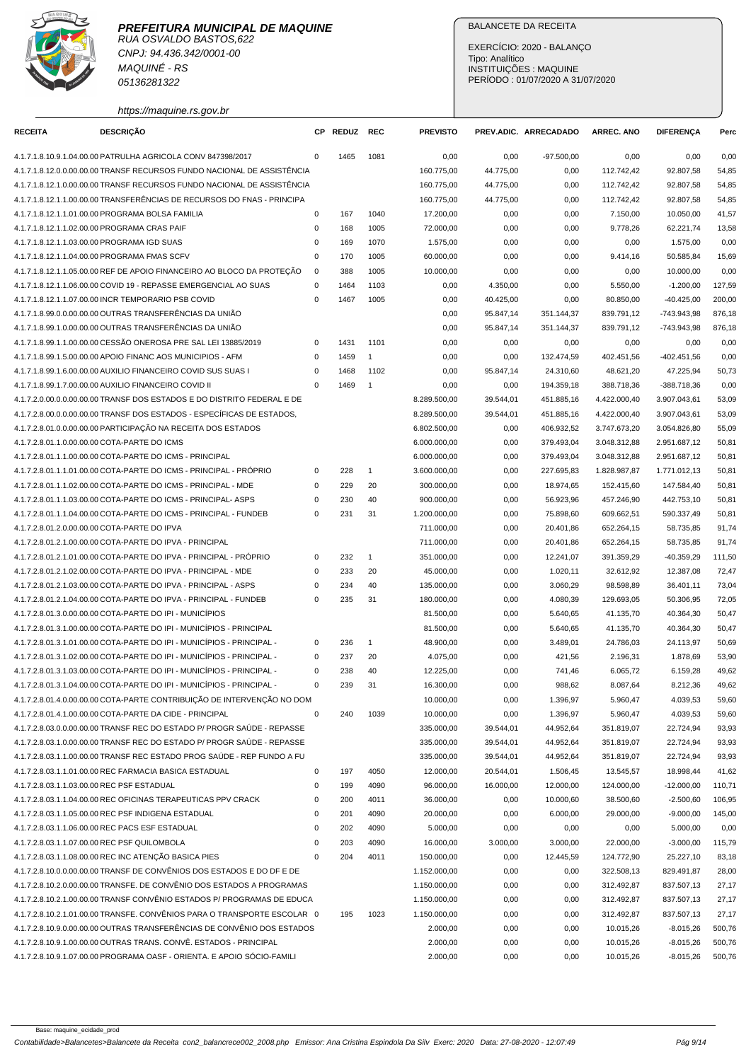

RUA OSVALDO BASTOS,622 CNPJ: 94.436.342/0001-00 MAQUINÉ - RS 05136281322

https://maquine.rs.gov.br

## BALANCETE DA RECEITA

EXERCÍCIO: 2020 - BALANÇO Tipo: Analítico INSTITUIÇÕES : MAQUINE PERÍODO : 01/07/2020 A 31/07/2020

| <b>RECEITA</b> | <b>DESCRIÇÃO</b>                                                         |             | CP REDUZ | REC            | <b>PREVISTO</b> |           | PREV.ADIC. ARRECADADO | <b>ARREC. ANO</b> | <b>DIFERENÇA</b> | Perc   |
|----------------|--------------------------------------------------------------------------|-------------|----------|----------------|-----------------|-----------|-----------------------|-------------------|------------------|--------|
|                | 4.1.7.1.8.10.9.1.04.00.00 PATRULHA AGRICOLA CONV 847398/2017             | $\Omega$    | 1465     | 1081           | 0,00            | 0,00      | $-97.500,00$          | 0,00              | 0,00             | 0,00   |
|                | 4.1.7.1.8.12.0.0.00.00.00 TRANSF RECURSOS FUNDO NACIONAL DE ASSISTÊNCIA  |             |          |                | 160.775,00      | 44.775,00 | 0,00                  | 112.742,42        | 92.807,58        | 54,85  |
|                | 4.1.7.1.8.12.1.0.00.00.00 TRANSF RECURSOS FUNDO NACIONAL DE ASSISTÊNCIA  |             |          |                | 160.775,00      | 44.775,00 | 0,00                  | 112.742,42        | 92.807,58        | 54,85  |
|                | 4.1.7.1.8.12.1.1.00.00.00 TRANSFERÊNCIAS DE RECURSOS DO FNAS - PRINCIPA  |             |          |                | 160.775,00      | 44.775,00 | 0,00                  | 112.742,42        | 92.807,58        | 54,85  |
|                | 4.1.7.1.8.12.1.1.01.00.00 PROGRAMA BOLSA FAMILIA                         | $\mathbf 0$ | 167      | 1040           | 17.200,00       | 0,00      | 0,00                  | 7.150,00          | 10.050,00        | 41,57  |
|                | 4.1.7.1.8.12.1.1.02.00.00 PROGRAMA CRAS PAIF                             | $\mathbf 0$ | 168      | 1005           | 72.000,00       | 0,00      | 0,00                  | 9.778,26          | 62.221,74        | 13,58  |
|                | 4.1.7.1.8.12.1.1.03.00.00 PROGRAMA IGD SUAS                              | $\mathbf 0$ | 169      | 1070           | 1.575,00        | 0,00      | 0,00                  | 0,00              | 1.575,00         | 0,00   |
|                | 4.1.7.1.8.12.1.1.04.00.00 PROGRAMA FMAS SCFV                             | $\mathbf 0$ | 170      | 1005           | 60.000,00       | 0,00      | 0,00                  | 9.414,16          | 50.585,84        | 15,69  |
|                | 4.1.7.1.8.12.1.1.05.00.00 REF DE APOIO FINANCEIRO AO BLOCO DA PROTEÇÃO   | 0           | 388      | 1005           | 10.000,00       | 0,00      | 0,00                  | 0,00              | 10.000,00        | 0,00   |
|                | 4.1.7.1.8.12.1.1.06.00.00 COVID 19 - REPASSE EMERGENCIAL AO SUAS         | 0           | 1464     | 1103           | 0,00            | 4.350,00  | 0,00                  | 5.550,00          | $-1.200,00$      | 127,59 |
|                | 4.1.7.1.8.12.1.1.07.00.00 INCR TEMPORARIO PSB COVID                      | $\mathbf 0$ | 1467     | 1005           | 0,00            | 40.425,00 | 0,00                  | 80.850,00         | $-40.425,00$     | 200,00 |
|                | 4.1.7.1.8.99.0.0.00.00.00 OUTRAS TRANSFERÊNCIAS DA UNIÃO                 |             |          |                | 0,00            | 95.847,14 | 351.144,37            | 839.791,12        | $-743.943,98$    | 876,18 |
|                | 4.1.7.1.8.99.1.0.00.00.00 OUTRAS TRANSFERÊNCIAS DA UNIÃO                 |             |          |                | 0,00            | 95.847,14 | 351.144,37            | 839.791,12        | -743.943,98      | 876,18 |
|                | 4.1.7.1.8.99.1.1.00.00.00 CESSÃO ONEROSA PRE SAL LEI 13885/2019          | 0           | 1431     | 1101           | 0,00            | 0,00      | 0,00                  | 0,00              | 0,00             | 0,00   |
|                | 4.1.7.1.8.99.1.5.00.00.00 APOIO FINANC AOS MUNICIPIOS - AFM              | $\mathbf 0$ | 1459     | $\mathbf{1}$   | 0,00            | 0,00      | 132.474,59            | 402.451,56        | $-402.451,56$    | 0,00   |
|                | 4.1.7.1.8.99.1.6.00.00.00 AUXILIO FINANCEIRO COVID SUS SUAS I            | $\mathbf 0$ | 1468     | 1102           | 0,00            | 95.847,14 | 24.310,60             | 48.621,20         | 47.225,94        | 50,73  |
|                | 4.1.7.1.8.99.1.7.00.00.00 AUXILIO FINANCEIRO COVID II                    | $\Omega$    | 1469     | $\overline{1}$ | 0,00            | 0,00      | 194.359,18            | 388.718,36        | $-388.718,36$    | 0,00   |
|                | 4.1.7.2.0.00.0.0.00.00.00 TRANSF DOS ESTADOS E DO DISTRITO FEDERAL E DE  |             |          |                | 8.289.500,00    | 39.544,01 | 451.885,16            | 4.422.000,40      | 3.907.043,61     | 53,09  |
|                | 4.1.7.2.8.00.0.0.00.00.00 TRANSF DOS ESTADOS - ESPECÍFICAS DE ESTADOS,   |             |          |                | 8.289.500,00    | 39.544,01 | 451.885,16            | 4.422.000,40      | 3.907.043,61     | 53,09  |
|                | 4.1.7.2.8.01.0.0.00.00.00 PARTICIPAÇÃO NA RECEITA DOS ESTADOS            |             |          |                | 6.802.500,00    | 0,00      | 406.932,52            | 3.747.673,20      | 3.054.826,80     | 55,09  |
|                | 4.1.7.2.8.01.1.0.00.00.00 COTA-PARTE DO ICMS                             |             |          |                | 6.000.000,00    | 0,00      | 379.493,04            | 3.048.312,88      | 2.951.687,12     | 50,81  |
|                | 4.1.7.2.8.01.1.1.00.00.00 COTA-PARTE DO ICMS - PRINCIPAL                 |             |          |                | 6.000.000,00    | 0,00      | 379.493,04            | 3.048.312,88      | 2.951.687,12     | 50,81  |
|                | 4.1.7.2.8.01.1.1.01.00.00 COTA-PARTE DO ICMS - PRINCIPAL - PRÓPRIO       | 0           | 228      | $\mathbf{1}$   | 3.600.000,00    | 0,00      | 227.695,83            | 1.828.987,87      | 1.771.012,13     | 50,81  |
|                | 4.1.7.2.8.01.1.1.02.00.00 COTA-PARTE DO ICMS - PRINCIPAL - MDE           | 0           | 229      | 20             | 300.000,00      | 0,00      | 18.974,65             | 152.415,60        | 147.584,40       | 50,81  |
|                | 4.1.7.2.8.01.1.1.03.00.00 COTA-PARTE DO ICMS - PRINCIPAL- ASPS           | $\mathbf 0$ | 230      | 40             | 900.000,00      | 0,00      | 56.923,96             | 457.246,90        | 442.753,10       | 50,81  |
|                | 4.1.7.2.8.01.1.1.04.00.00 COTA-PARTE DO ICMS - PRINCIPAL - FUNDEB        | $\mathbf 0$ | 231      | 31             | 1.200.000,00    | 0,00      | 75.898,60             | 609.662,51        | 590.337,49       | 50,81  |
|                | 4.1.7.2.8.01.2.0.00.00.00 COTA-PARTE DO IPVA                             |             |          |                | 711.000,00      | 0,00      | 20.401,86             | 652.264,15        | 58.735,85        | 91,74  |
|                | 4.1.7.2.8.01.2.1.00.00.00 COTA-PARTE DO IPVA - PRINCIPAL                 |             |          |                | 711.000,00      | 0,00      | 20.401,86             | 652.264,15        | 58.735,85        | 91,74  |
|                | 4.1.7.2.8.01.2.1.01.00.00 COTA-PARTE DO IPVA - PRINCIPAL - PRÓPRIO       | 0           | 232      | $\mathbf{1}$   | 351.000,00      | 0,00      | 12.241,07             | 391.359,29        | $-40.359,29$     | 111,50 |
|                | 4.1.7.2.8.01.2.1.02.00.00 COTA-PARTE DO IPVA - PRINCIPAL - MDE           | 0           | 233      | 20             | 45.000,00       | 0,00      | 1.020,11              | 32.612,92         | 12.387,08        | 72,47  |
|                | 4.1.7.2.8.01.2.1.03.00.00 COTA-PARTE DO IPVA - PRINCIPAL - ASPS          | $\mathbf 0$ | 234      | 40             | 135.000,00      | 0,00      | 3.060,29              | 98.598,89         | 36.401,11        | 73,04  |
|                | 4.1.7.2.8.01.2.1.04.00.00 COTA-PARTE DO IPVA - PRINCIPAL - FUNDEB        | $\mathbf 0$ | 235      | 31             | 180.000,00      | 0,00      | 4.080,39              | 129.693,05        | 50.306,95        | 72,05  |
|                | 4.1.7.2.8.01.3.0.00.00.00 COTA-PARTE DO IPI - MUNICÍPIOS                 |             |          |                | 81.500,00       | 0,00      | 5.640,65              | 41.135,70         | 40.364,30        | 50,47  |
|                | 4.1.7.2.8.01.3.1.00.00.00 COTA-PARTE DO IPI - MUNICÍPIOS - PRINCIPAL     |             |          |                | 81.500,00       | 0,00      | 5.640,65              | 41.135,70         | 40.364,30        | 50,47  |
|                | 4.1.7.2.8.01.3.1.01.00.00 COTA-PARTE DO IPI - MUNICÍPIOS - PRINCIPAL -   | 0           | 236      | $\mathbf{1}$   | 48.900,00       | 0,00      | 3.489,01              | 24.786,03         | 24.113,97        | 50,69  |
|                | 4.1.7.2.8.01.3.1.02.00.00 COTA-PARTE DO IPI - MUNICÍPIOS - PRINCIPAL -   | 0           | 237      | 20             | 4.075,00        | 0,00      | 421,56                | 2.196,31          | 1.878,69         | 53,90  |
|                | 4.1.7.2.8.01.3.1.03.00.00 COTA-PARTE DO IPI - MUNICÍPIOS - PRINCIPAL -   | $\mathbf 0$ | 238      | 40             | 12.225,00       | 0,00      | 741,46                | 6.065,72          | 6.159,28         | 49,62  |
|                | 4.1.7.2.8.01.3.1.04.00.00 COTA-PARTE DO IPI - MUNICÍPIOS - PRINCIPAL -   | $\mathbf 0$ | 239      | 31             | 16.300,00       | 0,00      | 988,62                | 8.087,64          | 8.212,36         | 49,62  |
|                | 4.1.7.2.8.01.4.0.00.00.00 COTA-PARTE CONTRIBUIÇÃO DE INTERVENÇÃO NO DOM  |             |          |                | 10.000,00       | 0,00      | 1.396,97              | 5.960,47          | 4.039,53         | 59,60  |
|                | 4.1.7.2.8.01.4.1.00.00.00 COTA-PARTE DA CIDE - PRINCIPAL                 | 0           | 240      | 1039           | 10.000,00       | 0,00      | 1.396,97              | 5.960,47          | 4.039,53         | 59,60  |
|                | 4.1.7.2.8.03.0.0.00.00.00 TRANSF REC DO ESTADO P/ PROGR SAÚDE - REPASSE  |             |          |                | 335.000,00      | 39.544,01 | 44.952,64             | 351.819,07        | 22.724,94        | 93,93  |
|                | 4.1.7.2.8.03.1.0.00.00.00 TRANSF REC DO ESTADO P/ PROGR SAÚDE - REPASSE  |             |          |                | 335.000,00      | 39.544,01 | 44.952,64             | 351.819,07        | 22.724,94        | 93,93  |
|                | 4.1.7.2.8.03.1.1.00.00.00 TRANSF REC ESTADO PROG SAÚDE - REP FUNDO A FU  |             |          |                | 335.000,00      | 39.544,01 | 44.952,64             | 351.819,07        | 22.724,94        | 93,93  |
|                | 4.1.7.2.8.03.1.1.01.00.00 REC FARMACIA BASICA ESTADUAL                   | $\pmb{0}$   | 197      | 4050           | 12.000,00       | 20.544,01 | 1.506,45              | 13.545,57         | 18.998,44        | 41,62  |
|                | 4.1.7.2.8.03.1.1.03.00.00 REC PSF ESTADUAL                               | 0           | 199      | 4090           | 96.000,00       | 16.000,00 | 12.000,00             | 124.000,00        | $-12.000,00$     | 110,71 |
|                | 4.1.7.2.8.03.1.1.04.00.00 REC OFICINAS TERAPEUTICAS PPV CRACK            | $\pmb{0}$   | 200      | 4011           | 36.000,00       | 0,00      | 10.000,60             | 38.500,60         | $-2.500,60$      | 106,95 |
|                | 4.1.7.2.8.03.1.1.05.00.00 REC PSF INDIGENA ESTADUAL                      | 0           | 201      | 4090           | 20.000,00       | 0,00      | 6.000,00              | 29.000,00         | $-9.000,00$      | 145,00 |
|                | 4.1.7.2.8.03.1.1.06.00.00 REC PACS ESF ESTADUAL                          | $\mathbf 0$ | 202      | 4090           | 5.000,00        | 0,00      | 0,00                  | 0,00              | 5.000,00         | 0,00   |
|                | 4.1.7.2.8.03.1.1.07.00.00 REC PSF QUILOMBOLA                             | 0           | 203      | 4090           | 16.000,00       | 3.000,00  | 3.000,00              | 22.000,00         | $-3.000,00$      | 115,79 |
|                | 4.1.7.2.8.03.1.1.08.00.00 REC INC ATENÇÃO BASICA PIES                    | $\mathbf 0$ | 204      | 4011           | 150.000,00      | 0,00      | 12.445,59             | 124.772,90        | 25.227,10        | 83,18  |
|                | 4.1.7.2.8.10.0.0.00.00.00 TRANSF DE CONVÊNIOS DOS ESTADOS E DO DF E DE   |             |          |                | 1.152.000,00    | 0,00      | 0,00                  | 322.508,13        | 829.491,87       | 28,00  |
|                | 4.1.7.2.8.10.2.0.00.00.00 TRANSFE. DE CONVÊNIO DOS ESTADOS A PROGRAMAS   |             |          |                | 1.150.000,00    | 0,00      | 0,00                  | 312.492,87        | 837.507,13       | 27,17  |
|                | 4.1.7.2.8.10.2.1.00.00.00 TRANSF CONVÊNIO ESTADOS P/ PROGRAMAS DE EDUCA  |             |          |                | 1.150.000,00    | 0,00      | 0,00                  | 312.492,87        | 837.507,13       | 27,17  |
|                | 4.1.7.2.8.10.2.1.01.00.00 TRANSFE. CONVÊNIOS PARA O TRANSPORTE ESCOLAR 0 |             | 195      | 1023           | 1.150.000,00    | 0,00      | 0,00                  | 312.492,87        | 837.507,13       | 27,17  |
|                | 4.1.7.2.8.10.9.0.00.00.00 OUTRAS TRANSFERÊNCIAS DE CONVÊNIO DOS ESTADOS  |             |          |                | 2.000,00        | 0,00      | 0,00                  | 10.015,26         | $-8.015,26$      | 500,76 |
|                | 4.1.7.2.8.10.9.1.00.00.00 OUTRAS TRANS. CONVË. ESTADOS - PRINCIPAL       |             |          |                | 2.000,00        | 0,00      | 0,00                  | 10.015,26         | $-8.015,26$      | 500,76 |
|                | 4.1.7.2.8.10.9.1.07.00.00 PROGRAMA OASF - ORIENTA. E APOIO SÓCIO-FAMILI  |             |          |                | 2.000,00        | 0,00      | 0,00                  | 10.015,26         | $-8.015,26$      | 500,76 |
|                |                                                                          |             |          |                |                 |           |                       |                   |                  |        |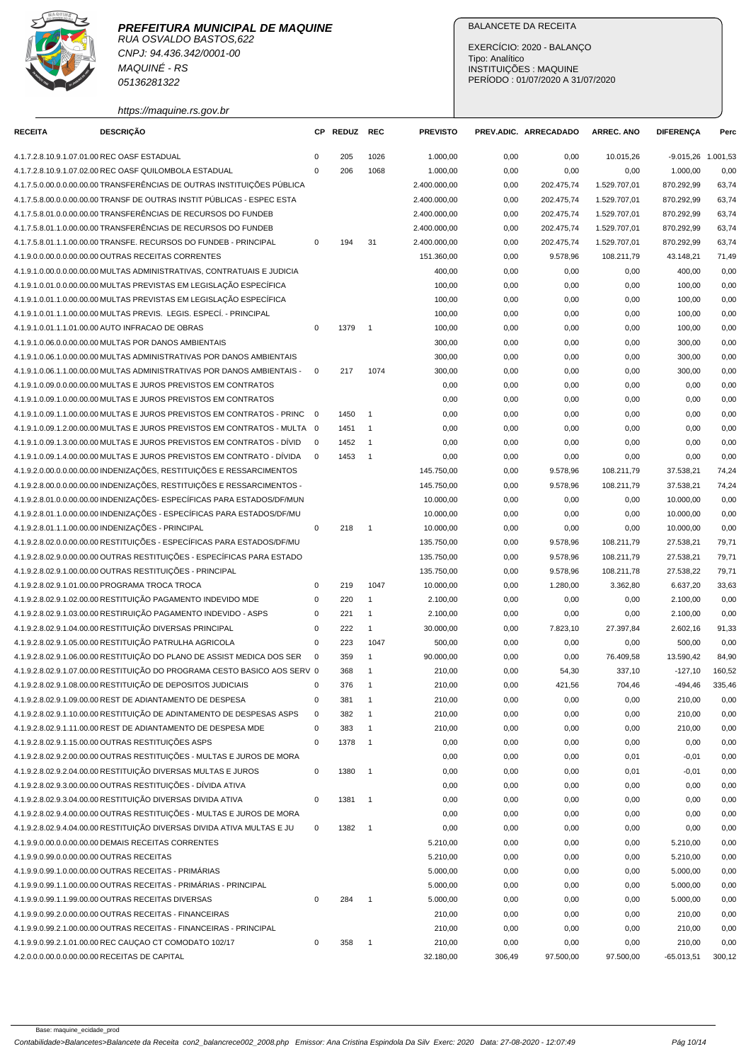

RUA OSVALDO BASTOS,622 CNPJ: 94.436.342/0001-00 MAQUINÉ - RS 05136281322

https://maquine.rs.gov.br

## BALANCETE DA RECEITA

EXERCÍCIO: 2020 - BALANÇO Tipo: Analítico INSTITUIÇÕES : MAQUINE PERÍODO : 01/07/2020 A 31/07/2020

| <b>DESCRIÇÃO</b><br><b>RECEITA</b>                                        | СP           | <b>REDUZ</b> | REC                        | <b>PREVISTO</b> |        | PREV.ADIC. ARRECADADO | <b>ARREC. ANO</b> | <b>DIFERENÇA</b>   | Perc   |
|---------------------------------------------------------------------------|--------------|--------------|----------------------------|-----------------|--------|-----------------------|-------------------|--------------------|--------|
| 4.1.7.2.8.10.9.1.07.01.00 REC OASF ESTADUAL                               | 0            | 205          | 1026                       | 1.000,00        | 0,00   | 0,00                  | 10.015,26         | -9.015,26 1.001,53 |        |
| 4.1.7.2.8.10.9.1.07.02.00 REC OASF QUILOMBOLA ESTADUAL                    | $\mathbf{0}$ | 206          | 1068                       | 1.000,00        | 0,00   | 0,00                  | 0,00              | 1.000,00           | 0,00   |
| 4.1.7.5.0.00.0.0.00.00.00 TRANSFERENCIAS DE OUTRAS INSTITUIÇÕES PÚBLICA   |              |              |                            | 2.400.000,00    | 0,00   | 202.475,74            | 1.529.707,01      | 870.292,99         | 63,74  |
| 4.1.7.5.8.00.0.0.00.00.00 TRANSF DE OUTRAS INSTIT PÚBLICAS - ESPEC ESTA   |              |              |                            | 2.400.000,00    | 0,00   | 202.475,74            | 1.529.707,01      | 870.292,99         | 63,74  |
| 4.1.7.5.8.01.0.0.00.00.00 TRANSFERÊNCIAS DE RECURSOS DO FUNDEB            |              |              |                            | 2.400.000,00    | 0,00   | 202.475,74            | 1.529.707,01      | 870.292,99         | 63,74  |
| 4.1.7.5.8.01.1.0.00.00.00 TRANSFERÊNCIAS DE RECURSOS DO FUNDEB            |              |              |                            | 2.400.000,00    | 0,00   | 202.475,74            | 1.529.707,01      | 870.292,99         | 63,74  |
| 4.1.7.5.8.01.1.1.00.00.00 TRANSFE. RECURSOS DO FUNDEB - PRINCIPAL         | $\mathbf 0$  | 194          | 31                         | 2.400.000,00    | 0,00   | 202.475,74            | 1.529.707,01      | 870.292,99         | 63,74  |
| 4.1.9.0.0.00.0.0.00.00.00 OUTRAS RECEITAS CORRENTES                       |              |              |                            | 151.360,00      | 0,00   | 9.578,96              | 108.211,79        | 43.148,21          | 71,49  |
| 4.1.9.1.0.00.0.00.00.00 MULTAS ADMINISTRATIVAS, CONTRATUAIS E JUDICIA     |              |              |                            | 400,00          | 0,00   | 0,00                  | 0,00              | 400,00             | 0,00   |
| 4.1.9.1.0.01.0.0.00.00.00 MULTAS PREVISTAS EM LEGISLAÇÃO ESPECÍFICA       |              |              |                            | 100,00          | 0,00   | 0,00                  | 0,00              | 100,00             | 0,00   |
| 4.1.9.1.0.01.1.0.00.00.00 MULTAS PREVISTAS EM LEGISLAÇÃO ESPECÍFICA       |              |              |                            | 100,00          | 0,00   | 0,00                  | 0,00              | 100,00             | 0,00   |
| 4.1.9.1.0.01.1.1.00.00.00 MULTAS PREVIS. LEGIS. ESPECÍ. - PRINCIPAL       |              |              |                            | 100,00          | 0,00   | 0,00                  | 0,00              | 100,00             | 0,00   |
| 4.1.9.1.0.01.1.1.01.00.00 AUTO INFRACAO DE OBRAS                          | $\mathsf 0$  | 1379         | $\overline{\phantom{0}}$ 1 | 100,00          | 0,00   | 0,00                  | 0,00              | 100,00             | 0,00   |
| 4.1.9.1.0.06.0.0.00.00.00 MULTAS POR DANOS AMBIENTAIS                     |              |              |                            | 300,00          | 0,00   | 0,00                  | 0,00              | 300,00             | 0,00   |
| 4.1.9.1.0.06.1.0.00.00.00 MULTAS ADMINISTRATIVAS POR DANOS AMBIENTAIS     |              |              |                            | 300,00          | 0,00   | 0,00                  | 0,00              | 300,00             | 0,00   |
| 4.1.9.1.0.06.1.1.00.00.00 MULTAS ADMINISTRATIVAS POR DANOS AMBIENTAIS -   | $\mathbf 0$  | 217          | 1074                       | 300,00          | 0,00   | 0,00                  | 0,00              | 300,00             | 0,00   |
| 4.1.9.1.0.09.0.0.00.00.00 MULTAS E JUROS PREVISTOS EM CONTRATOS           |              |              |                            | 0,00            | 0,00   | 0,00                  | 0,00              | 0,00               | 0,00   |
| 4.1.9.1.0.09.1.0.00.00.00 MULTAS E JUROS PREVISTOS EM CONTRATOS           |              |              |                            | 0,00            | 0,00   | 0,00                  | 0,00              | 0,00               | 0,00   |
| 4.1.9.1.0.09.1.1.00.00.00 MULTAS E JUROS PREVISTOS EM CONTRATOS - PRINC   | $\mathbf 0$  | 1450         | $\overline{1}$             | 0,00            | 0,00   | 0,00                  | 0,00              | 0,00               | 0,00   |
| 4.1.9.1.0.09.1.2.00.00.00 MULTAS E JUROS PREVISTOS EM CONTRATOS - MULTA 0 |              | 1451         | $\overline{1}$             | 0,00            | 0,00   | 0,00                  | 0,00              | 0,00               | 0,00   |
| 4.1.9.1.0.09.1.3.00.00.00 MULTAS E JUROS PREVISTOS EM CONTRATOS - DÍVID   | $\Omega$     | 1452         | $\overline{1}$             | 0,00            | 0,00   | 0,00                  | 0,00              | 0,00               | 0,00   |
| 4.1.9.1.0.09.1.4.00.00.00 MULTAS E JUROS PREVISTOS EM CONTRATO - DÍVIDA   | $\mathbf 0$  | 1453         | $\overline{\phantom{0}}$ 1 | 0,00            | 0,00   | 0,00                  | 0,00              | 0,00               | 0,00   |
| 4.1.9.2.0.00.0.0.00.00.00 INDENIZAÇÕES, RESTITUIÇÕES E RESSARCIMENTOS     |              |              |                            | 145.750,00      | 0,00   | 9.578,96              | 108.211,79        | 37.538,21          | 74,24  |
| 4.1.9.2.8.00.0.0.00.00.00 INDENIZAÇÕES, RESTITUIÇÕES E RESSARCIMENTOS -   |              |              |                            | 145.750,00      | 0,00   | 9.578,96              | 108.211,79        | 37.538,21          | 74,24  |
| 4.1.9.2.8.01.0.0.00.00.00 INDENIZAÇÕES- ESPECÍFICAS PARA ESTADOS/DF/MUN   |              |              |                            | 10.000,00       | 0,00   | 0,00                  | 0,00              | 10.000,00          | 0,00   |
| 4.1.9.2.8.01.1.0.00.00.00 INDENIZAÇÕES - ESPECÍFICAS PARA ESTADOS/DF/MU   |              |              |                            | 10.000,00       | 0,00   | 0,00                  | 0,00              | 10.000,00          | 0,00   |
| 4.1.9.2.8.01.1.1.00.00.00 INDENIZAÇÕES - PRINCIPAL                        | 0            | 218          | $\overline{\phantom{0}}$ 1 | 10.000,00       | 0,00   | 0,00                  | 0,00              | 10.000,00          | 0,00   |
| 4.1.9.2.8.02.0.0.00.00.00 RESTITUIÇÕES - ESPECÍFICAS PARA ESTADOS/DF/MU   |              |              |                            | 135.750,00      | 0,00   | 9.578,96              | 108.211,79        | 27.538,21          | 79,71  |
| 4.1.9.2.8.02.9.0.00.00.00 OUTRAS RESTITUIÇÕES - ESPECÍFICAS PARA ESTADO   |              |              |                            | 135.750,00      | 0,00   | 9.578,96              | 108.211,79        | 27.538,21          | 79,71  |
| 4.1.9.2.8.02.9.1.00.00.00 OUTRAS RESTITUIÇÕES - PRINCIPAL                 |              |              |                            | 135.750,00      | 0,00   | 9.578,96              | 108.211,78        | 27.538,22          | 79,71  |
| 4.1.9.2.8.02.9.1.01.00.00 PROGRAMA TROCA TROCA                            | 0            | 219          | 1047                       | 10.000,00       | 0,00   | 1.280,00              | 3.362,80          | 6.637,20           | 33,63  |
| 4.1.9.2.8.02.9.1.02.00.00 RESTITUIÇÃO PAGAMENTO INDEVIDO MDE              | 0            | 220          | $\mathbf{1}$               | 2.100,00        | 0,00   | 0,00                  | 0,00              | 2.100,00           | 0,00   |
| 4.1.9.2.8.02.9.1.03.00.00 RESTIRUIÇÃO PAGAMENTO INDEVIDO - ASPS           | 0            | 221          | $\mathbf{1}$               | 2.100,00        | 0,00   | 0,00                  | 0,00              | 2.100,00           | 0,00   |
| 4.1.9.2.8.02.9.1.04.00.00 RESTITUIÇÃO DIVERSAS PRINCIPAL                  | 0            | 222          | $\mathbf{1}$               | 30.000,00       | 0,00   | 7.823,10              | 27.397,84         | 2.602,16           | 91,33  |
| 4.1.9.2.8.02.9.1.05.00.00 RESTITUIÇÃO PATRULHA AGRICOLA                   | $\mathbf 0$  | 223          | 1047                       | 500,00          | 0,00   | 0,00                  | 0,00              | 500,00             | 0,00   |
| 4.1.9.2.8.02.9.1.06.00.00 RESTITUIÇÃO DO PLANO DE ASSIST MEDICA DOS SER   | $\mathbf 0$  | 359          | $\mathbf{1}$               | 90.000,00       | 0,00   | 0,00                  | 76.409,58         | 13.590,42          | 84,90  |
| 4.1.9.2.8.02.9.1.07.00.00 RESTITUICÃO DO PROGRAMA CESTO BASICO AOS SERV 0 |              | 368          | $\mathbf{1}$               | 210,00          | 0,00   | 54,30                 | 337,10            | $-127,10$          | 160,52 |
| 4.1.9.2.8.02.9.1.08.00.00 RESTITUIÇÃO DE DEPOSITOS JUDICIAIS              | 0            | 376          | $\overline{1}$             | 210,00          | 0,00   | 421,56                | 704,46            | $-494,46$          | 335,46 |
| 4.1.9.2.8.02.9.1.09.00.00 REST DE ADIANTAMENTO DE DESPESA                 | 0            | 381          | $\overline{1}$             | 210,00          | 0,00   | 0,00                  | 0,00              | 210,00             | 0,00   |
| 4.1.9.2.8.02.9.1.10.00.00 RESTITUICÃO DE ADINTAMENTO DE DESPESAS ASPS     | 0            | 382          | $\mathbf{1}$               | 210,00          | 0,00   | 0,00                  | 0,00              | 210,00             | 0,00   |
| 4.1.9.2.8.02.9.1.11.00.00 REST DE ADIANTAMENTO DE DESPESA MDE             | 0            | 383          | 1                          | 210,00          | 0,00   | 0,00                  | 0,00              | 210,00             | 0,00   |
| 4.1.9.2.8.02.9.1.15.00.00 OUTRAS RESTITUIÇÕES ASPS                        | 0            | 1378         | $\overline{1}$             | 0,00            | 0,00   | 0,00                  | 0,00              | 0,00               | 0,00   |
| 4.1.9.2.8.02.9.2.00.00.00 OUTRAS RESTITUIÇÕES - MULTAS E JUROS DE MORA    |              |              |                            | 0,00            | 0,00   | 0,00                  | 0,01              | $-0,01$            | 0,00   |
| 4.1.9.2.8.02.9.2.04.00.00 RESTITUIÇÃO DIVERSAS MULTAS E JUROS             | $\mathbf 0$  | 1380         | $\overline{\phantom{0}}$ 1 | 0,00            | 0,00   | 0,00                  | 0,01              | $-0,01$            | 0,00   |
| 4.1.9.2.8.02.9.3.00.00.00 OUTRAS RESTITUIÇÕES - DÍVIDA ATIVA              |              |              |                            | 0,00            | 0,00   | 0,00                  | 0,00              | 0,00               | 0,00   |
| 4.1.9.2.8.02.9.3.04.00.00 RESTITUIÇÃO DIVERSAS DIVIDA ATIVA               | 0            | 1381         | $\overline{\phantom{0}}$ 1 | 0,00            | 0,00   | 0,00                  | 0,00              | 0,00               | 0,00   |
| 4.1.9.2.8.02.9.4.00.00.00 OUTRAS RESTITUIÇÕES - MULTAS E JUROS DE MORA    |              |              |                            | 0,00            | 0,00   | 0,00                  | 0,00              | 0,00               | 0,00   |
| 4.1.9.2.8.02.9.4.04.00.00 RESTITUIÇÃO DIVERSAS DIVIDA ATIVA MULTAS E JU   | 0            | 1382 1       |                            | 0,00            | 0,00   | 0,00                  | 0,00              | 0,00               | 0,00   |
| 4.1.9.9.0.00.0.0.00.00.00 DEMAIS RECEITAS CORRENTES                       |              |              |                            | 5.210,00        | 0,00   | 0,00                  | 0,00              | 5.210,00           | 0,00   |
| 4.1.9.9.0.99.0.0.00.00.00 OUTRAS RECEITAS                                 |              |              |                            | 5.210,00        | 0,00   | 0,00                  | 0,00              | 5.210,00           | 0,00   |
| 4.1.9.9.0.99.1.0.00.00.00 OUTRAS RECEITAS - PRIMÁRIAS                     |              |              |                            | 5.000,00        | 0,00   | 0,00                  | 0,00              | 5.000,00           | 0,00   |
| 4.1.9.9.0.99.1.1.00.00.00 OUTRAS RECEITAS - PRIMÁRIAS - PRINCIPAL         |              |              |                            | 5.000,00        | 0,00   | 0,00                  | 0,00              | 5.000,00           | 0,00   |
| 4.1.9.9.0.99.1.1.99.00.00 OUTRAS RECEITAS DIVERSAS                        | 0            | 284          | $\overline{1}$             | 5.000,00        | 0,00   | 0,00                  | 0,00              | 5.000,00           | 0,00   |
| 4.1.9.9.0.99.2.0.00.00.00 OUTRAS RECEITAS - FINANCEIRAS                   |              |              |                            | 210,00          | 0,00   | 0,00                  | 0,00              | 210,00             | 0,00   |
| 4.1.9.9.0.99.2.1.00.00.00 OUTRAS RECEITAS - FINANCEIRAS - PRINCIPAL       |              |              |                            | 210,00          | 0,00   | 0,00                  | 0,00              | 210,00             | 0,00   |
| 4.1.9.9.0.99.2.1.01.00.00 REC CAUÇAO CT COMODATO 102/17                   | 0            | 358          | $\overline{1}$             | 210,00          | 0,00   | 0,00                  | 0,00              | 210,00             | 0,00   |
| 4.2.0.0.0.00.0.0.00.00.00 RECEITAS DE CAPITAL                             |              |              |                            | 32.180,00       | 306,49 | 97.500,00             | 97.500,00         | $-65.013,51$       | 300,12 |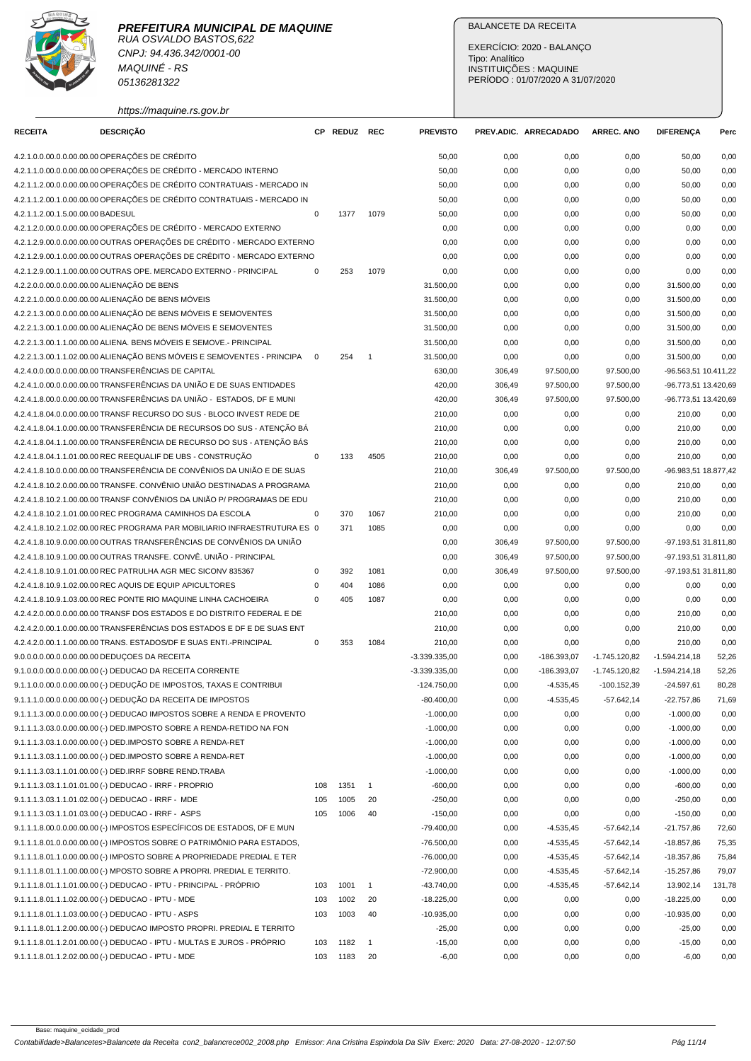

RUA OSVALDO BASTOS,622 CNPJ: 94.436.342/0001-00 MAQUINÉ - RS 05136281322

https://maquine.rs.gov.br

## BALANCETE DA RECEITA

EXERCÍCIO: 2020 - BALANÇO Tipo: Analítico INSTITUIÇÕES : MAQUINE PERÍODO : 01/07/2020 A 31/07/2020

| <b>RECEITA</b>                    | <b>DESCRIÇÃO</b>                                                          |             | CP REDUZ REC |                          | <b>PREVISTO</b> |        | PREV.ADIC. ARRECADADO | <b>ARREC. ANO</b> | <b>DIFERENÇA</b>     | Perc   |
|-----------------------------------|---------------------------------------------------------------------------|-------------|--------------|--------------------------|-----------------|--------|-----------------------|-------------------|----------------------|--------|
|                                   | 4.2.1.0.0.00.0.0.00.00.00 OPERAÇÕES DE CRÉDITO                            |             |              |                          | 50,00           | 0,00   | 0,00                  | 0,00              | 50,00                | 0,00   |
|                                   | 4.2.1.1.0.00.0.0.00.00.00 OPERAÇÕES DE CRÉDITO - MERCADO INTERNO          |             |              |                          | 50,00           | 0,00   | 0,00                  | 0,00              | 50,00                | 0,00   |
|                                   | 4.2.1.1.2.00.0.0.00.00.00 OPERAÇÕES DE CRÉDITO CONTRATUAIS - MERCADO IN   |             |              |                          | 50,00           | 0,00   | 0,00                  | 0,00              | 50,00                | 0,00   |
|                                   | 4.2.1.1.2.00.1.0.00.00.00 OPERAÇÕES DE CRÉDITO CONTRATUAIS - MERCADO IN   |             |              |                          | 50,00           | 0,00   | 0,00                  | 0,00              | 50,00                | 0,00   |
| 4.2.1.1.2.00.1.5.00.00.00 BADESUL |                                                                           | 0           | 1377         | 1079                     | 50,00           | 0,00   | 0,00                  | 0,00              | 50,00                | 0,00   |
|                                   | 4.2.1.2.0.00.0.0.00.00.00 OPERAÇÕES DE CRÉDITO - MERCADO EXTERNO          |             |              |                          | 0,00            | 0,00   | 0,00                  | 0,00              | 0,00                 | 0,00   |
|                                   | 4.2.1.2.9.00.0.0.00.00.00 OUTRAS OPERAÇÕES DE CRÉDITO - MERCADO EXTERNO   |             |              |                          | 0,00            | 0,00   | 0,00                  | 0,00              | 0,00                 | 0,00   |
|                                   | 4.2.1.2.9.00.1.0.00.00.00 OUTRAS OPERAÇÕES DE CRÉDITO - MERCADO EXTERNO   |             |              |                          | 0,00            | 0,00   | 0,00                  | 0,00              | 0,00                 | 0,00   |
|                                   | 4.2.1.2.9.00.1.1.00.00.00 OUTRAS OPE. MERCADO EXTERNO - PRINCIPAL         | 0           | 253          | 1079                     | 0,00            | 0,00   | 0,00                  | 0,00              | 0,00                 | 0,00   |
|                                   | 4.2.2.0.0.00.0.0.00.00.00 ALIENAÇÃO DE BENS                               |             |              |                          | 31.500,00       | 0,00   | 0,00                  | 0,00              | 31.500,00            | 0,00   |
|                                   | 4.2.2.1.0.00.0.0.00.00.00 ALIENAÇÃO DE BENS MÓVEIS                        |             |              |                          | 31.500,00       | 0,00   | 0,00                  | 0,00              | 31.500,00            | 0,00   |
|                                   | 4.2.2.1.3.00.0.0.00.00.00 ALIENAÇÃO DE BENS MÓVEIS E SEMOVENTES           |             |              |                          | 31.500,00       | 0,00   | 0,00                  | 0,00              | 31.500,00            | 0,00   |
|                                   | 4.2.2.1.3.00.1.0.00.00.00 ALIENAÇÃO DE BENS MÓVEIS E SEMOVENTES           |             |              |                          | 31.500,00       | 0,00   | 0,00                  | 0,00              | 31.500,00            | 0,00   |
|                                   | 4.2.2.1.3.00.1.1.00.00.00 ALIENA. BENS MÓVEIS E SEMOVE.- PRINCIPAL        |             |              |                          | 31.500,00       | 0,00   | 0,00                  | 0,00              | 31.500,00            | 0,00   |
|                                   | 4.2.2.1.3.00.1.1.02.00.00 ALIENAÇÃO BENS MÓVEIS E SEMOVENTES - PRINCIPA   | $\mathbf 0$ | 254          | $\overline{\phantom{0}}$ | 31.500,00       | 0,00   | 0,00                  | 0,00              | 31.500,00            | 0,00   |
|                                   | 4.2.4.0.0.00.0.0.00.00.00 TRANSFERÊNCIAS DE CAPITAL                       |             |              |                          | 630,00          | 306,49 | 97.500,00             | 97.500,00         | -96.563,51 10.411,22 |        |
|                                   | 4.2.4.1.0.00.0.0.00.00.00 TRANSFERÊNCIAS DA UNIÃO E DE SUAS ENTIDADES     |             |              |                          | 420,00          | 306,49 | 97.500,00             | 97.500,00         | -96.773,51 13.420,69 |        |
|                                   | 4.2.4.1.8.00.0.0.00.00.00 TRANSFERÊNCIAS DA UNIÃO - ESTADOS, DF E MUNI    |             |              |                          | 420,00          | 306,49 | 97.500,00             | 97.500,00         | -96.773,51 13.420,69 |        |
|                                   | 4.2.4.1.8.04.0.0.00.00.00 TRANSF RECURSO DO SUS - BLOCO INVEST REDE DE    |             |              |                          | 210,00          | 0,00   | 0,00                  | 0,00              | 210,00               | 0,00   |
|                                   | 4.2.4.1.8.04.1.0.00.00.00 TRANSFERÊNCIA DE RECURSOS DO SUS - ATENÇÃO BÁ   |             |              |                          | 210,00          | 0,00   | 0,00                  | 0,00              | 210,00               | 0,00   |
|                                   | 4.2.4.1.8.04.1.1.00.00.00 TRANSFERÊNCIA DE RECURSO DO SUS - ATENÇÃO BÁS   |             |              |                          | 210,00          | 0,00   | 0,00                  | 0,00              | 210,00               | 0,00   |
|                                   | 4.2.4.1.8.04.1.1.01.00.00 REC REEQUALIF DE UBS - CONSTRUÇÃO               | $\mathbf 0$ | 133          | 4505                     | 210,00          | 0,00   | 0,00                  | 0,00              | 210,00               | 0,00   |
|                                   | 4.2.4.1.8.10.0.0.00.00.00 TRANSFERÊNCIA DE CONVÊNIOS DA UNIÃO E DE SUAS   |             |              |                          | 210,00          | 306,49 | 97.500,00             | 97.500,00         | -96.983,51 18.877,42 |        |
|                                   | 4.2.4.1.8.10.2.0.00.00.00 TRANSFE. CONVÊNIO UNIÃO DESTINADAS A PROGRAMA   |             |              |                          | 210,00          | 0,00   | 0,00                  | 0,00              | 210,00               | 0,00   |
|                                   | 4.2.4.1.8.10.2.1.00.00.00 TRANSF CONVÊNIOS DA UNIÃO P/ PROGRAMAS DE EDU   |             |              |                          | 210,00          | 0,00   | 0,00                  | 0,00              | 210,00               | 0,00   |
|                                   | 4.2.4.1.8.10.2.1.01.00.00 REC PROGRAMA CAMINHOS DA ESCOLA                 | 0           | 370          | 1067                     | 210,00          | 0,00   | 0,00                  | 0,00              | 210,00               | 0,00   |
|                                   | 4.2.4.1.8.10.2.1.02.00.00 REC PROGRAMA PAR MOBILIARIO INFRAESTRUTURA ES 0 |             | 371          | 1085                     | 0,00            | 0,00   | 0,00                  | 0,00              | 0,00                 | 0,00   |
|                                   | 4.2.4.1.8.10.9.0.00.00.00 OUTRAS TRANSFERÊNCIAS DE CONVÊNIOS DA UNIÃO     |             |              |                          | 0,00            | 306,49 | 97.500,00             | 97.500,00         | -97.193,51 31.811,80 |        |
|                                   | 4.2.4.1.8.10.9.1.00.00.00 OUTRAS TRANSFE. CONVÊ. UNIÃO - PRINCIPAL        |             |              |                          | 0,00            | 306,49 | 97.500,00             | 97.500,00         | -97.193,51 31.811,80 |        |
|                                   | 4.2.4.1.8.10.9.1.01.00.00 REC PATRULHA AGR MEC SICONV 835367              | 0           | 392          | 1081                     | 0,00            | 306,49 | 97.500,00             | 97.500,00         | -97.193,51 31.811,80 |        |
|                                   | 4.2.4.1.8.10.9.1.02.00.00 REC AQUIS DE EQUIP APICULTORES                  | $\mathbf 0$ | 404          | 1086                     | 0,00            | 0,00   | 0,00                  | 0,00              | 0,00                 | 0,00   |
|                                   | 4.2.4.1.8.10.9.1.03.00.00 REC PONTE RIO MAQUINE LINHA CACHOEIRA           | 0           | 405          | 1087                     | 0,00            | 0,00   | 0,00                  | 0,00              | 0,00                 | 0,00   |
|                                   | 4.2.4.2.0.00.0.0.00.00.00 TRANSF DOS ESTADOS E DO DISTRITO FEDERAL E DE   |             |              |                          | 210,00          | 0,00   | 0,00                  | 0,00              | 210,00               | 0,00   |
|                                   | 4.2.4.2.0.00.1.0.00.00.00 TRANSFERÊNCIAS DOS ESTADOS E DF E DE SUAS ENT   |             |              |                          | 210,00          | 0,00   | 0,00                  | 0,00              | 210,00               | 0,00   |
|                                   | 4.2.4.2.0.00.1.1.00.00.00 TRANS. ESTADOS/DF E SUAS ENTI.-PRINCIPAL        | 0           | 353          | 1084                     | 210,00          | 0,00   | 0,00                  | 0,00              | 210,00               | 0,00   |
|                                   | 9.0.0.0.0.00.0.0.00.00.00 DEDUÇOES DA RECEITA                             |             |              |                          | $-3.339.335,00$ | 0,00   | $-186.393,07$         | $-1.745.120,82$   | $-1.594.214,18$      | 52,26  |
|                                   | 9.1.0.0.0.00.0.0.00.00.00 (-) DEDUCAO DA RECEITA CORRENTE                 |             |              |                          | $-3.339.335,00$ | 0,00   | $-186.393,07$         | $-1.745.120.82$   | $-1.594.214,18$      | 52,26  |
|                                   | 9.1.1.0.0.00.0.0.00.00.00 (-) DEDUCÃO DE IMPOSTOS, TAXAS E CONTRIBUI      |             |              |                          | $-124.750,00$   | 0,00   | $-4.535,45$           | $-100.152,39$     | $-24.597,61$         | 80,28  |
|                                   | 9.1.1.1.0.00.0.0.00.00.00 (-) DEDUÇÃO DA RECEITA DE IMPOSTOS              |             |              |                          | $-80.400,00$    | 0,00   | -4.535,45             | -57.642,14        | $-22.757,86$         | 71,69  |
|                                   | 9.1.1.1.3.00.0.0.00.00.00 (-) DEDUCAO IMPOSTOS SOBRE A RENDA E PROVENTO   |             |              |                          | $-1.000,00$     | 0,00   | 0,00                  | 0,00              | $-1.000,00$          | 0,00   |
|                                   | 9.1.1.1.3.03.0.0.00.00.00 (-) DED.IMPOSTO SOBRE A RENDA-RETIDO NA FON     |             |              |                          | $-1.000,00$     | 0,00   | 0,00                  | 0,00              | $-1.000,00$          | 0,00   |
|                                   | 9.1.1.1.3.03.1.0.00.00.00 (-) DED.IMPOSTO SOBRE A RENDA-RET               |             |              |                          | $-1.000,00$     | 0,00   | 0,00                  | 0,00              | $-1.000,00$          | 0,00   |
|                                   | 9.1.1.1.3.03.1.1.00.00.00 (-) DED.IMPOSTO SOBRE A RENDA-RET               |             |              |                          | $-1.000,00$     | 0,00   | 0,00                  | 0,00              | $-1.000,00$          | 0,00   |
|                                   | 9.1.1.1.3.03.1.1.01.00.00 (-) DED.IRRF SOBRE REND.TRABA                   |             |              |                          | $-1.000,00$     | 0,00   | 0,00                  | 0,00              | $-1.000,00$          | 0,00   |
|                                   | 9.1.1.1.3.03.1.1.01.01.00 (-) DEDUCAO - IRRF - PROPRIO                    | 108         | 1351         | $\mathbf{1}$             | $-600,00$       | 0,00   | 0,00                  | 0,00              | $-600,00$            | 0,00   |
|                                   | 9.1.1.1.3.03.1.1.01.02.00 (-) DEDUCAO - IRRF - MDE                        | 105         | 1005         | 20                       | $-250,00$       | 0,00   | 0,00                  | 0,00              | $-250,00$            | 0,00   |
|                                   | 9.1.1.1.3.03.1.1.01.03.00 (-) DEDUCAO - IRRF - ASPS                       | 105         | 1006         | 40                       | $-150,00$       | 0,00   | 0,00                  | 0,00              | $-150,00$            | 0,00   |
|                                   | 9.1.1.1.8.00.0.0.00.00.00 (-) IMPOSTOS ESPECÍFICOS DE ESTADOS, DF E MUN   |             |              |                          | $-79.400,00$    | 0,00   | $-4.535,45$           | $-57.642,14$      | $-21.757,86$         | 72,60  |
|                                   | 9.1.1.1.8.01.0.0.00.00.00 (-) IMPOSTOS SOBRE O PATRIMÔNIO PARA ESTADOS,   |             |              |                          | $-76.500,00$    | 0,00   | $-4.535,45$           | $-57.642,14$      | $-18.857,86$         | 75,35  |
|                                   | 9.1.1.1.8.01.1.0.00.00.00 (-) IMPOSTO SOBRE A PROPRIEDADE PREDIAL E TER   |             |              |                          | $-76.000,00$    | 0,00   | $-4.535,45$           | $-57.642,14$      | -18.357,86           | 75,84  |
|                                   | 9.1.1.1.8.01.1.1.00.00.00 (-) MPOSTO SOBRE A PROPRI. PREDIAL E TERRITO.   |             |              |                          | $-72.900,00$    | 0,00   | $-4.535,45$           | $-57.642,14$      | $-15.257,86$         | 79,07  |
|                                   | 9.1.1.1.8.01.1.1.01.00.00 (-) DEDUCAO - IPTU - PRINCIPAL - PRÓPRIO        | 103         | 1001         | $\overline{1}$           | $-43.740,00$    | 0,00   | $-4.535,45$           | $-57.642,14$      | 13.902,14            | 131,78 |
|                                   | 9.1.1.1.8.01.1.1.02.00.00 (-) DEDUCAO - IPTU - MDE                        | 103         | 1002         | 20                       | $-18.225,00$    | 0,00   | 0,00                  | 0,00              | $-18.225,00$         | 0,00   |
|                                   | 9.1.1.1.8.01.1.1.03.00.00 (-) DEDUCAO - IPTU - ASPS                       | 103         | 1003         | 40                       | $-10.935,00$    | 0,00   | 0,00                  | 0,00              | $-10.935,00$         | 0,00   |
|                                   | 9.1.1.1.8.01.1.2.00.00.00 (-) DEDUCAO IMPOSTO PROPRI. PREDIAL E TERRITO   |             |              |                          | $-25,00$        | 0,00   | 0,00                  | 0,00              | $-25,00$             | 0,00   |
|                                   | 9.1.1.1.8.01.1.2.01.00.00 (-) DEDUCAO - IPTU - MULTAS E JUROS - PRÓPRIO   | 103         | 1182         | $\overline{1}$           | $-15,00$        | 0,00   | 0,00                  | 0,00              | $-15,00$             | 0,00   |
|                                   | 9.1.1.1.8.01.1.2.02.00.00 (-) DEDUCAO - IPTU - MDE                        | 103         | 1183         | 20                       | $-6,00$         | 0,00   | 0,00                  | 0,00              | $-6,00$              | 0,00   |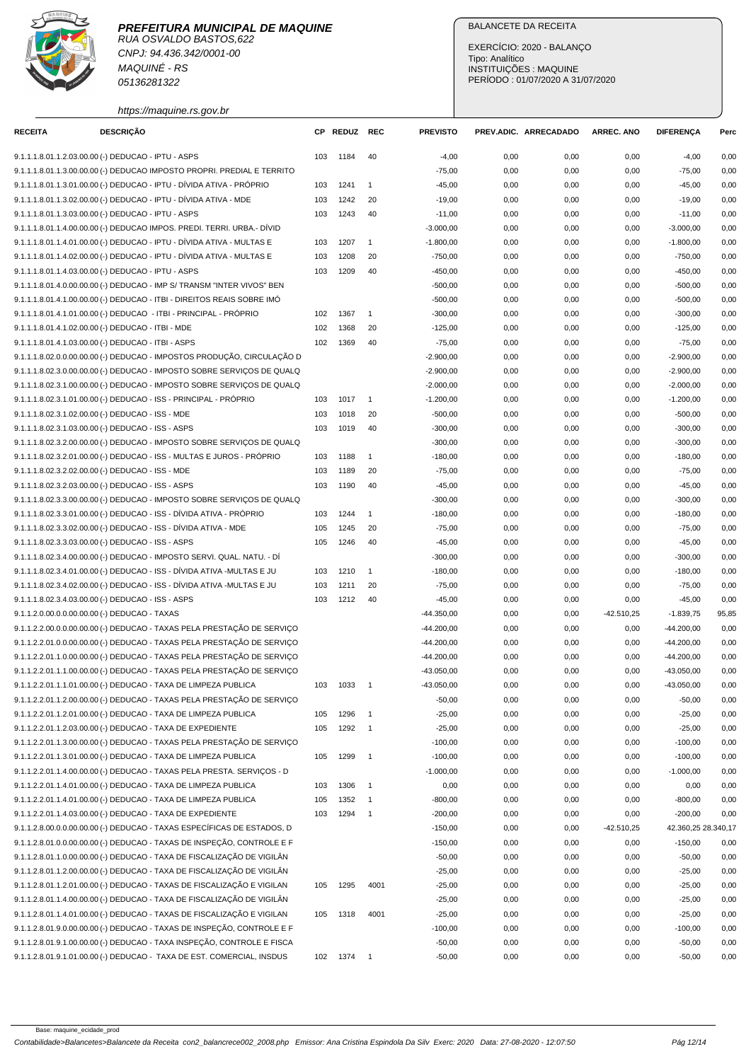

**PREFEITURA MUNICIPAL DE MAQUINE** RUA OSVALDO BASTOS,622 CNPJ: 94.436.342/0001-00

https://maquine.rs.gov.br

MAQUINÉ - RS 05136281322

## BALANCETE DA RECEITA

EXERCÍCIO: 2020 - BALANÇO Tipo: Analítico INSTITUIÇÕES : MAQUINE PERÍODO : 01/07/2020 A 31/07/2020

| <b>RECEITA</b>                                      | <b>DESCRIÇÃO</b> |                                                                         |     | CP REDUZ | REC                      | <b>PREVISTO</b> |      | PREV.ADIC. ARRECADADO | <b>ARREC, ANO</b> | <b>DIFERENÇA</b>      | Perc  |
|-----------------------------------------------------|------------------|-------------------------------------------------------------------------|-----|----------|--------------------------|-----------------|------|-----------------------|-------------------|-----------------------|-------|
| 9.1.1.1.8.01.1.2.03.00.00 (-) DEDUCAO - IPTU - ASPS |                  |                                                                         | 103 | 1184     | 40                       | $-4,00$         | 0,00 | 0,00                  | 0,00              | $-4,00$               | 0,00  |
|                                                     |                  | 9.1.1.1.8.01.1.3.00.00.00 (-) DEDUCAO IMPOSTO PROPRI. PREDIAL E TERRITO |     |          |                          | $-75,00$        | 0,00 | 0,00                  | 0,00              | $-75,00$              | 0,00  |
|                                                     |                  | 9.1.1.1.8.01.1.3.01.00.00 (-) DEDUCAO - IPTU - DÍVIDA ATIVA - PRÓPRIO   | 103 | 1241     | $\mathbf{1}$             | $-45,00$        | 0,00 | 0,00                  | 0,00              | $-45,00$              | 0,00  |
|                                                     |                  | 9.1.1.1.8.01.1.3.02.00.00 (-) DEDUCAO - IPTU - DÍVIDA ATIVA - MDE       | 103 | 1242     | 20                       | $-19,00$        | 0,00 | 0,00                  | 0,00              | $-19,00$              | 0,00  |
| 9.1.1.1.8.01.1.3.03.00.00 (-) DEDUCAO - IPTU - ASPS |                  |                                                                         | 103 | 1243     | 40                       | $-11,00$        | 0,00 | 0,00                  | 0,00              | $-11,00$              | 0,00  |
|                                                     |                  | 9.1.1.1.8.01.1.4.00.00.00 (-) DEDUCAO IMPOS. PREDI. TERRI. URBA.- DÍVID |     |          |                          | $-3.000,00$     | 0,00 | 0,00                  | 0,00              | $-3.000,00$           | 0,00  |
|                                                     |                  | 9.1.1.1.8.01.1.4.01.00.00 (-) DEDUCAO - IPTU - DÍVIDA ATIVA - MULTAS E  | 103 | 1207     | $\mathbf{1}$             | $-1.800,00$     | 0,00 | 0,00                  | 0,00              | $-1.800,00$           | 0,00  |
|                                                     |                  | 9.1.1.1.8.01.1.4.02.00.00 (-) DEDUCAO - IPTU - DIVIDA ATIVA - MULTAS E  | 103 | 1208     | 20                       | $-750,00$       | 0,00 | 0,00                  | 0,00              | $-750,00$             | 0,00  |
| 9.1.1.1.8.01.1.4.03.00.00 (-) DEDUCAO - IPTU - ASPS |                  |                                                                         | 103 | 1209     | 40                       | $-450,00$       | 0,00 | 0,00                  | 0,00              | $-450,00$             | 0,00  |
|                                                     |                  | 9.1.1.1.8.01.4.0.00.00.00 (-) DEDUCAO - IMP S/ TRANSM "INTER VIVOS" BEN |     |          |                          | $-500,00$       | 0,00 | 0,00                  | 0,00              | $-500,00$             | 0,00  |
|                                                     |                  | 9.1.1.1.8.01.4.1.00.00.00 (-) DEDUCAO - ITBI - DIREITOS REAIS SOBRE IMO |     |          |                          | $-500,00$       | 0,00 | 0,00                  | 0,00              | $-500,00$             | 0,00  |
|                                                     |                  | 9.1.1.1.8.01.4.1.01.00.00 (-) DEDUCAO - ITBI - PRINCIPAL - PRÓPRIO      | 102 | 1367     | $\mathbf{1}$             | $-300,00$       | 0,00 | 0,00                  | 0,00              | $-300,00$             | 0,00  |
| 9.1.1.1.8.01.4.1.02.00.00 (-) DEDUCAO - ITBI - MDE  |                  |                                                                         | 102 | 1368     | 20                       | $-125,00$       | 0,00 | 0,00                  | 0,00              | $-125,00$             | 0,00  |
| 9.1.1.1.8.01.4.1.03.00.00 (-) DEDUCAO - ITBI - ASPS |                  |                                                                         | 102 | 1369     | 40                       | $-75,00$        | 0,00 | 0,00                  | 0,00              | $-75,00$              | 0,00  |
|                                                     |                  | 9.1.1.1.8.02.0.0.00.00.00 (-) DEDUCAO - IMPOSTOS PRODUÇÃO, CIRCULAÇÃO D |     |          |                          | $-2.900,00$     | 0,00 | 0,00                  | 0,00              | $-2.900,00$           | 0,00  |
|                                                     |                  | 9.1.1.1.8.02.3.0.00.00.00 (-) DEDUCAO - IMPOSTO SOBRE SERVIÇOS DE QUALQ |     |          |                          | $-2.900,00$     | 0,00 | 0,00                  | 0,00              | $-2.900,00$           | 0,00  |
|                                                     |                  | 9.1.1.1.8.02.3.1.00.00.00 (-) DEDUCAO - IMPOSTO SOBRE SERVICOS DE QUALQ |     |          |                          | $-2.000,00$     | 0,00 | 0,00                  | 0,00              | $-2.000,00$           | 0,00  |
|                                                     |                  | 9.1.1.1.8.02.3.1.01.00.00 (-) DEDUCAO - ISS - PRINCIPAL - PRÓPRIO       | 103 | 1017     | $\overline{1}$           | $-1.200,00$     | 0,00 | 0,00                  | 0,00              | $-1.200,00$           | 0,00  |
| 9.1.1.1.8.02.3.1.02.00.00 (-) DEDUCAO - ISS - MDE   |                  |                                                                         | 103 | 1018     | 20                       | $-500,00$       | 0,00 | 0,00                  | 0,00              | $-500,00$             | 0,00  |
| 9.1.1.1.8.02.3.1.03.00.00 (-) DEDUCAO - ISS - ASPS  |                  |                                                                         | 103 | 1019     | 40                       | $-300,00$       | 0,00 | 0,00                  | 0,00              | $-300,00$             | 0,00  |
|                                                     |                  | 9.1.1.1.8.02.3.2.00.00.00 (-) DEDUCAO - IMPOSTO SOBRE SERVIÇOS DE QUALQ |     |          |                          | $-300,00$       | 0,00 | 0,00                  | 0,00              | $-300,00$             | 0,00  |
|                                                     |                  | 9.1.1.1.8.02.3.2.01.00.00 (-) DEDUCAO - ISS - MULTAS E JUROS - PRÓPRIO  | 103 | 1188     | $\mathbf{1}$             | $-180,00$       | 0,00 | 0,00                  | 0,00              | $-180,00$             | 0,00  |
| 9.1.1.1.8.02.3.2.02.00.00 (-) DEDUCAO - ISS - MDE   |                  |                                                                         | 103 | 1189     | 20                       | $-75,00$        | 0,00 | 0,00                  | 0,00              | $-75,00$              | 0,00  |
| 9.1.1.1.8.02.3.2.03.00.00 (-) DEDUCAO - ISS - ASPS  |                  |                                                                         | 103 | 1190     | 40                       | $-45,00$        | 0,00 | 0,00                  | 0,00              | $-45,00$              | 0,00  |
|                                                     |                  | 9.1.1.1.8.02.3.3.00.00.00 (-) DEDUCAO - IMPOSTO SOBRE SERVIÇOS DE QUALQ |     |          |                          | $-300,00$       | 0,00 | 0,00                  | 0,00              | $-300,00$             | 0,00  |
|                                                     |                  | 9.1.1.1.8.02.3.3.01.00.00 (-) DEDUCAO - ISS - DÍVIDA ATIVA - PRÓPRIO    | 103 | 1244     | $\mathbf{1}$             | $-180,00$       | 0,00 | 0,00                  | 0,00              | $-180,00$             | 0,00  |
|                                                     |                  | 9.1.1.1.8.02.3.3.02.00.00 (-) DEDUCAO - ISS - DÍVIDA ATIVA - MDE        | 105 | 1245     | 20                       | $-75,00$        | 0,00 | 0,00                  | 0,00              | $-75,00$              | 0,00  |
| 9.1.1.1.8.02.3.3.03.00.00 (-) DEDUCAO - ISS - ASPS  |                  |                                                                         | 105 | 1246     | 40                       | $-45,00$        | 0,00 | 0,00                  | 0,00              | $-45,00$              | 0,00  |
|                                                     |                  | 9.1.1.1.8.02.3.4.00.00.00 (-) DEDUCAO - IMPOSTO SERVI. QUAL. NATU. - DÍ |     |          |                          | $-300,00$       | 0,00 | 0,00                  | 0,00              | $-300,00$             | 0,00  |
|                                                     |                  | 9.1.1.1.8.02.3.4.01.00.00 (-) DEDUCAO - ISS - DÍVIDA ATIVA -MULTAS E JU | 103 | 1210     | $\mathbf{1}$             | $-180,00$       | 0,00 | 0,00                  | 0,00              | $-180,00$             | 0,00  |
|                                                     |                  | 9.1.1.1.8.02.3.4.02.00.00 (-) DEDUCAO - ISS - DÍVIDA ATIVA -MULTAS E JU | 103 | 1211     | 20                       | $-75,00$        | 0,00 | 0,00                  | 0,00              | $-75,00$              | 0,00  |
| 9.1.1.1.8.02.3.4.03.00.00 (-) DEDUCAO - ISS - ASPS  |                  |                                                                         | 103 | 1212     | 40                       | $-45,00$        | 0,00 | 0,00                  | 0,00              | $-45,00$              | 0,00  |
| 9.1.1.2.0.00.0.0.00.00.00 (-) DEDUCAO - TAXAS       |                  |                                                                         |     |          |                          | $-44.350,00$    | 0,00 | 0,00                  | $-42.510.25$      | $-1.839,75$           | 95,85 |
|                                                     |                  | 9.1.1.2.2.00.0.0.00.00.00 (-) DEDUCAO - TAXAS PELA PRESTAÇÃO DE SERVIÇO |     |          |                          | $-44.200,00$    | 0,00 | 0,00                  | 0,00              | $-44.200,00$          | 0,00  |
|                                                     |                  | 9.1.1.2.2.01.0.0.00.00.00 (-) DEDUCAO - TAXAS PELA PRESTAÇÃO DE SERVIÇO |     |          |                          | $-44.200,00$    | 0,00 | 0,00                  | 0,00              | $-44.200,00$          | 0,00  |
|                                                     |                  | 9.1.1.2.2.01.1.0.00.00.00 (-) DEDUCAO - TAXAS PELA PRESTAÇÃO DE SERVICO |     |          |                          | $-44.200,00$    | 0,00 | 0,00                  | 0,00              | $-44.200,00$          | 0,00  |
|                                                     |                  | 9.1.1.2.2.01.1.1.00.00.00 (-) DEDUCAO - TAXAS PELA PRESTAÇÃO DE SERVIÇO |     |          |                          | $-43.050,00$    | 0,00 | 0,00                  | 0,00              | $-43.050,00$          | 0,00  |
|                                                     |                  | 9.1.1.2.2.01.1.1.01.00.00 (-) DEDUCAO - TAXA DE LIMPEZA PUBLICA         | 103 | 1033     | $\overline{\phantom{0}}$ | $-43.050,00$    | 0,00 | 0,00                  | 0,00              | $-43.050,00$          | 0,00  |
|                                                     |                  | 9.1.1.2.2.01.1.2.00.00.00 (-) DEDUCAO - TAXAS PELA PRESTAÇÃO DE SERVIÇO |     |          |                          | $-50,00$        | 0,00 | 0,00                  | 0,00              | $-50,00$              | 0,00  |
|                                                     |                  | 9.1.1.2.2.01.1.2.01.00.00 (-) DEDUCAO - TAXA DE LIMPEZA PUBLICA         | 105 | 1296     | $\mathbf{1}$             | $-25,00$        | 0,00 | 0,00                  | 0,00              | $-25,00$              | 0,00  |
|                                                     |                  | 9.1.1.2.2.01.1.2.03.00.00 (-) DEDUCAO - TAXA DE EXPEDIENTE              | 105 | 1292     | $\overline{1}$           | $-25,00$        | 0,00 | 0,00                  | 0,00              | $-25,00$              | 0,00  |
|                                                     |                  | 9.1.1.2.2.01.1.3.00.00.00 (-) DEDUCAO - TAXAS PELA PRESTAÇÃO DE SERVIÇO |     |          |                          | $-100,00$       | 0,00 | 0,00                  | 0,00              | $-100,00$             | 0,00  |
|                                                     |                  | 9.1.1.2.2.01.1.3.01.00.00 (-) DEDUCAO - TAXA DE LIMPEZA PUBLICA         | 105 | 1299     | $\overline{1}$           | $-100,00$       | 0,00 | 0,00                  | 0,00              | $-100,00$             | 0,00  |
|                                                     |                  | 9.1.1.2.2.01.1.4.00.00.00 (-) DEDUCAO - TAXAS PELA PRESTA. SERVIÇOS - D |     |          |                          | $-1.000,00$     | 0,00 | 0,00                  | 0,00              | $-1.000,00$           | 0,00  |
|                                                     |                  | 9.1.1.2.2.01.1.4.01.00.00 (-) DEDUCAO - TAXA DE LIMPEZA PUBLICA         | 103 | 1306     | $\overline{1}$           | 0,00            | 0,00 | 0,00                  | 0,00              | 0,00                  | 0,00  |
|                                                     |                  | 9.1.1.2.2.01.1.4.01.00.00 (-) DEDUCAO - TAXA DE LIMPEZA PUBLICA         | 105 | 1352     | $\mathbf{1}$             | $-800,00$       | 0,00 | 0,00                  | 0,00              | $-800,00$             | 0,00  |
|                                                     |                  | 9.1.1.2.2.01.1.4.03.00.00 (-) DEDUCAO - TAXA DE EXPEDIENTE              | 103 | 1294     | $\overline{\phantom{0}}$ | $-200,00$       | 0,00 | 0,00                  | 0,00              | $-200,00$             | 0,00  |
|                                                     |                  | 9.1.1.2.8.00.0.0.00.00.00 (-) DEDUCAO - TAXAS ESPECÍFICAS DE ESTADOS, D |     |          |                          | $-150,00$       | 0,00 | 0,00                  | -42.510,25        | 42.360,25 28.340,17   |       |
|                                                     |                  | 9.1.1.2.8.01.0.0.00.00.00 (-) DEDUCAO - TAXAS DE INSPEÇÃO, CONTROLE E F |     |          |                          | $-150,00$       | 0,00 |                       |                   |                       | 0,00  |
|                                                     |                  | 9.1.1.2.8.01.1.0.00.00.00 (-) DEDUCAO - TAXA DE FISCALIZAÇÃO DE VIGILÂN |     |          |                          | $-50,00$        | 0,00 | 0,00                  | 0,00              | $-150,00$<br>$-50,00$ |       |
|                                                     |                  |                                                                         |     |          |                          |                 |      | 0,00                  | 0,00              |                       | 0,00  |
|                                                     |                  | 9.1.1.2.8.01.1.2.00.00.00 (-) DEDUCAO - TAXA DE FISCALIZAÇÃO DE VIGILÂN |     |          |                          | $-25,00$        | 0,00 | 0,00                  | 0,00              | $-25,00$              | 0,00  |
|                                                     |                  | 9.1.1.2.8.01.1.2.01.00.00 (-) DEDUCAO - TAXAS DE FISCALIZAÇÃO E VIGILAN | 105 | 1295     | 4001                     | $-25,00$        | 0,00 | 0,00                  | 0,00              | $-25,00$              | 0,00  |
|                                                     |                  | 9.1.1.2.8.01.1.4.00.00.00 (-) DEDUCAO - TAXA DE FISCALIZAÇÃO DE VIGILÂN |     |          |                          | $-25,00$        | 0,00 | 0,00                  | 0,00              | $-25,00$              | 0,00  |
|                                                     |                  | 9.1.1.2.8.01.1.4.01.00.00 (-) DEDUCAO - TAXAS DE FISCALIZAÇÃO E VIGILAN | 105 | 1318     | 4001                     | $-25,00$        | 0,00 | 0,00                  | 0,00              | $-25,00$              | 0,00  |
|                                                     |                  | 9.1.1.2.8.01.9.0.00.00.00 (-) DEDUCAO - TAXAS DE INSPEÇÃO, CONTROLE E F |     |          |                          | $-100,00$       | 0,00 | 0,00                  | 0,00              | $-100,00$             | 0,00  |
|                                                     |                  | 9.1.1.2.8.01.9.1.00.00.00 (-) DEDUCAO - TAXA INSPEÇÃO, CONTROLE E FISCA |     |          |                          | $-50,00$        | 0,00 | 0,00                  | 0,00              | $-50,00$              | 0,00  |
|                                                     |                  | 9.1.1.2.8.01.9.1.01.00.00 (-) DEDUCAO - TAXA DE EST. COMERCIAL, INSDUS  | 102 | 1374     | $\overline{\phantom{0}}$ | $-50,00$        | 0,00 | 0,00                  | 0,00              | $-50,00$              | 0,00  |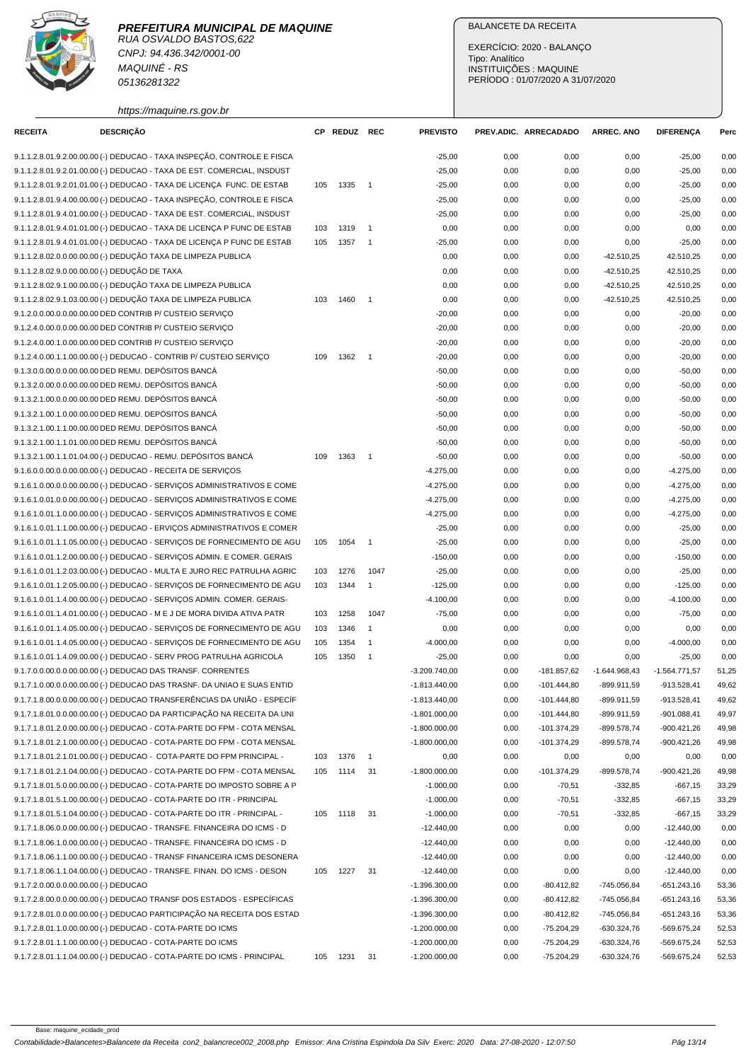RUA OSVALDO BASTOS,622 CNPJ: 94.436.342/0001-00 MAQUINÉ - RS 05136281322

## BALANCETE DA RECEITA

EXERCÍCIO: 2020 - BALANÇO Tipo: Analítico INSTITUIÇÕES : MAQUINE PERÍODO : 01/07/2020 A 31/07/2020

https://maquine.rs.gov.br

| <b>RECEITA</b>                        | <b>DESCRIÇÃO</b>                                                         |     | CP REDUZ REC |                | <b>PREVISTO</b> |      | PREV.ADIC. ARRECADADO | <b>ARREC. ANO</b> | <b>DIFERENÇA</b> | Perc  |
|---------------------------------------|--------------------------------------------------------------------------|-----|--------------|----------------|-----------------|------|-----------------------|-------------------|------------------|-------|
|                                       | 9.1.1.2.8.01.9.2.00.00.00 (-) DEDUCAO - TAXA INSPEÇÃO, CONTROLE E FISCA  |     |              |                | $-25,00$        | 0,00 | 0,00                  | 0,00              | $-25,00$         | 0,00  |
|                                       | 9.1.1.2.8.01.9.2.01.00.00 (-) DEDUCAO - TAXA DE EST. COMERCIAL, INSDUST  |     |              |                | $-25,00$        | 0,00 | 0,00                  | 0,00              | $-25,00$         | 0,00  |
|                                       | 9.1.1.2.8.01.9.2.01.01.00 (-) DEDUCAO - TAXA DE LICENÇA FUNC. DE ESTAB   | 105 | 1335         | $\overline{1}$ | $-25,00$        | 0,00 | 0,00                  | 0,00              | $-25,00$         | 0,00  |
|                                       | 9.1.1.2.8.01.9.4.00.00.00 (-) DEDUCAO - TAXA INSPEÇÃO, CONTROLE E FISCA  |     |              |                | $-25,00$        | 0,00 | 0,00                  | 0,00              | $-25,00$         | 0,00  |
|                                       | 9.1.1.2.8.01.9.4.01.00.00 (-) DEDUCAO - TAXA DE EST. COMERCIAL, INSDUST  |     |              |                | $-25,00$        | 0,00 | 0,00                  | 0,00              | $-25,00$         | 0,00  |
|                                       | 9.1.1.2.8.01.9.4.01.01.00 (-) DEDUCAO - TAXA DE LICENÇA P FUNC DE ESTAB  | 103 | 1319         | $\overline{1}$ | 0,00            | 0,00 | 0,00                  | 0,00              | 0,00             | 0,00  |
|                                       | 9.1.1.2.8.01.9.4.01.01.00 (-) DEDUCAO - TAXA DE LICENÇA P FUNC DE ESTAB  | 105 | 1357         | $\overline{1}$ | $-25,00$        | 0,00 | 0,00                  | 0,00              | $-25,00$         | 0,00  |
|                                       | 9.1.1.2.8.02.0.0.00.00.00 (-) DEDUÇÃO TAXA DE LIMPEZA PUBLICA            |     |              |                | 0,00            | 0,00 | 0,00                  | $-42.510,25$      | 42.510,25        | 0,00  |
|                                       | 9.1.1.2.8.02.9.0.00.00.00 (-) DEDUÇÃO DE TAXA                            |     |              |                | 0,00            | 0,00 | 0,00                  | $-42.510,25$      | 42.510,25        | 0,00  |
|                                       | 9.1.1.2.8.02.9.1.00.00.00 (-) DEDUÇÃO TAXA DE LIMPEZA PUBLICA            |     |              |                | 0,00            | 0,00 | 0,00                  | $-42.510.25$      | 42.510,25        | 0,00  |
|                                       | 9.1.1.2.8.02.9.1.03.00.00 (-) DEDUÇÃO TAXA DE LIMPEZA PUBLICA            | 103 | 1460         | $\overline{1}$ | 0,00            | 0,00 | 0,00                  | $-42.510,25$      | 42.510,25        | 0,00  |
|                                       | 9.1.2.0.0.00.0.0.00.00.00 DED CONTRIB P/ CUSTEIO SERVIÇO                 |     |              |                | $-20,00$        | 0,00 | 0,00                  | 0,00              | $-20,00$         | 0,00  |
|                                       | 9.1.2.4.0.00.0.0.00.00.00 DED CONTRIB P/ CUSTEIO SERVIÇO                 |     |              |                | $-20,00$        | 0,00 | 0,00                  | 0,00              | $-20,00$         | 0,00  |
|                                       | 9.1.2.4.0.00.1.0.00.00.00 DED CONTRIB P/ CUSTEIO SERVIÇO                 |     |              |                | $-20,00$        | 0,00 | 0,00                  | 0,00              | $-20,00$         | 0,00  |
|                                       | 9.1.2.4.0.00.1.1.00.00.00 (-) DEDUCAO - CONTRIB P/ CUSTEIO SERVIÇO       | 109 | 1362         | $\overline{1}$ | $-20,00$        | 0,00 | 0,00                  | 0,00              | $-20,00$         | 0,00  |
|                                       | 9.1.3.0.0.00.0.0.00.00.00 DED REMU. DEPÓSITOS BANCÁ                      |     |              |                | $-50,00$        | 0,00 | 0,00                  | 0,00              | $-50,00$         | 0,00  |
|                                       | 9.1.3.2.0.00.0.0.00.00.00 DED REMU. DEPÓSITOS BANCÁ                      |     |              |                | $-50,00$        | 0,00 | 0,00                  | 0,00              | $-50,00$         | 0,00  |
|                                       | 9.1.3.2.1.00.0.0.00.00.00 DED REMU. DEPÓSITOS BANCÁ                      |     |              |                | $-50,00$        | 0,00 | 0,00                  | 0,00              | $-50,00$         | 0,00  |
|                                       | 9.1.3.2.1.00.1.0.00.00.00 DED REMU. DEPÓSITOS BANCÁ                      |     |              |                | $-50,00$        | 0,00 | 0,00                  | 0,00              | $-50,00$         | 0,00  |
|                                       | 9.1.3.2.1.00.1.1.00.00.00 DED REMU. DEPÓSITOS BANCÁ                      |     |              |                | $-50,00$        | 0,00 | 0,00                  | 0,00              | $-50,00$         | 0,00  |
|                                       | 9.1.3.2.1.00.1.1.01.00.00 DED REMU. DEPÓSITOS BANCÁ                      |     |              |                | $-50,00$        | 0,00 | 0,00                  | 0,00              | $-50,00$         | 0,00  |
|                                       | 9.1.3.2.1.00.1.1.01.04.00 (-) DEDUCAO - REMU. DEPÓSITOS BANCÁ            | 109 | 1363         | $\overline{1}$ | $-50,00$        | 0,00 | 0,00                  | 0,00              | $-50,00$         | 0,00  |
|                                       | 9.1.6.0.0.00.0.0.00.00.00 (-) DEDUCAO - RECEITA DE SERVIÇOS              |     |              |                | $-4.275,00$     | 0,00 | 0,00                  | 0,00              | $-4.275,00$      | 0,00  |
|                                       | 9.1.6.1.0.00.0.0.00.00.00 (-) DEDUCAO - SERVIÇOS ADMINISTRATIVOS E COME  |     |              |                | $-4.275,00$     | 0,00 | 0,00                  | 0,00              | $-4.275,00$      | 0,00  |
|                                       | 9.1.6.1.0.01.0.00.00.00.00 (-) DEDUCAO - SERVIÇOS ADMINISTRATIVOS E COME |     |              |                | $-4.275,00$     | 0,00 | 0,00                  | 0,00              | $-4.275,00$      | 0,00  |
|                                       | 9.1.6.1.0.01.1.0.00.00.00 (-) DEDUCAO - SERVIÇOS ADMINISTRATIVOS E COME  |     |              |                | $-4.275,00$     | 0,00 | 0,00                  | 0,00              | $-4.275,00$      | 0,00  |
|                                       | 9.1.6.1.0.01.1.1.00.00.00 (-) DEDUCAO - ERVIÇOS ADMINISTRATIVOS E COMER  |     |              |                | $-25,00$        | 0,00 | 0,00                  | 0,00              | $-25,00$         | 0,00  |
|                                       | 9.1.6.1.0.01.1.1.05.00.00 (-) DEDUCAO - SERVIÇOS DE FORNECIMENTO DE AGU  | 105 | 1054         | $\mathbf{1}$   | $-25,00$        | 0,00 | 0,00                  | 0,00              | $-25,00$         | 0,00  |
|                                       | 9.1.6.1.0.01.1.2.00.00.00 (-) DEDUCAO - SERVIÇOS ADMIN. E COMER. GERAIS  |     |              |                | $-150,00$       | 0,00 | 0,00                  | 0,00              | $-150,00$        | 0,00  |
|                                       | 9.1.6.1.0.01.1.2.03.00.00 (-) DEDUCAO - MULTA E JURO REC PATRULHA AGRIC  | 103 | 1276         | 1047           | $-25,00$        | 0,00 | 0,00                  | 0,00              | $-25,00$         | 0,00  |
|                                       | 9.1.6.1.0.01.1.2.05.00.00 (-) DEDUCAO - SERVIÇOS DE FORNECIMENTO DE AGU  | 103 | 1344         | $\mathbf{1}$   | $-125,00$       | 0,00 | 0,00                  | 0,00              | $-125,00$        | 0,00  |
|                                       | 9.1.6.1.0.01.1.4.00.00.00 (-) DEDUCAO - SERVIÇOS ADMIN. COMER. GERAIS-   |     |              |                | $-4.100,00$     | 0,00 | 0,00                  | 0,00              | $-4.100,00$      | 0,00  |
|                                       | 9.1.6.1.0.01.1.4.01.00.00 (-) DEDUCAO - M E J DE MORA DIVIDA ATIVA PATR  | 103 | 1258         | 1047           | $-75,00$        | 0,00 | 0,00                  | 0,00              | $-75,00$         | 0,00  |
|                                       | 9.1.6.1.0.01.1.4.05.00.00 (-) DEDUCAO - SERVIÇOS DE FORNECIMENTO DE AGU  | 103 | 1346         | $\overline{1}$ | 0,00            | 0,00 | 0,00                  | 0,00              | 0,00             | 0,00  |
|                                       | 9.1.6.1.0.01.1.4.05.00.00 (-) DEDUCAO - SERVIÇOS DE FORNECIMENTO DE AGU  | 105 | 1354         | $\overline{1}$ | $-4.000,00$     | 0,00 | 0,00                  | 0,00              | $-4.000,00$      | 0,00  |
|                                       | 9.1.6.1.0.01.1.4.09.00.00 (-) DEDUCAO - SERV PROG PATRULHA AGRICOLA      | 105 | 1350         | $\overline{1}$ | $-25,00$        | 0,00 | 0,00                  | 0,00              | $-25,00$         | 0,00  |
|                                       | 9.1.7.0.0.00.0.0.00.00.00 (-) DEDUCAO DAS TRANSF. CORRENTES              |     |              |                | $-3.209.740,00$ | 0,00 | -181.857,62           | $-1.644.968,43$   | $-1.564.771,57$  | 51,25 |
|                                       | 9.1.7.1.0.00.0.0.00.00.00 (-) DEDUCAO DAS TRASNF. DA UNIAO E SUAS ENTID  |     |              |                | $-1.813.440,00$ | 0,00 | $-101.444.80$         | -899.911,59       | $-913.528,41$    | 49,62 |
|                                       | 9.1.7.1.8.00.0.0.00.00.00 (-) DEDUCAO TRANSFERÊNCIAS DA UNIÃO - ESPECÍF  |     |              |                | $-1.813.440,00$ | 0,00 | $-101.444,80$         | -899.911,59       | $-913.528,41$    | 49,62 |
|                                       | 9.1.7.1.8.01.0.0.00.00.00 (-) DEDUCAO DA PARTICIPAÇÃO NA RECEITA DA UNI  |     |              |                | $-1.801.000,00$ | 0,00 | $-101.444,80$         | -899.911,59       | $-901.088,41$    | 49,97 |
|                                       | 9.1.7.1.8.01.2.0.00.00.00 (-) DEDUCAO - COTA-PARTE DO FPM - COTA MENSAL  |     |              |                | $-1.800.000,00$ | 0,00 | $-101.374,29$         | -899.578,74       | $-900.421,26$    | 49,98 |
|                                       | 9.1.7.1.8.01.2.1.00.00.00 (-) DEDUCAO - COTA-PARTE DO FPM - COTA MENSAL  |     |              |                | $-1.800.000,00$ | 0,00 | $-101.374,29$         | -899.578,74       | $-900.421,26$    | 49,98 |
|                                       | 9.1.7.1.8.01.2.1.01.00.00 (-) DEDUCAO - COTA-PARTE DO FPM PRINCIPAL -    | 103 | 1376         | $\overline{1}$ | 0,00            | 0,00 | 0,00                  | 0,00              | 0,00             | 0,00  |
|                                       | 9.1.7.1.8.01.2.1.04.00.00 (-) DEDUCAO - COTA-PARTE DO FPM - COTA MENSAL  | 105 | 1114         | 31             | $-1.800.000,00$ | 0,00 | $-101.374,29$         | -899.578,74       | $-900.421,26$    | 49,98 |
|                                       | 9.1.7.1.8.01.5.0.00.00.00 (-) DEDUCAO - COTA-PARTE DO IMPOSTO SOBRE A P  |     |              |                | $-1.000,00$     | 0,00 | $-70,51$              | -332,85           | $-667,15$        | 33,29 |
|                                       | 9.1.7.1.8.01.5.1.00.00.00 (-) DEDUCAO - COTA-PARTE DO ITR - PRINCIPAL    |     |              |                | $-1.000,00$     | 0,00 | $-70,51$              | $-332,85$         | $-667,15$        | 33,29 |
|                                       | 9.1.7.1.8.01.5.1.04.00.00 (-) DEDUCAO - COTA-PARTE DO ITR - PRINCIPAL -  | 105 | 1118         | 31             | $-1.000,00$     | 0,00 | $-70,51$              | $-332,85$         | $-667,15$        | 33,29 |
|                                       | 9.1.7.1.8.06.0.0.00.00.00 (-) DEDUCAO - TRANSFE. FINANCEIRA DO ICMS - D  |     |              |                | $-12.440,00$    | 0,00 | 0,00                  | 0,00              | $-12.440,00$     | 0,00  |
|                                       | 9.1.7.1.8.06.1.0.00.00.00 (-) DEDUCAO - TRANSFE. FINANCEIRA DO ICMS - D  |     |              |                | $-12.440,00$    | 0,00 | 0,00                  | 0,00              | $-12.440,00$     | 0,00  |
|                                       | 9.1.7.1.8.06.1.1.00.00.00 (-) DEDUCAO - TRANSF FINANCEIRA ICMS DESONERA  |     |              |                | $-12.440,00$    | 0,00 | 0,00                  | 0,00              | $-12.440,00$     | 0,00  |
|                                       | 9.1.7.1.8.06.1.1.04.00.00 (-) DEDUCAO - TRANSFE. FINAN. DO ICMS - DESON  | 105 | 1227         | 31             | $-12.440,00$    | 0,00 | 0,00                  | 0,00              | $-12.440,00$     | 0,00  |
| 9.1.7.2.0.00.0.0.00.00.00 (-) DEDUCAO |                                                                          |     |              |                | $-1.396.300,00$ | 0,00 | $-80.412,82$          | -745.056,84       | $-651.243,16$    | 53,36 |
|                                       | 9.1.7.2.8.00.0.0.00.00.00 (-) DEDUCAO TRANSF DOS ESTADOS - ESPECÍFICAS   |     |              |                | $-1.396.300,00$ | 0,00 | $-80.412,82$          | -745.056,84       | $-651.243,16$    | 53,36 |
|                                       | 9.1.7.2.8.01.0.0.00.00.00 (-) DEDUCAO PARTICIPAÇÃO NA RECEITA DOS ESTAD  |     |              |                | $-1.396.300,00$ | 0,00 | $-80.412,82$          | -745.056,84       | $-651.243,16$    | 53,36 |
|                                       | 9.1.7.2.8.01.1.0.00.00.00 (-) DEDUCAO - COTA-PARTE DO ICMS               |     |              |                | $-1.200.000,00$ | 0,00 | $-75.204,29$          | $-630.324,76$     | -569.675,24      | 52,53 |
|                                       | 9.1.7.2.8.01.1.1.00.00.00 (-) DEDUCAO - COTA-PARTE DO ICMS               |     |              |                | $-1.200.000,00$ | 0,00 | $-75.204,29$          | -630.324,76       | -569.675,24      | 52,53 |
|                                       | 9.1.7.2.8.01.1.1.04.00.00 (-) DEDUCAO - COTA-PARTE DO ICMS - PRINCIPAL   | 105 | 1231         | 31             | $-1.200.000,00$ | 0,00 | $-75.204,29$          | $-630.324,76$     | -569.675,24      | 52,53 |
|                                       |                                                                          |     |              |                |                 |      |                       |                   |                  |       |